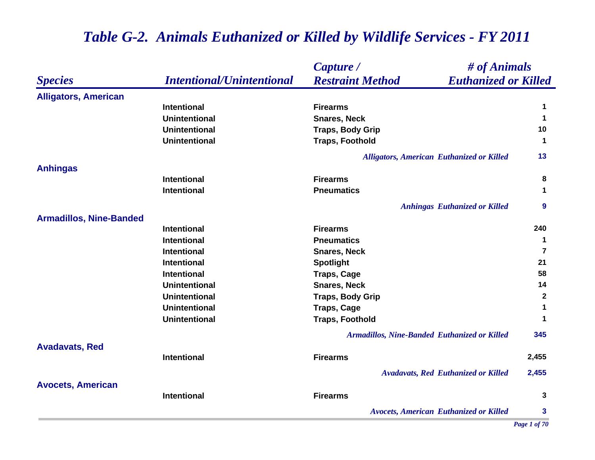|                                |                                  | # of Animals<br>Capture /                              |                      |
|--------------------------------|----------------------------------|--------------------------------------------------------|----------------------|
| <b>Species</b>                 | <b>Intentional/Unintentional</b> | <b>Restraint Method</b><br><b>Euthanized or Killed</b> |                      |
| <b>Alligators, American</b>    |                                  |                                                        |                      |
|                                | <b>Intentional</b>               | <b>Firearms</b>                                        | 1                    |
|                                | <b>Unintentional</b>             | <b>Snares, Neck</b>                                    | $\blacktriangleleft$ |
|                                | <b>Unintentional</b>             | <b>Traps, Body Grip</b>                                | 10                   |
|                                | <b>Unintentional</b>             | <b>Traps, Foothold</b>                                 | $\blacktriangleleft$ |
|                                |                                  | Alligators, American Euthanized or Killed              | 13                   |
| <b>Anhingas</b>                |                                  |                                                        |                      |
|                                | <b>Intentional</b>               | <b>Firearms</b>                                        | 8                    |
|                                | <b>Intentional</b>               | <b>Pneumatics</b>                                      | $\mathbf 1$          |
|                                |                                  | <b>Anhingas Euthanized or Killed</b>                   | 9                    |
| <b>Armadillos, Nine-Banded</b> |                                  |                                                        |                      |
|                                | <b>Intentional</b>               | <b>Firearms</b>                                        | 240                  |
|                                | <b>Intentional</b>               | <b>Pneumatics</b>                                      | -1                   |
|                                | <b>Intentional</b>               | <b>Snares, Neck</b>                                    | $\overline{7}$       |
|                                | <b>Intentional</b>               | <b>Spotlight</b>                                       | 21                   |
|                                | <b>Intentional</b>               | <b>Traps, Cage</b>                                     | 58                   |
|                                | <b>Unintentional</b>             | <b>Snares, Neck</b>                                    | 14                   |
|                                | <b>Unintentional</b>             | <b>Traps, Body Grip</b>                                | $\mathbf{2}$         |
|                                | <b>Unintentional</b>             | <b>Traps, Cage</b>                                     | 1                    |
|                                | <b>Unintentional</b>             | <b>Traps, Foothold</b>                                 | $\mathbf 1$          |
|                                |                                  | Armadillos, Nine-Banded Euthanized or Killed           | 345                  |
| <b>Avadavats, Red</b>          |                                  |                                                        |                      |
|                                | <b>Intentional</b>               | <b>Firearms</b>                                        | 2,455                |
|                                |                                  | <b>Avadavats, Red Euthanized or Killed</b>             | 2,455                |
| <b>Avocets, American</b>       |                                  |                                                        |                      |
|                                | <b>Intentional</b>               | <b>Firearms</b>                                        | 3                    |
|                                |                                  | <b>Avocets, American Euthanized or Killed</b>          | $\mathbf{3}$         |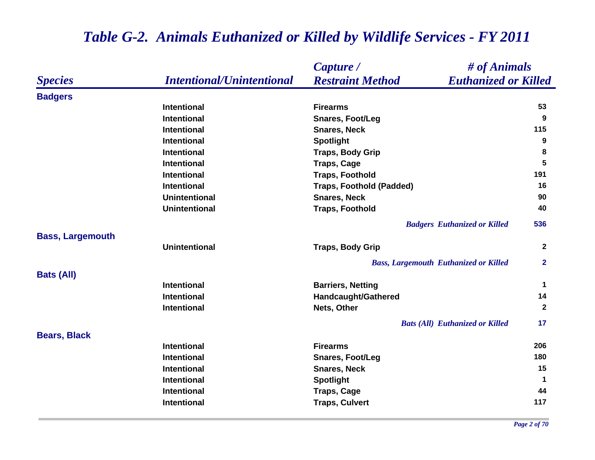|                         |                                  | # of Animals<br>Capture /                              |                      |
|-------------------------|----------------------------------|--------------------------------------------------------|----------------------|
| <b>Species</b>          | <b>Intentional/Unintentional</b> | <b>Restraint Method</b><br><b>Euthanized or Killed</b> |                      |
| <b>Badgers</b>          |                                  |                                                        |                      |
|                         | <b>Intentional</b>               | <b>Firearms</b>                                        | 53                   |
|                         | <b>Intentional</b>               | <b>Snares, Foot/Leg</b>                                | 9                    |
|                         | <b>Intentional</b>               | <b>Snares, Neck</b>                                    | 115                  |
|                         | Intentional                      | <b>Spotlight</b>                                       | $\boldsymbol{9}$     |
|                         | Intentional                      | <b>Traps, Body Grip</b>                                | 8                    |
|                         | <b>Intentional</b>               | <b>Traps, Cage</b>                                     | 5                    |
|                         | <b>Intentional</b>               | <b>Traps, Foothold</b>                                 | 191                  |
|                         | <b>Intentional</b>               | <b>Traps, Foothold (Padded)</b>                        | 16                   |
|                         | <b>Unintentional</b>             | <b>Snares, Neck</b>                                    | 90                   |
|                         | <b>Unintentional</b>             | <b>Traps, Foothold</b>                                 | 40                   |
|                         |                                  | <b>Badgers Euthanized or Killed</b>                    | 536                  |
| <b>Bass, Largemouth</b> |                                  |                                                        |                      |
|                         | <b>Unintentional</b>             | <b>Traps, Body Grip</b>                                | $\overline{2}$       |
|                         |                                  | <b>Bass, Largemouth Euthanized or Killed</b>           | $\overline{2}$       |
| <b>Bats (All)</b>       |                                  |                                                        |                      |
|                         | <b>Intentional</b>               | <b>Barriers, Netting</b>                               | $\blacktriangleleft$ |
|                         | <b>Intentional</b>               | <b>Handcaught/Gathered</b>                             | 14                   |
|                         | Intentional                      | Nets, Other                                            | $\mathbf{2}$         |
|                         |                                  | <b>Bats (All) Euthanized or Killed</b>                 | 17                   |
| <b>Bears, Black</b>     |                                  |                                                        |                      |
|                         | <b>Intentional</b>               | <b>Firearms</b>                                        | 206                  |
|                         | <b>Intentional</b>               | <b>Snares, Foot/Leg</b>                                | 180                  |
|                         | Intentional                      | <b>Snares, Neck</b>                                    | 15                   |
|                         | Intentional                      | <b>Spotlight</b>                                       | $\blacktriangleleft$ |
|                         | <b>Intentional</b>               | <b>Traps, Cage</b>                                     | 44                   |
|                         | Intentional                      | <b>Traps, Culvert</b>                                  | 117                  |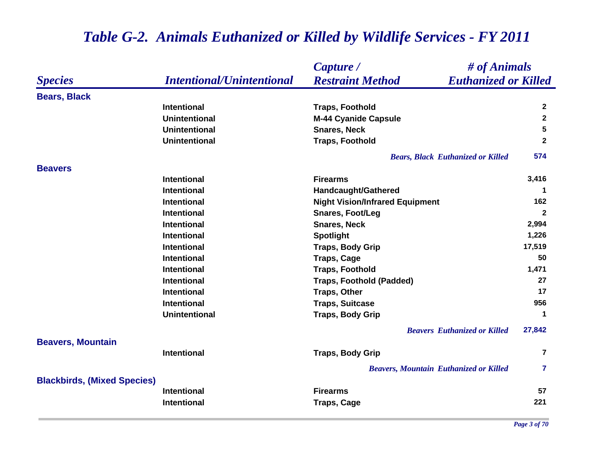|                                    |                                  | # of Animals<br>Capture /                              |                      |
|------------------------------------|----------------------------------|--------------------------------------------------------|----------------------|
| <b>Species</b>                     | <b>Intentional/Unintentional</b> | <b>Euthanized or Killed</b><br><b>Restraint Method</b> |                      |
| <b>Bears, Black</b>                |                                  |                                                        |                      |
|                                    | <b>Intentional</b>               | <b>Traps, Foothold</b>                                 | $\mathbf{2}$         |
|                                    | <b>Unintentional</b>             | <b>M-44 Cyanide Capsule</b>                            | $\overline{2}$       |
|                                    | <b>Unintentional</b>             | <b>Snares, Neck</b>                                    | $5\phantom{.0}$      |
|                                    | <b>Unintentional</b>             | <b>Traps, Foothold</b>                                 | $\mathbf{2}$         |
|                                    |                                  | <b>Bears, Black Euthanized or Killed</b>               | 574                  |
| <b>Beavers</b>                     |                                  |                                                        |                      |
|                                    | <b>Intentional</b>               | <b>Firearms</b>                                        | 3,416                |
|                                    | <b>Intentional</b>               | <b>Handcaught/Gathered</b>                             | 1                    |
|                                    | <b>Intentional</b>               | <b>Night Vision/Infrared Equipment</b>                 | 162                  |
|                                    | <b>Intentional</b>               | <b>Snares, Foot/Leg</b>                                | $\mathbf{2}$         |
|                                    | <b>Intentional</b>               | <b>Snares, Neck</b>                                    | 2,994                |
|                                    | <b>Intentional</b>               | <b>Spotlight</b>                                       | 1,226                |
|                                    | <b>Intentional</b>               | <b>Traps, Body Grip</b>                                | 17,519               |
|                                    | <b>Intentional</b>               | <b>Traps, Cage</b>                                     | 50                   |
|                                    | <b>Intentional</b>               | <b>Traps, Foothold</b>                                 | 1,471                |
|                                    | <b>Intentional</b>               | <b>Traps, Foothold (Padded)</b>                        | 27                   |
|                                    | <b>Intentional</b>               | <b>Traps, Other</b>                                    | 17                   |
|                                    | <b>Intentional</b>               | <b>Traps, Suitcase</b>                                 | 956                  |
|                                    | <b>Unintentional</b>             | <b>Traps, Body Grip</b>                                | $\blacktriangleleft$ |
|                                    |                                  | <b>Beavers Euthanized or Killed</b>                    | 27,842               |
| <b>Beavers, Mountain</b>           |                                  |                                                        |                      |
|                                    | <b>Intentional</b>               | <b>Traps, Body Grip</b>                                | $\overline{7}$       |
| <b>Blackbirds, (Mixed Species)</b> |                                  | <b>Beavers, Mountain Euthanized or Killed</b>          | $\overline{7}$       |
|                                    | <b>Intentional</b>               | <b>Firearms</b>                                        | 57                   |
|                                    | <b>Intentional</b>               | <b>Traps, Cage</b>                                     | 221                  |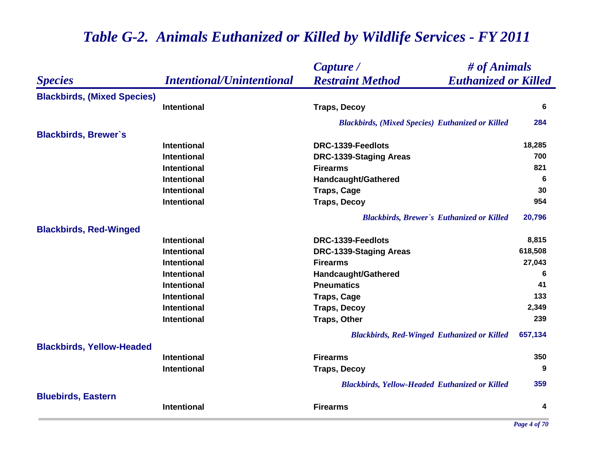|                                    |                                  | Capture /                                               | # of Animals |  |
|------------------------------------|----------------------------------|---------------------------------------------------------|--------------|--|
| <b>Species</b>                     | <b>Intentional/Unintentional</b> | <b>Restraint Method</b><br><b>Euthanized or Killed</b>  |              |  |
| <b>Blackbirds, (Mixed Species)</b> |                                  |                                                         |              |  |
|                                    | <b>Intentional</b>               | <b>Traps, Decoy</b>                                     | 6            |  |
|                                    |                                  | <b>Blackbirds, (Mixed Species) Euthanized or Killed</b> | 284          |  |
| <b>Blackbirds, Brewer's</b>        |                                  |                                                         |              |  |
|                                    | <b>Intentional</b>               | DRC-1339-Feedlots                                       | 18,285       |  |
|                                    | <b>Intentional</b>               | DRC-1339-Staging Areas                                  | 700          |  |
|                                    | Intentional                      | <b>Firearms</b>                                         | 821          |  |
|                                    | <b>Intentional</b>               | <b>Handcaught/Gathered</b>                              | 6            |  |
|                                    | <b>Intentional</b>               | <b>Traps, Cage</b>                                      | 30           |  |
|                                    | Intentional                      | <b>Traps, Decoy</b>                                     | 954          |  |
|                                    |                                  | <b>Blackbirds, Brewer's Euthanized or Killed</b>        | 20,796       |  |
| <b>Blackbirds, Red-Winged</b>      |                                  |                                                         |              |  |
|                                    | <b>Intentional</b>               | DRC-1339-Feedlots                                       | 8,815        |  |
|                                    | <b>Intentional</b>               | <b>DRC-1339-Staging Areas</b>                           | 618,508      |  |
|                                    | <b>Intentional</b>               | <b>Firearms</b>                                         | 27,043       |  |
|                                    | <b>Intentional</b>               | Handcaught/Gathered                                     | 6            |  |
|                                    | <b>Intentional</b>               | <b>Pneumatics</b>                                       | 41           |  |
|                                    | <b>Intentional</b>               | <b>Traps, Cage</b>                                      | 133          |  |
|                                    | <b>Intentional</b>               | <b>Traps, Decoy</b>                                     | 2,349        |  |
|                                    | <b>Intentional</b>               | <b>Traps, Other</b>                                     | 239          |  |
|                                    |                                  | <b>Blackbirds, Red-Winged Euthanized or Killed</b>      | 657,134      |  |
| <b>Blackbirds, Yellow-Headed</b>   |                                  |                                                         |              |  |
|                                    | <b>Intentional</b>               | <b>Firearms</b>                                         | 350          |  |
|                                    | Intentional                      | <b>Traps, Decoy</b>                                     | 9            |  |
|                                    |                                  | <b>Blackbirds, Yellow-Headed Euthanized or Killed</b>   | 359          |  |
| <b>Bluebirds, Eastern</b>          | Intentional                      | <b>Firearms</b>                                         | 4            |  |
|                                    |                                  |                                                         |              |  |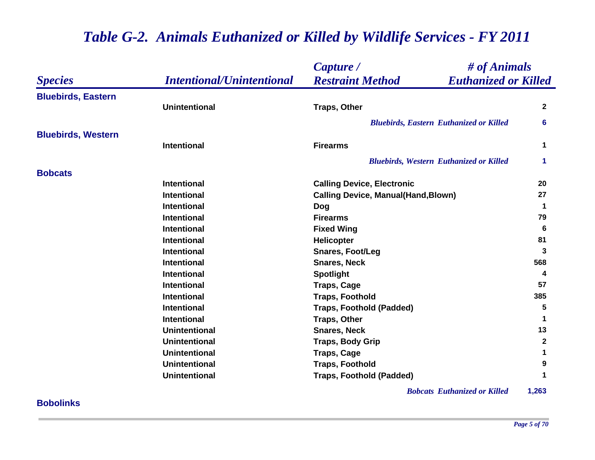|                           |                                  | Capture /                                              | # of Animals         |  |
|---------------------------|----------------------------------|--------------------------------------------------------|----------------------|--|
| <b>Species</b>            | <b>Intentional/Unintentional</b> | <b>Restraint Method</b><br><b>Euthanized or Killed</b> |                      |  |
| <b>Bluebirds, Eastern</b> |                                  |                                                        |                      |  |
|                           | <b>Unintentional</b>             | <b>Traps, Other</b>                                    | $\mathbf{2}$         |  |
|                           |                                  | <b>Bluebirds, Eastern Euthanized or Killed</b>         | 6                    |  |
| <b>Bluebirds, Western</b> |                                  |                                                        |                      |  |
|                           | <b>Intentional</b>               | <b>Firearms</b>                                        | $\blacktriangleleft$ |  |
|                           |                                  | <b>Bluebirds, Western Euthanized or Killed</b>         | 1                    |  |
| <b>Bobcats</b>            |                                  |                                                        |                      |  |
|                           | <b>Intentional</b>               | <b>Calling Device, Electronic</b>                      | 20                   |  |
|                           | <b>Intentional</b>               | <b>Calling Device, Manual(Hand, Blown)</b>             | 27                   |  |
|                           | <b>Intentional</b>               | <b>Dog</b>                                             | -1                   |  |
|                           | <b>Intentional</b>               | <b>Firearms</b>                                        | 79                   |  |
|                           | <b>Intentional</b>               | <b>Fixed Wing</b>                                      | 6                    |  |
|                           | <b>Intentional</b>               | Helicopter                                             | 81                   |  |
|                           | Intentional                      | <b>Snares, Foot/Leg</b>                                | 3                    |  |
|                           | <b>Intentional</b>               | <b>Snares, Neck</b>                                    | 568                  |  |
|                           | <b>Intentional</b>               | <b>Spotlight</b>                                       | 4                    |  |
|                           | <b>Intentional</b>               | <b>Traps, Cage</b>                                     | 57                   |  |
|                           | <b>Intentional</b>               | <b>Traps, Foothold</b>                                 | 385                  |  |
|                           | <b>Intentional</b>               | <b>Traps, Foothold (Padded)</b>                        | 5                    |  |
|                           | <b>Intentional</b>               | <b>Traps, Other</b>                                    | 1                    |  |
|                           | <b>Unintentional</b>             | <b>Snares, Neck</b>                                    | 13                   |  |
|                           | <b>Unintentional</b>             | <b>Traps, Body Grip</b>                                | $\mathbf{2}$         |  |
|                           | <b>Unintentional</b>             | <b>Traps, Cage</b>                                     | 1                    |  |
|                           | <b>Unintentional</b>             | <b>Traps, Foothold</b>                                 | 9                    |  |
|                           | <b>Unintentional</b>             | <b>Traps, Foothold (Padded)</b>                        | 1                    |  |

*Bobcats Euthanized or Killed* **1,263**

### **Bobolinks**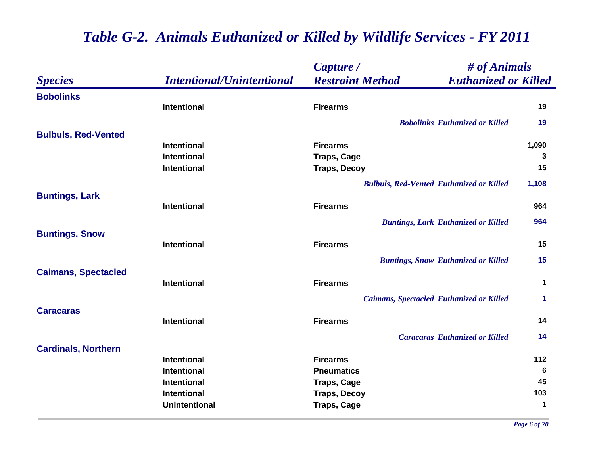|                            |                                  | Capture /                                              | # of Animals |  |
|----------------------------|----------------------------------|--------------------------------------------------------|--------------|--|
| <b>Species</b>             | <b>Intentional/Unintentional</b> | <b>Restraint Method</b><br><b>Euthanized or Killed</b> |              |  |
| <b>Bobolinks</b>           |                                  |                                                        |              |  |
|                            | <b>Intentional</b>               | <b>Firearms</b>                                        | 19           |  |
|                            |                                  | <b>Bobolinks Euthanized or Killed</b>                  | 19           |  |
| <b>Bulbuls, Red-Vented</b> |                                  |                                                        |              |  |
|                            | <b>Intentional</b>               | <b>Firearms</b>                                        | 1,090        |  |
|                            | <b>Intentional</b>               | <b>Traps, Cage</b>                                     | 3            |  |
|                            | <b>Intentional</b>               | <b>Traps, Decoy</b>                                    | 15           |  |
|                            |                                  | <b>Bulbuls, Red-Vented Euthanized or Killed</b>        | 1,108        |  |
| <b>Buntings, Lark</b>      |                                  |                                                        |              |  |
|                            | <b>Intentional</b>               | <b>Firearms</b>                                        | 964          |  |
|                            |                                  | <b>Buntings, Lark Euthanized or Killed</b>             | 964          |  |
| <b>Buntings, Snow</b>      |                                  |                                                        |              |  |
|                            | <b>Intentional</b>               | <b>Firearms</b>                                        | 15           |  |
|                            |                                  | <b>Buntings, Snow Euthanized or Killed</b>             | 15           |  |
| <b>Caimans, Spectacled</b> |                                  |                                                        |              |  |
|                            | <b>Intentional</b>               | <b>Firearms</b>                                        | $\mathbf 1$  |  |
|                            |                                  | <b>Caimans, Spectacled Euthanized or Killed</b>        | 1            |  |
| <b>Caracaras</b>           |                                  |                                                        |              |  |
|                            | <b>Intentional</b>               | <b>Firearms</b>                                        | 14           |  |
|                            |                                  | <b>Caracaras Euthanized or Killed</b>                  | 14           |  |
| <b>Cardinals, Northern</b> |                                  |                                                        |              |  |
|                            | <b>Intentional</b>               | <b>Firearms</b>                                        | 112          |  |
|                            | <b>Intentional</b>               | <b>Pneumatics</b>                                      | 6            |  |
|                            | <b>Intentional</b>               | <b>Traps, Cage</b>                                     | 45           |  |
|                            | <b>Intentional</b>               | <b>Traps, Decoy</b>                                    | 103          |  |
|                            | <b>Unintentional</b>             | <b>Traps, Cage</b>                                     | $\mathbf 1$  |  |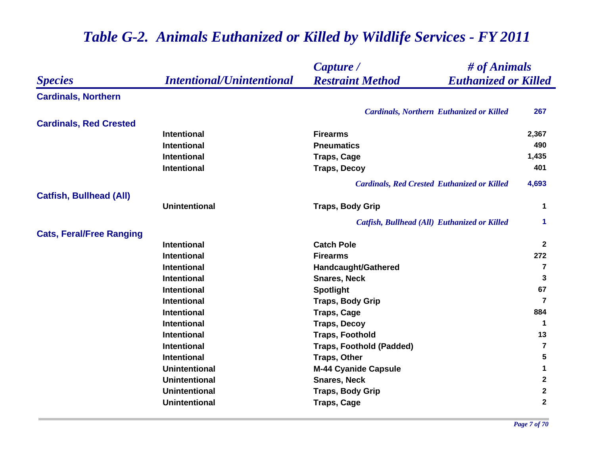|                                 |                                  | # of Animals<br>Capture /                              |                 |
|---------------------------------|----------------------------------|--------------------------------------------------------|-----------------|
| <b>Species</b>                  | <b>Intentional/Unintentional</b> | <b>Restraint Method</b><br><b>Euthanized or Killed</b> |                 |
| <b>Cardinals, Northern</b>      |                                  |                                                        |                 |
|                                 |                                  | <b>Cardinals, Northern Euthanized or Killed</b>        | 267             |
| <b>Cardinals, Red Crested</b>   |                                  |                                                        |                 |
|                                 | <b>Intentional</b>               | <b>Firearms</b>                                        | 2,367           |
|                                 | <b>Intentional</b>               | <b>Pneumatics</b>                                      | 490             |
|                                 | <b>Intentional</b>               | <b>Traps, Cage</b>                                     | 1,435           |
|                                 | <b>Intentional</b>               | <b>Traps, Decoy</b>                                    | 401             |
|                                 |                                  | <b>Cardinals, Red Crested Euthanized or Killed</b>     | 4,693           |
| <b>Catfish, Bullhead (All)</b>  |                                  |                                                        |                 |
|                                 | <b>Unintentional</b>             | <b>Traps, Body Grip</b>                                | $\mathbf 1$     |
|                                 |                                  | Catfish, Bullhead (All) Euthanized or Killed           | 1               |
| <b>Cats, Feral/Free Ranging</b> |                                  |                                                        |                 |
|                                 | <b>Intentional</b>               | <b>Catch Pole</b>                                      | $\mathbf{2}$    |
|                                 | <b>Intentional</b>               | <b>Firearms</b>                                        | 272             |
|                                 | <b>Intentional</b>               | <b>Handcaught/Gathered</b>                             | 7               |
|                                 | Intentional                      | <b>Snares, Neck</b>                                    | 3               |
|                                 | <b>Intentional</b>               | <b>Spotlight</b>                                       | 67              |
|                                 | Intentional                      | <b>Traps, Body Grip</b>                                | 7               |
|                                 | Intentional                      | <b>Traps, Cage</b>                                     | 884             |
|                                 | <b>Intentional</b>               | <b>Traps, Decoy</b>                                    | $\mathbf{1}$    |
|                                 | <b>Intentional</b>               | <b>Traps, Foothold</b>                                 | 13              |
|                                 | <b>Intentional</b>               | <b>Traps, Foothold (Padded)</b>                        | 7               |
|                                 | <b>Intentional</b>               | <b>Traps, Other</b>                                    | $5\phantom{.0}$ |
|                                 | <b>Unintentional</b>             | <b>M-44 Cyanide Capsule</b>                            | 1               |
|                                 | <b>Unintentional</b>             | <b>Snares, Neck</b>                                    | $\mathbf{2}$    |
|                                 | <b>Unintentional</b>             | <b>Traps, Body Grip</b>                                | $\mathbf{2}$    |
|                                 | <b>Unintentional</b>             | <b>Traps, Cage</b>                                     | $\mathbf 2$     |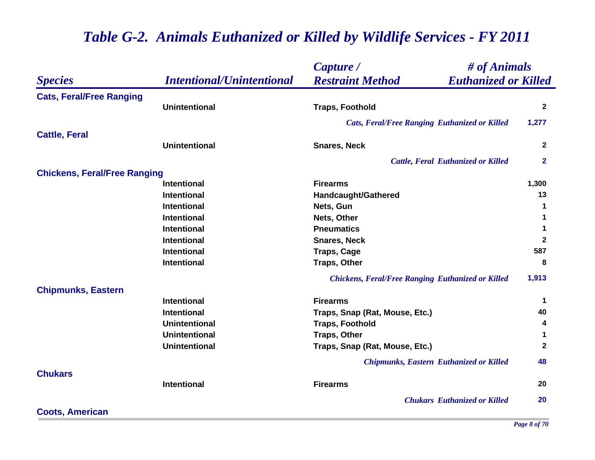|                                     |                                  | # of Animals<br>Capture /                                |                      |
|-------------------------------------|----------------------------------|----------------------------------------------------------|----------------------|
| <b>Species</b>                      | <b>Intentional/Unintentional</b> | <b>Restraint Method</b><br><b>Euthanized or Killed</b>   |                      |
| <b>Cats, Feral/Free Ranging</b>     |                                  |                                                          |                      |
|                                     | <b>Unintentional</b>             | <b>Traps, Foothold</b>                                   | $\mathbf{2}$         |
|                                     |                                  | <b>Cats, Feral/Free Ranging Euthanized or Killed</b>     | 1,277                |
| <b>Cattle, Feral</b>                |                                  |                                                          |                      |
|                                     | <b>Unintentional</b>             | <b>Snares, Neck</b>                                      | $\mathbf{2}$         |
|                                     |                                  | <b>Cattle, Feral Euthanized or Killed</b>                | $\mathbf{2}$         |
| <b>Chickens, Feral/Free Ranging</b> |                                  |                                                          |                      |
|                                     | Intentional                      | <b>Firearms</b>                                          | 1,300                |
|                                     | <b>Intentional</b>               | Handcaught/Gathered                                      | 13                   |
|                                     | <b>Intentional</b>               | Nets, Gun                                                | $\blacktriangleleft$ |
|                                     | <b>Intentional</b>               | Nets, Other                                              | 1                    |
|                                     | <b>Intentional</b>               | <b>Pneumatics</b>                                        | 1                    |
|                                     | <b>Intentional</b>               | <b>Snares, Neck</b>                                      | $\mathbf{2}$         |
|                                     | <b>Intentional</b>               | <b>Traps, Cage</b>                                       | 587                  |
|                                     | <b>Intentional</b>               | <b>Traps, Other</b>                                      | 8                    |
|                                     |                                  | <b>Chickens, Feral/Free Ranging Euthanized or Killed</b> | 1,913                |
| <b>Chipmunks, Eastern</b>           |                                  |                                                          |                      |
|                                     | <b>Intentional</b>               | <b>Firearms</b>                                          | -1                   |
|                                     | <b>Intentional</b>               | Traps, Snap (Rat, Mouse, Etc.)                           | 40                   |
|                                     | <b>Unintentional</b>             | <b>Traps, Foothold</b>                                   | 4                    |
|                                     | <b>Unintentional</b>             | <b>Traps, Other</b>                                      | $\mathbf 1$          |
|                                     | <b>Unintentional</b>             | Traps, Snap (Rat, Mouse, Etc.)                           | $\mathbf{2}$         |
|                                     |                                  | <b>Chipmunks, Eastern Euthanized or Killed</b>           | 48                   |
| <b>Chukars</b>                      |                                  |                                                          |                      |
|                                     | Intentional                      | <b>Firearms</b>                                          | 20                   |
|                                     |                                  | <b>Chukars Euthanized or Killed</b>                      | 20                   |
| <b>Coots, American</b>              |                                  |                                                          |                      |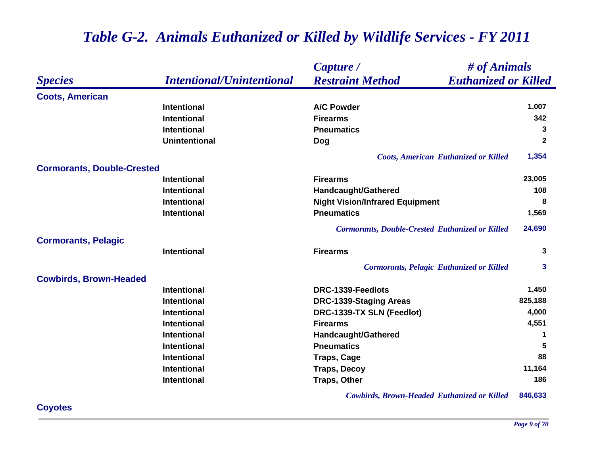#### *Species Capture / Restraint Method # of Animals Intentional/Unintentional Euthanized or Killed* **Coots, American Intentional A/C Powder 1,007 Intentional Firearms 342 Intentional Pneumatics 3 Unintentional Dog <sup>2</sup>** *Coots, American Euthanized or Killed* **1,354 Cormorants, Double-Crested Intentional Firearms 23,005 Intentional Handcaught/Gathered <sup>108</sup> Intentional Night Vision/Infrared Equipment <sup>8</sup> Intentional Pneumatics 1,569** *Cormorants, Double-Crested Euthanized or Killed* **24,690 Cormorants, Pelagic Intentional Firearms 3** *Cormorants, Pelagic Euthanized or Killed* **3 Cowbirds, Brown-Headed Intentional DRC-1339-Feedlots 1,450 Intentional DRC-1339-Staging Areas 825,188 Intentional DRC-1339-TX SLN (Feedlot) 4,000 Intentional Firearms 4,551 Intentional Handcaught/Gathered <sup>1</sup> Intentional Pneumatics 5 Intentional Traps, Cage <sup>88</sup> Intentional Traps, Decoy 11,164 Intentional Traps, Other 186**

### *Table G-2. Animals Euthanized or Killed by Wildlife Services - FY 2011*

*Cowbirds, Brown-Headed Euthanized or Killed* **846,633**

### **Coyotes**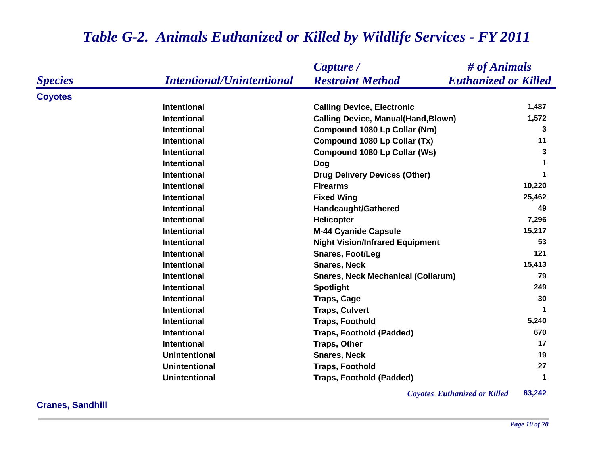### *Species Capture / Restraint Method # of Animals Intentional/Unintentional Euthanized or Killed* **Coyotes Intentional Calling Device, Electronic 1,487 Intentional Calling Device, Manual(Hand,Blown) 1,572 Intentional Compound 1080 Lp Collar (Nm) 3 Intentional Compound 1080 Lp Collar (Tx) <sup>11</sup> Intentional Compound 1080 Lp Collar (Ws) 3 Intentional Dog <sup>1</sup> Intentional Drug Delivery Devices (Other) <sup>1</sup> Intentional Firearms 10,220 Intentional Fixed Wing 25,462 Intentional Handcaught/Gathered <sup>49</sup> Intentional Helicopter 7,296 Intentional M-44 Cyanide Capsule 15,217 Intentional Night Vision/Infrared Equipment <sup>53</sup> Intentional Snares, Foot/Leg <sup>121</sup> Intentional Snares, Neck 15,413 Intentional Snares, Neck Mechanical (Collarum) 79 Intentional Spotlight <sup>249</sup> Intentional Traps, Cage <sup>30</sup> Intentional Traps, Culvert <sup>1</sup> Intentional Traps, Foothold 5,240 Intentional Traps, Foothold (Padded) 670 Intentional Traps, Other <sup>17</sup> Unintentional Snares, Neck 19 Unintentional Traps, Foothold <sup>27</sup> Unintentional Traps, Foothold (Padded) <sup>1</sup>**

### *Table G-2. Animals Euthanized or Killed by Wildlife Services - FY 2011*

*Coyotes Euthanized or Killed* **83,242**

**Cranes, Sandhill**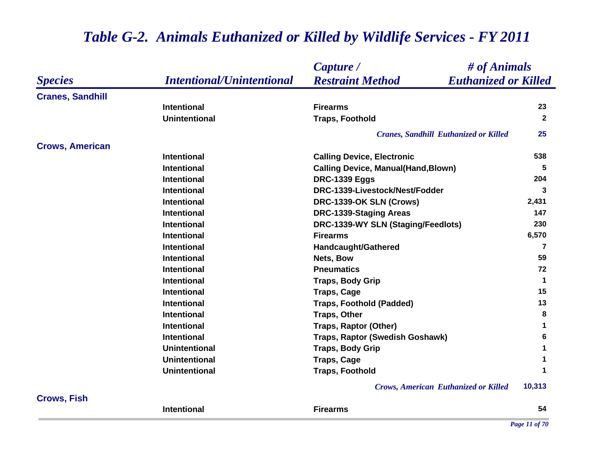|                         |                                  | # of Animals<br>Capture /                              |                      |
|-------------------------|----------------------------------|--------------------------------------------------------|----------------------|
| <b>Species</b>          | <b>Intentional/Unintentional</b> | <b>Restraint Method</b><br><b>Euthanized or Killed</b> |                      |
| <b>Cranes, Sandhill</b> |                                  |                                                        |                      |
|                         | <b>Intentional</b>               | <b>Firearms</b>                                        | 23                   |
|                         | <b>Unintentional</b>             | <b>Traps, Foothold</b>                                 | $\overline{2}$       |
|                         |                                  | <b>Cranes, Sandhill Euthanized or Killed</b>           | 25                   |
| <b>Crows, American</b>  |                                  |                                                        |                      |
|                         | <b>Intentional</b>               | <b>Calling Device, Electronic</b>                      | 538                  |
|                         | <b>Intentional</b>               | <b>Calling Device, Manual(Hand, Blown)</b>             | 5                    |
|                         | <b>Intentional</b>               | <b>DRC-1339 Eggs</b>                                   | 204                  |
|                         | <b>Intentional</b>               | DRC-1339-Livestock/Nest/Fodder                         | 3                    |
|                         | <b>Intentional</b>               | DRC-1339-OK SLN (Crows)                                | 2,431                |
|                         | <b>Intentional</b>               | DRC-1339-Staging Areas                                 | 147                  |
|                         | <b>Intentional</b>               | DRC-1339-WY SLN (Staging/Feedlots)                     | 230                  |
|                         | <b>Intentional</b>               | <b>Firearms</b>                                        | 6,570                |
|                         | <b>Intentional</b>               | <b>Handcaught/Gathered</b>                             | 7                    |
|                         | <b>Intentional</b>               | Nets, Bow                                              | 59                   |
|                         | <b>Intentional</b>               | <b>Pneumatics</b>                                      | 72                   |
|                         | <b>Intentional</b>               | <b>Traps, Body Grip</b>                                | $\blacktriangleleft$ |
|                         | <b>Intentional</b>               | <b>Traps, Cage</b>                                     | 15                   |
|                         | <b>Intentional</b>               | <b>Traps, Foothold (Padded)</b>                        | 13                   |
|                         | <b>Intentional</b>               | <b>Traps, Other</b>                                    | 8                    |
|                         | <b>Intentional</b>               | <b>Traps, Raptor (Other)</b>                           | 1                    |
|                         | <b>Intentional</b>               | Traps, Raptor (Swedish Goshawk)                        | 6                    |
|                         | <b>Unintentional</b>             | <b>Traps, Body Grip</b>                                | 1                    |
|                         | <b>Unintentional</b>             | <b>Traps, Cage</b>                                     | 1                    |
|                         | <b>Unintentional</b>             | <b>Traps, Foothold</b>                                 | 1                    |
|                         |                                  | <b>Crows, American Euthanized or Killed</b>            | 10,313               |
| <b>Crows, Fish</b>      |                                  |                                                        |                      |
|                         | <b>Intentional</b>               | <b>Firearms</b>                                        | 54                   |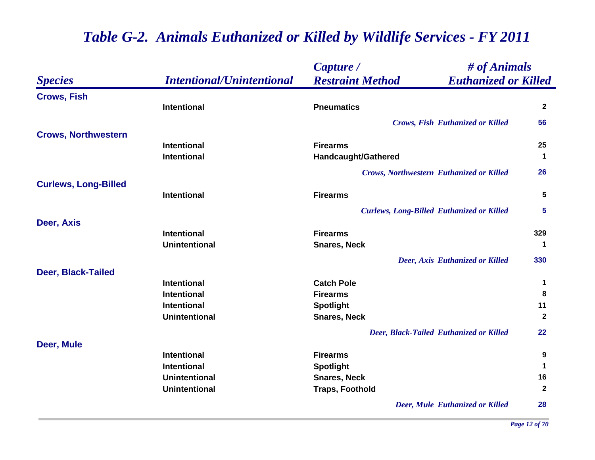|                             |                                  | # of Animals<br>Capture /                              |              |
|-----------------------------|----------------------------------|--------------------------------------------------------|--------------|
| <b>Species</b>              | <b>Intentional/Unintentional</b> | <b>Restraint Method</b><br><b>Euthanized or Killed</b> |              |
| <b>Crows, Fish</b>          |                                  |                                                        |              |
|                             | <b>Intentional</b>               | <b>Pneumatics</b>                                      | $\mathbf{2}$ |
|                             |                                  | <b>Crows, Fish Euthanized or Killed</b>                | 56           |
| <b>Crows, Northwestern</b>  |                                  |                                                        |              |
|                             | <b>Intentional</b>               | <b>Firearms</b>                                        | 25           |
|                             | <b>Intentional</b>               | Handcaught/Gathered                                    | $\mathbf 1$  |
|                             |                                  | <b>Crows, Northwestern Euthanized or Killed</b>        | 26           |
| <b>Curlews, Long-Billed</b> |                                  |                                                        |              |
|                             | <b>Intentional</b>               | <b>Firearms</b>                                        | 5            |
|                             |                                  | <b>Curlews, Long-Billed Euthanized or Killed</b>       | 5            |
| Deer, Axis                  |                                  |                                                        |              |
|                             | <b>Intentional</b>               | <b>Firearms</b>                                        | 329          |
|                             | <b>Unintentional</b>             | <b>Snares, Neck</b>                                    | -1           |
|                             |                                  | Deer, Axis Euthanized or Killed                        | 330          |
| <b>Deer, Black-Tailed</b>   |                                  |                                                        |              |
|                             | <b>Intentional</b>               | <b>Catch Pole</b>                                      | 1            |
|                             | <b>Intentional</b>               | <b>Firearms</b>                                        | 8            |
|                             | <b>Intentional</b>               | <b>Spotlight</b>                                       | 11           |
|                             | <b>Unintentional</b>             | <b>Snares, Neck</b>                                    | $\mathbf{2}$ |
|                             |                                  | Deer, Black-Tailed Euthanized or Killed                | 22           |
| Deer, Mule                  |                                  |                                                        |              |
|                             | <b>Intentional</b>               | <b>Firearms</b>                                        | 9            |
|                             | <b>Intentional</b>               | <b>Spotlight</b>                                       | $\mathbf 1$  |
|                             | <b>Unintentional</b>             | <b>Snares, Neck</b>                                    | 16           |
|                             | <b>Unintentional</b>             | <b>Traps, Foothold</b>                                 | $\mathbf{2}$ |
|                             |                                  | Deer, Mule Euthanized or Killed                        | 28           |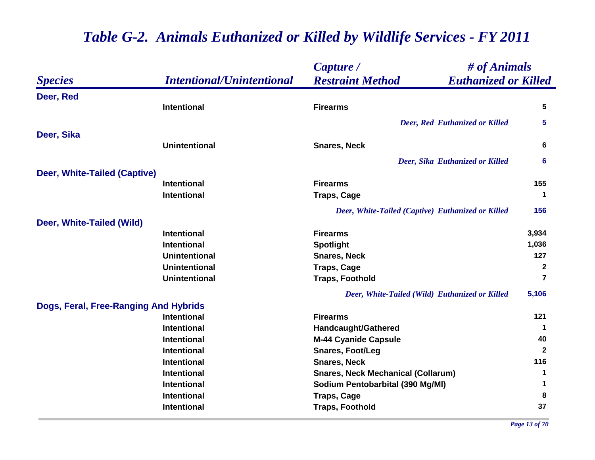|                                       |                                  | Capture /                                              | $\#$ of Animals      |  |
|---------------------------------------|----------------------------------|--------------------------------------------------------|----------------------|--|
| <b>Species</b>                        | <b>Intentional/Unintentional</b> | <b>Restraint Method</b><br><b>Euthanized or Killed</b> |                      |  |
| Deer, Red                             |                                  |                                                        |                      |  |
|                                       | Intentional                      | <b>Firearms</b>                                        | 5                    |  |
|                                       |                                  | <b>Deer, Red Euthanized or Killed</b>                  | 5.                   |  |
| Deer, Sika                            |                                  |                                                        |                      |  |
|                                       | <b>Unintentional</b>             | <b>Snares, Neck</b>                                    | 6                    |  |
|                                       |                                  | Deer, Sika Euthanized or Killed                        | 6                    |  |
| Deer, White-Tailed (Captive)          |                                  |                                                        |                      |  |
|                                       | <b>Intentional</b>               | <b>Firearms</b>                                        | 155                  |  |
|                                       | <b>Intentional</b>               | <b>Traps, Cage</b>                                     | 1                    |  |
|                                       |                                  | Deer, White-Tailed (Captive) Euthanized or Killed      | 156                  |  |
| Deer, White-Tailed (Wild)             |                                  |                                                        |                      |  |
|                                       | <b>Intentional</b>               | <b>Firearms</b>                                        | 3,934                |  |
|                                       | <b>Intentional</b>               | <b>Spotlight</b>                                       | 1,036                |  |
|                                       | <b>Unintentional</b>             | <b>Snares, Neck</b>                                    | 127                  |  |
|                                       | <b>Unintentional</b>             | <b>Traps, Cage</b>                                     | $\mathbf{2}$         |  |
|                                       | <b>Unintentional</b>             | <b>Traps, Foothold</b>                                 | $\overline{7}$       |  |
|                                       |                                  | Deer, White-Tailed (Wild) Euthanized or Killed         | 5,106                |  |
| Dogs, Feral, Free-Ranging And Hybrids |                                  |                                                        |                      |  |
|                                       | <b>Intentional</b>               | <b>Firearms</b>                                        | 121                  |  |
|                                       | <b>Intentional</b>               | <b>Handcaught/Gathered</b>                             | $\blacktriangleleft$ |  |
|                                       | <b>Intentional</b>               | <b>M-44 Cyanide Capsule</b>                            | 40                   |  |
|                                       | <b>Intentional</b>               | <b>Snares, Foot/Leg</b>                                | $\mathbf{2}$         |  |
|                                       | Intentional                      | <b>Snares, Neck</b>                                    | 116                  |  |
|                                       | <b>Intentional</b>               | <b>Snares, Neck Mechanical (Collarum)</b>              | 1                    |  |
|                                       | <b>Intentional</b>               | Sodium Pentobarbital (390 Mg/MI)                       | 1                    |  |
|                                       | <b>Intentional</b>               | <b>Traps, Cage</b>                                     | 8                    |  |
|                                       | <b>Intentional</b>               | <b>Traps, Foothold</b>                                 | 37                   |  |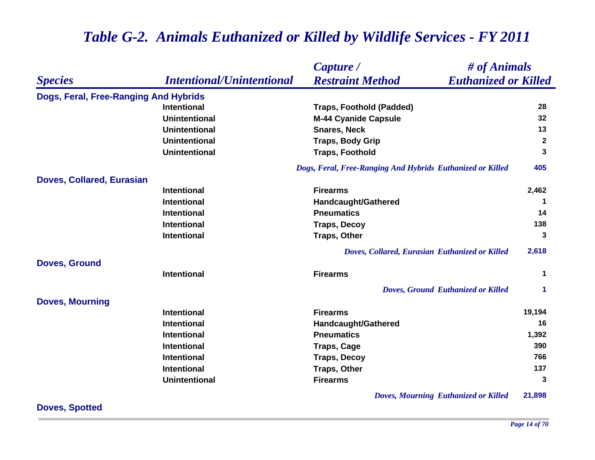|                                       |                                  | # of Animals<br>Capture /                                  |                      |
|---------------------------------------|----------------------------------|------------------------------------------------------------|----------------------|
| <b>Species</b>                        | <b>Intentional/Unintentional</b> | <b>Euthanized or Killed</b><br><b>Restraint Method</b>     |                      |
| Dogs, Feral, Free-Ranging And Hybrids |                                  |                                                            |                      |
|                                       | <b>Intentional</b>               | <b>Traps, Foothold (Padded)</b>                            | 28                   |
|                                       | <b>Unintentional</b>             | <b>M-44 Cyanide Capsule</b>                                | 32                   |
|                                       | <b>Unintentional</b>             | <b>Snares, Neck</b>                                        | 13                   |
|                                       | <b>Unintentional</b>             | <b>Traps, Body Grip</b>                                    | $\overline{2}$       |
|                                       | <b>Unintentional</b>             | <b>Traps, Foothold</b>                                     | 3                    |
|                                       |                                  | Dogs, Feral, Free-Ranging And Hybrids Euthanized or Killed | 405                  |
| <b>Doves, Collared, Eurasian</b>      |                                  |                                                            |                      |
|                                       | <b>Intentional</b>               | <b>Firearms</b>                                            | 2,462                |
|                                       | <b>Intentional</b>               | Handcaught/Gathered                                        |                      |
|                                       | <b>Intentional</b>               | <b>Pneumatics</b>                                          | 14                   |
|                                       | <b>Intentional</b>               | <b>Traps, Decoy</b>                                        | 138                  |
|                                       | <b>Intentional</b>               | <b>Traps, Other</b>                                        | 3                    |
|                                       |                                  | Doves, Collared, Eurasian Euthanized or Killed             | 2,618                |
| <b>Doves, Ground</b>                  |                                  |                                                            |                      |
|                                       | <b>Intentional</b>               | <b>Firearms</b>                                            | $\mathbf 1$          |
|                                       |                                  | Doves, Ground Euthanized or Killed                         | $\blacktriangleleft$ |
| <b>Doves, Mourning</b>                |                                  |                                                            |                      |
|                                       | <b>Intentional</b>               | <b>Firearms</b>                                            | 19,194               |
|                                       | <b>Intentional</b>               | <b>Handcaught/Gathered</b>                                 | 16                   |
|                                       | <b>Intentional</b>               | <b>Pneumatics</b>                                          | 1,392                |
|                                       | <b>Intentional</b>               | <b>Traps, Cage</b>                                         | 390                  |
|                                       | <b>Intentional</b>               | <b>Traps, Decoy</b>                                        | 766                  |
|                                       | <b>Intentional</b>               | <b>Traps, Other</b>                                        | 137                  |
|                                       | <b>Unintentional</b>             | <b>Firearms</b>                                            | 3                    |
|                                       |                                  | <b>Doves, Mourning Euthanized or Killed</b>                | 21,898               |

**Doves, Spotted**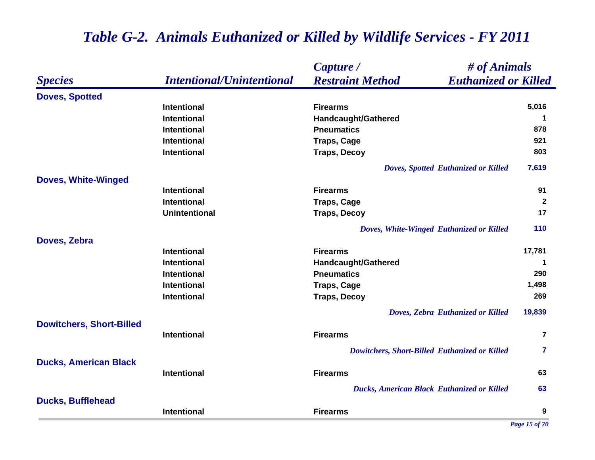|                                 |                                  | # of Animals<br>Capture /                              |                |
|---------------------------------|----------------------------------|--------------------------------------------------------|----------------|
| <b>Species</b>                  | <b>Intentional/Unintentional</b> | <b>Restraint Method</b><br><b>Euthanized or Killed</b> |                |
| <b>Doves, Spotted</b>           |                                  |                                                        |                |
|                                 | <b>Intentional</b>               | <b>Firearms</b>                                        | 5,016          |
|                                 | <b>Intentional</b>               | Handcaught/Gathered                                    | 1              |
|                                 | <b>Intentional</b>               | <b>Pneumatics</b>                                      | 878            |
|                                 | <b>Intentional</b>               | <b>Traps, Cage</b>                                     | 921            |
|                                 | <b>Intentional</b>               | <b>Traps, Decoy</b>                                    | 803            |
|                                 |                                  | Doves, Spotted Euthanized or Killed                    | 7,619          |
| <b>Doves, White-Winged</b>      |                                  |                                                        |                |
|                                 | Intentional                      | <b>Firearms</b>                                        | 91             |
|                                 | <b>Intentional</b>               | <b>Traps, Cage</b>                                     | $\overline{2}$ |
|                                 | <b>Unintentional</b>             | <b>Traps, Decoy</b>                                    | 17             |
|                                 |                                  | Doves, White-Winged Euthanized or Killed               | 110            |
| Doves, Zebra                    |                                  |                                                        |                |
|                                 | Intentional                      | <b>Firearms</b>                                        | 17,781         |
|                                 | <b>Intentional</b>               | Handcaught/Gathered                                    | -1             |
|                                 | <b>Intentional</b>               | <b>Pneumatics</b>                                      | 290            |
|                                 | <b>Intentional</b>               | <b>Traps, Cage</b>                                     | 1,498          |
|                                 | <b>Intentional</b>               | <b>Traps, Decoy</b>                                    | 269            |
|                                 |                                  | Doves, Zebra Euthanized or Killed                      | 19,839         |
| <b>Dowitchers, Short-Billed</b> |                                  |                                                        |                |
|                                 | Intentional                      | <b>Firearms</b>                                        | $\overline{7}$ |
|                                 |                                  | Dowitchers, Short-Billed Euthanized or Killed          | $\overline{7}$ |
| <b>Ducks, American Black</b>    |                                  |                                                        |                |
|                                 | Intentional                      | <b>Firearms</b>                                        | 63             |
|                                 |                                  | <b>Ducks, American Black Euthanized or Killed</b>      | 63             |
| <b>Ducks, Bufflehead</b>        |                                  |                                                        |                |
|                                 | Intentional                      | <b>Firearms</b>                                        | 9              |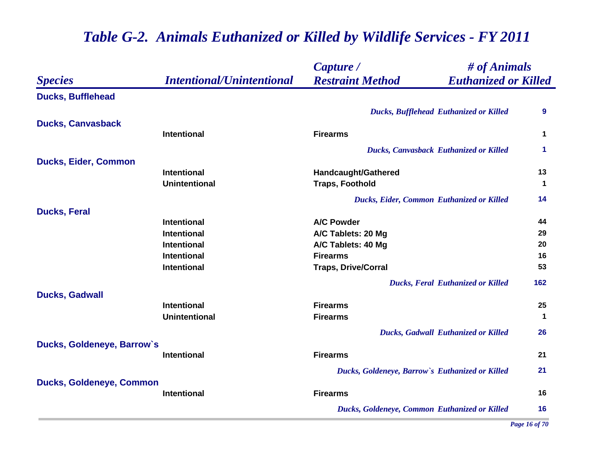|                                 |                                  | # of Animals<br>Capture /                              |                      |
|---------------------------------|----------------------------------|--------------------------------------------------------|----------------------|
| <b>Species</b>                  | <b>Intentional/Unintentional</b> | <b>Restraint Method</b><br><b>Euthanized or Killed</b> |                      |
| <b>Ducks, Bufflehead</b>        |                                  |                                                        |                      |
|                                 |                                  | <b>Ducks, Bufflehead Euthanized or Killed</b>          | 9                    |
| <b>Ducks, Canvasback</b>        |                                  |                                                        |                      |
|                                 | <b>Intentional</b>               | <b>Firearms</b>                                        | 1                    |
|                                 |                                  | <b>Ducks, Canvasback Euthanized or Killed</b>          | 1                    |
| <b>Ducks, Eider, Common</b>     |                                  |                                                        |                      |
|                                 | <b>Intentional</b>               | Handcaught/Gathered                                    | 13                   |
|                                 | <b>Unintentional</b>             | <b>Traps, Foothold</b>                                 | $\blacktriangleleft$ |
|                                 |                                  | Ducks, Eider, Common Euthanized or Killed              | 14                   |
| <b>Ducks, Feral</b>             |                                  |                                                        |                      |
|                                 | <b>Intentional</b>               | <b>A/C Powder</b>                                      | 44                   |
|                                 | <b>Intentional</b>               | A/C Tablets: 20 Mg                                     | 29                   |
|                                 | <b>Intentional</b>               | A/C Tablets: 40 Mg                                     | 20                   |
|                                 | <b>Intentional</b>               | <b>Firearms</b>                                        | 16                   |
|                                 | <b>Intentional</b>               | <b>Traps, Drive/Corral</b>                             | 53                   |
|                                 |                                  | <b>Ducks, Feral Euthanized or Killed</b>               | 162                  |
| <b>Ducks, Gadwall</b>           |                                  |                                                        |                      |
|                                 | <b>Intentional</b>               | <b>Firearms</b>                                        | 25                   |
|                                 | <b>Unintentional</b>             | <b>Firearms</b>                                        | $\mathbf 1$          |
|                                 |                                  | <b>Ducks, Gadwall Euthanized or Killed</b>             | 26                   |
| Ducks, Goldeneye, Barrow's      |                                  |                                                        |                      |
|                                 | <b>Intentional</b>               | <b>Firearms</b>                                        | 21                   |
|                                 |                                  | Ducks, Goldeneye, Barrow's Euthanized or Killed        | 21                   |
| <b>Ducks, Goldeneye, Common</b> |                                  |                                                        |                      |
|                                 | <b>Intentional</b>               | <b>Firearms</b>                                        | 16                   |
|                                 |                                  | Ducks, Goldeneye, Common Euthanized or Killed          | 16                   |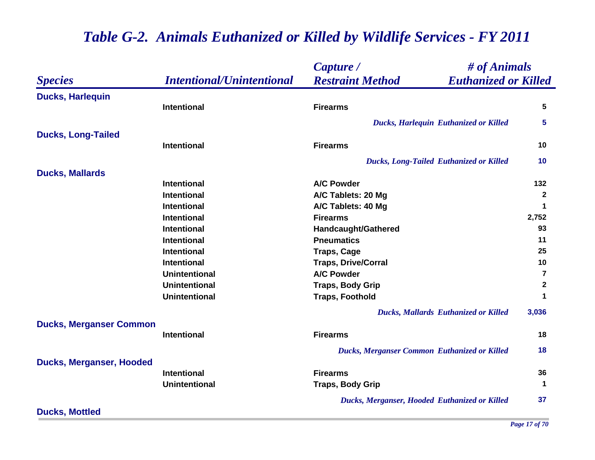|                                 |                                  | # of Animals<br>Capture /                              |                      |
|---------------------------------|----------------------------------|--------------------------------------------------------|----------------------|
| <b>Species</b>                  | <b>Intentional/Unintentional</b> | <b>Restraint Method</b><br><b>Euthanized or Killed</b> |                      |
| <b>Ducks, Harlequin</b>         |                                  |                                                        |                      |
|                                 | <b>Intentional</b>               | <b>Firearms</b>                                        | 5                    |
|                                 |                                  | <b>Ducks, Harlequin Euthanized or Killed</b>           | $5\phantom{1}$       |
| <b>Ducks, Long-Tailed</b>       |                                  |                                                        |                      |
|                                 | <b>Intentional</b>               | <b>Firearms</b>                                        | 10                   |
|                                 |                                  | <b>Ducks, Long-Tailed Euthanized or Killed</b>         | 10                   |
| <b>Ducks, Mallards</b>          |                                  |                                                        |                      |
|                                 | <b>Intentional</b>               | <b>A/C Powder</b>                                      | 132                  |
|                                 | <b>Intentional</b>               | A/C Tablets: 20 Mg                                     | $\overline{2}$       |
|                                 | <b>Intentional</b>               | A/C Tablets: 40 Mg                                     | $\blacktriangleleft$ |
|                                 | <b>Intentional</b>               | <b>Firearms</b>                                        | 2,752                |
|                                 | <b>Intentional</b>               | Handcaught/Gathered                                    | 93                   |
|                                 | <b>Intentional</b>               | <b>Pneumatics</b>                                      | 11                   |
|                                 | <b>Intentional</b>               | <b>Traps, Cage</b>                                     | 25                   |
|                                 | <b>Intentional</b>               | <b>Traps, Drive/Corral</b>                             | 10                   |
|                                 | <b>Unintentional</b>             | <b>A/C Powder</b>                                      | $\overline{7}$       |
|                                 | <b>Unintentional</b>             | <b>Traps, Body Grip</b>                                | $\mathbf{2}$         |
|                                 | <b>Unintentional</b>             | <b>Traps, Foothold</b>                                 | $\blacktriangleleft$ |
|                                 |                                  | <b>Ducks, Mallards Euthanized or Killed</b>            | 3,036                |
| <b>Ducks, Merganser Common</b>  |                                  |                                                        |                      |
|                                 | Intentional                      | <b>Firearms</b>                                        | 18                   |
|                                 |                                  | <b>Ducks, Merganser Common Euthanized or Killed</b>    | 18                   |
| <b>Ducks, Merganser, Hooded</b> |                                  |                                                        |                      |
|                                 | Intentional                      | <b>Firearms</b>                                        | 36                   |
|                                 | <b>Unintentional</b>             | <b>Traps, Body Grip</b>                                | $\blacktriangleleft$ |
|                                 |                                  | Ducks, Merganser, Hooded Euthanized or Killed          | 37                   |
| <b>Ducks, Mottled</b>           |                                  |                                                        |                      |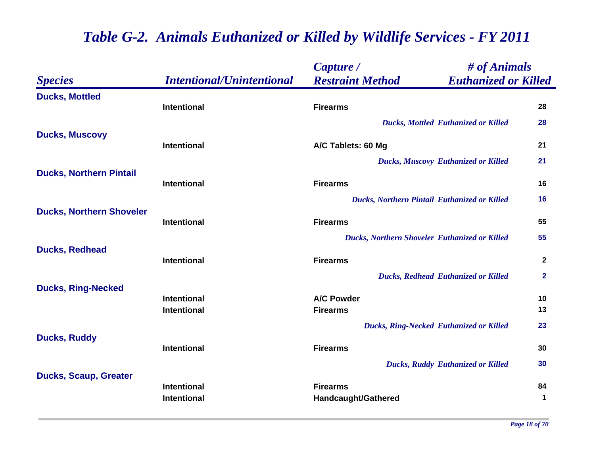|                                 |                                          | Capture /                                      | # of Animals                |                      |
|---------------------------------|------------------------------------------|------------------------------------------------|-----------------------------|----------------------|
| <b>Species</b>                  | <b>Intentional/Unintentional</b>         | <b>Restraint Method</b>                        | <b>Euthanized or Killed</b> |                      |
| <b>Ducks, Mottled</b>           |                                          |                                                |                             |                      |
|                                 | Intentional                              | <b>Firearms</b>                                |                             | 28                   |
|                                 |                                          | <b>Ducks, Mottled Euthanized or Killed</b>     |                             | 28                   |
| <b>Ducks, Muscovy</b>           | <b>Intentional</b>                       | A/C Tablets: 60 Mg                             |                             | 21                   |
|                                 |                                          | <b>Ducks, Muscovy Euthanized or Killed</b>     |                             | 21                   |
| <b>Ducks, Northern Pintail</b>  |                                          |                                                |                             |                      |
|                                 | <b>Intentional</b>                       | <b>Firearms</b>                                |                             | 16                   |
|                                 |                                          | Ducks, Northern Pintail Euthanized or Killed   |                             | 16                   |
| <b>Ducks, Northern Shoveler</b> |                                          |                                                |                             |                      |
|                                 | <b>Intentional</b>                       | <b>Firearms</b>                                |                             | 55                   |
|                                 |                                          | Ducks, Northern Shoveler Euthanized or Killed  |                             | 55                   |
| <b>Ducks, Redhead</b>           |                                          |                                                |                             |                      |
|                                 | <b>Intentional</b>                       | <b>Firearms</b>                                |                             | $\overline{2}$       |
|                                 |                                          | <b>Ducks, Redhead Euthanized or Killed</b>     |                             | $\mathbf{2}$         |
| <b>Ducks, Ring-Necked</b>       |                                          |                                                |                             |                      |
|                                 | <b>Intentional</b><br><b>Intentional</b> | <b>A/C Powder</b><br><b>Firearms</b>           |                             | 10<br>13             |
|                                 |                                          |                                                |                             |                      |
|                                 |                                          | <b>Ducks, Ring-Necked Euthanized or Killed</b> |                             | 23                   |
| <b>Ducks, Ruddy</b>             | Intentional                              | <b>Firearms</b>                                |                             | 30                   |
|                                 |                                          |                                                |                             |                      |
|                                 |                                          | <b>Ducks, Ruddy Euthanized or Killed</b>       |                             | 30                   |
| <b>Ducks, Scaup, Greater</b>    | Intentional                              | <b>Firearms</b>                                |                             | 84                   |
|                                 | <b>Intentional</b>                       | Handcaught/Gathered                            |                             | $\blacktriangleleft$ |
|                                 |                                          |                                                |                             |                      |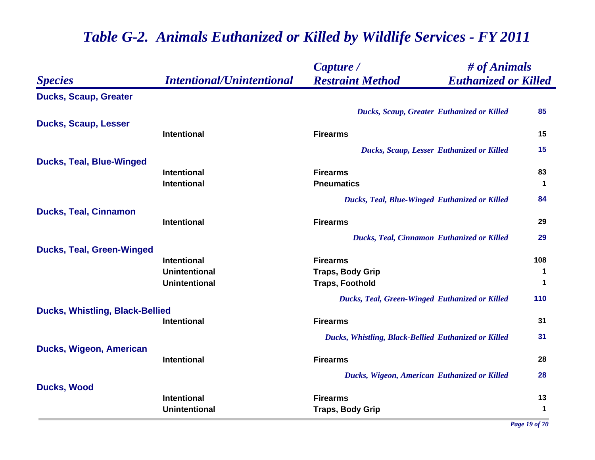|                                        |                                          | # of Animals<br>Capture /                              |                            |
|----------------------------------------|------------------------------------------|--------------------------------------------------------|----------------------------|
| <b>Species</b>                         | <b>Intentional/Unintentional</b>         | <b>Restraint Method</b><br><b>Euthanized or Killed</b> |                            |
| <b>Ducks, Scaup, Greater</b>           |                                          |                                                        |                            |
|                                        |                                          | Ducks, Scaup, Greater Euthanized or Killed             | 85                         |
| <b>Ducks, Scaup, Lesser</b>            |                                          |                                                        |                            |
|                                        | Intentional                              | <b>Firearms</b>                                        | 15                         |
|                                        |                                          | <b>Ducks, Scaup, Lesser Euthanized or Killed</b>       | 15                         |
| <b>Ducks, Teal, Blue-Winged</b>        |                                          |                                                        |                            |
|                                        | <b>Intentional</b><br><b>Intentional</b> | <b>Firearms</b><br><b>Pneumatics</b>                   | 83<br>$\blacktriangleleft$ |
|                                        |                                          |                                                        |                            |
|                                        |                                          | <b>Ducks, Teal, Blue-Winged Euthanized or Killed</b>   | 84                         |
| <b>Ducks, Teal, Cinnamon</b>           | <b>Intentional</b>                       | <b>Firearms</b>                                        | 29                         |
|                                        |                                          |                                                        | 29                         |
| <b>Ducks, Teal, Green-Winged</b>       |                                          | <b>Ducks, Teal, Cinnamon Euthanized or Killed</b>      |                            |
|                                        | <b>Intentional</b>                       | <b>Firearms</b>                                        | 108                        |
|                                        | <b>Unintentional</b>                     | <b>Traps, Body Grip</b>                                | $\mathbf 1$                |
|                                        | <b>Unintentional</b>                     | <b>Traps, Foothold</b>                                 | $\blacktriangleleft$       |
|                                        |                                          | <b>Ducks, Teal, Green-Winged Euthanized or Killed</b>  | 110                        |
| <b>Ducks, Whistling, Black-Bellied</b> |                                          |                                                        |                            |
|                                        | <b>Intentional</b>                       | <b>Firearms</b>                                        | 31                         |
|                                        |                                          | Ducks, Whistling, Black-Bellied Euthanized or Killed   | 31                         |
| Ducks, Wigeon, American                |                                          |                                                        |                            |
|                                        | <b>Intentional</b>                       | <b>Firearms</b>                                        | 28                         |
|                                        |                                          | Ducks, Wigeon, American Euthanized or Killed           | 28                         |
| <b>Ducks, Wood</b>                     |                                          |                                                        |                            |
|                                        | <b>Intentional</b>                       | <b>Firearms</b>                                        | 13<br>$\blacktriangleleft$ |
|                                        | <b>Unintentional</b>                     | <b>Traps, Body Grip</b>                                |                            |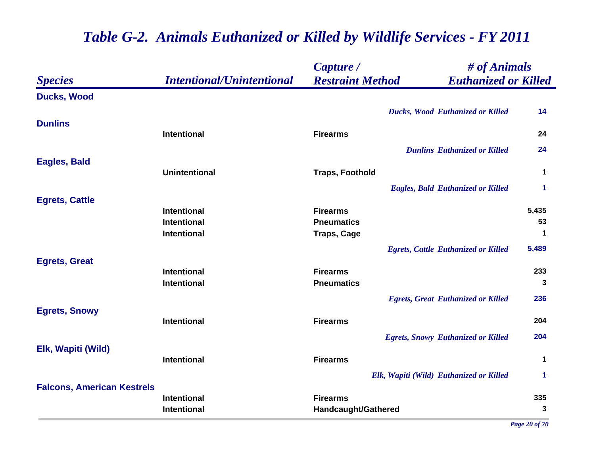|                                   |                                   | Capture /                            | # of Animals                               |             |
|-----------------------------------|-----------------------------------|--------------------------------------|--------------------------------------------|-------------|
| <b>Species</b>                    | <b>Intentional/Unintentional</b>  | <b>Restraint Method</b>              | <b>Euthanized or Killed</b>                |             |
| <b>Ducks, Wood</b>                |                                   |                                      |                                            |             |
|                                   |                                   |                                      | <b>Ducks, Wood Euthanized or Killed</b>    | 14          |
| <b>Dunlins</b>                    |                                   |                                      |                                            |             |
|                                   | <b>Intentional</b>                | <b>Firearms</b>                      |                                            | 24          |
|                                   |                                   |                                      | <b>Dunlins Euthanized or Killed</b>        | 24          |
| Eagles, Bald                      |                                   |                                      |                                            |             |
|                                   | <b>Unintentional</b>              | <b>Traps, Foothold</b>               |                                            | $\mathbf 1$ |
|                                   |                                   |                                      | <b>Eagles, Bald Euthanized or Killed</b>   | 1           |
| <b>Egrets, Cattle</b>             |                                   |                                      |                                            |             |
|                                   | <b>Intentional</b><br>Intentional | <b>Firearms</b><br><b>Pneumatics</b> |                                            | 5,435<br>53 |
|                                   | Intentional                       | <b>Traps, Cage</b>                   |                                            | $\mathbf 1$ |
|                                   |                                   |                                      |                                            |             |
|                                   |                                   |                                      | <b>Egrets, Cattle Euthanized or Killed</b> | 5,489       |
| <b>Egrets, Great</b>              | <b>Intentional</b>                | <b>Firearms</b>                      |                                            | 233         |
|                                   | Intentional                       | <b>Pneumatics</b>                    |                                            | 3           |
|                                   |                                   |                                      |                                            | 236         |
| <b>Egrets, Snowy</b>              |                                   |                                      | <b>Egrets, Great Euthanized or Killed</b>  |             |
|                                   | <b>Intentional</b>                | <b>Firearms</b>                      |                                            | 204         |
|                                   |                                   |                                      | <b>Egrets, Snowy Euthanized or Killed</b>  | 204         |
| Elk, Wapiti (Wild)                |                                   |                                      |                                            |             |
|                                   | <b>Intentional</b>                | <b>Firearms</b>                      |                                            | 1           |
|                                   |                                   |                                      | Elk, Wapiti (Wild) Euthanized or Killed    | 1           |
| <b>Falcons, American Kestrels</b> |                                   |                                      |                                            |             |
|                                   | Intentional                       | <b>Firearms</b>                      |                                            | 335         |
|                                   | Intentional                       | Handcaught/Gathered                  |                                            | 3           |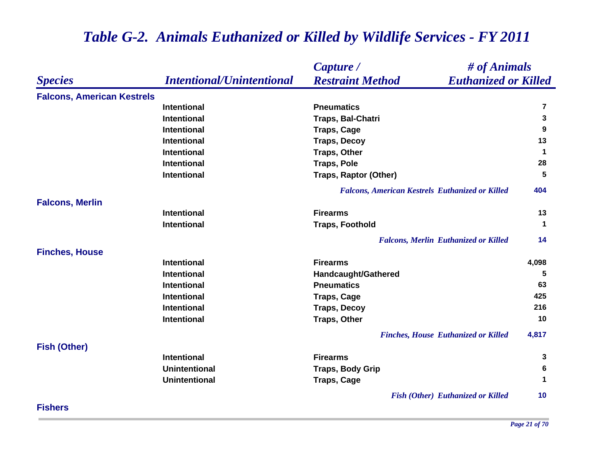|                                   |                                  | # of Animals<br>Capture /                              |                      |
|-----------------------------------|----------------------------------|--------------------------------------------------------|----------------------|
| <b>Species</b>                    | <b>Intentional/Unintentional</b> | <b>Restraint Method</b><br><b>Euthanized or Killed</b> |                      |
| <b>Falcons, American Kestrels</b> |                                  |                                                        |                      |
|                                   | <b>Intentional</b>               | <b>Pneumatics</b>                                      | 7                    |
|                                   | <b>Intentional</b>               | Traps, Bal-Chatri                                      | 3                    |
|                                   | <b>Intentional</b>               | <b>Traps, Cage</b>                                     | 9                    |
|                                   | <b>Intentional</b>               | <b>Traps, Decoy</b>                                    | 13                   |
|                                   | <b>Intentional</b>               | <b>Traps, Other</b>                                    | $\blacktriangleleft$ |
|                                   | <b>Intentional</b>               | <b>Traps, Pole</b>                                     | 28                   |
|                                   | <b>Intentional</b>               | <b>Traps, Raptor (Other)</b>                           | 5                    |
|                                   |                                  | <b>Falcons, American Kestrels Euthanized or Killed</b> | 404                  |
| <b>Falcons, Merlin</b>            |                                  |                                                        |                      |
|                                   | <b>Intentional</b>               | <b>Firearms</b>                                        | 13                   |
|                                   | <b>Intentional</b>               | <b>Traps, Foothold</b>                                 | $\blacktriangleleft$ |
|                                   |                                  | <b>Falcons, Merlin Euthanized or Killed</b>            | 14                   |
| <b>Finches, House</b>             |                                  |                                                        |                      |
|                                   | <b>Intentional</b>               | <b>Firearms</b>                                        | 4,098                |
|                                   | <b>Intentional</b>               | <b>Handcaught/Gathered</b>                             | 5                    |
|                                   | <b>Intentional</b>               | <b>Pneumatics</b>                                      | 63                   |
|                                   | <b>Intentional</b>               | <b>Traps, Cage</b>                                     | 425                  |
|                                   | <b>Intentional</b>               | <b>Traps, Decoy</b>                                    | 216                  |
|                                   | <b>Intentional</b>               | <b>Traps, Other</b>                                    | 10                   |
|                                   |                                  | <b>Finches, House Euthanized or Killed</b>             | 4,817                |
| <b>Fish (Other)</b>               |                                  |                                                        |                      |
|                                   | <b>Intentional</b>               | <b>Firearms</b>                                        | 3                    |
|                                   | <b>Unintentional</b>             | <b>Traps, Body Grip</b>                                | 6                    |
|                                   | <b>Unintentional</b>             | <b>Traps, Cage</b>                                     | $\mathbf 1$          |
|                                   |                                  | <b>Fish (Other) Euthanized or Killed</b>               | 10                   |

**Fishers**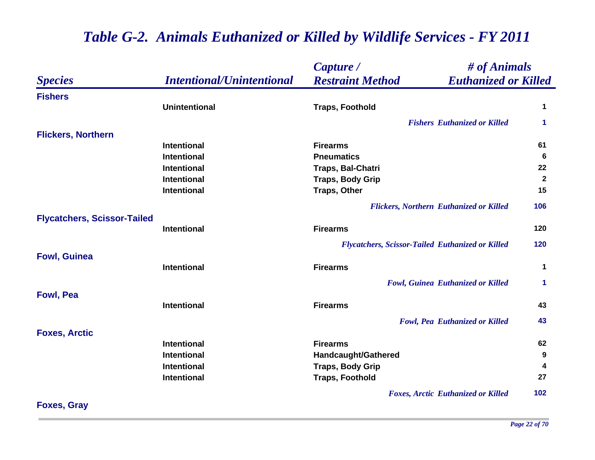|                                    |                                  | Capture /               |                                                         | # of Animals |  |
|------------------------------------|----------------------------------|-------------------------|---------------------------------------------------------|--------------|--|
| <b>Species</b>                     | <b>Intentional/Unintentional</b> | <b>Restraint Method</b> | <b>Euthanized or Killed</b>                             |              |  |
| <b>Fishers</b>                     |                                  |                         |                                                         |              |  |
|                                    | <b>Unintentional</b>             | <b>Traps, Foothold</b>  |                                                         | 1            |  |
|                                    |                                  |                         | <b>Fishers Euthanized or Killed</b>                     | 1            |  |
| <b>Flickers, Northern</b>          |                                  |                         |                                                         |              |  |
|                                    | <b>Intentional</b>               | <b>Firearms</b>         |                                                         | 61           |  |
|                                    | <b>Intentional</b>               | <b>Pneumatics</b>       |                                                         | 6            |  |
|                                    | <b>Intentional</b>               | Traps, Bal-Chatri       |                                                         | 22           |  |
|                                    | <b>Intentional</b>               | <b>Traps, Body Grip</b> |                                                         | $\mathbf{2}$ |  |
|                                    | Intentional                      | <b>Traps, Other</b>     |                                                         | 15           |  |
|                                    |                                  |                         | <b>Flickers, Northern Euthanized or Killed</b>          | 106          |  |
| <b>Flycatchers, Scissor-Tailed</b> |                                  |                         |                                                         |              |  |
|                                    | Intentional                      | <b>Firearms</b>         |                                                         | 120          |  |
|                                    |                                  |                         | <b>Flycatchers, Scissor-Tailed Euthanized or Killed</b> | 120          |  |
| <b>Fowl, Guinea</b>                |                                  |                         |                                                         |              |  |
|                                    | Intentional                      | <b>Firearms</b>         |                                                         | 1            |  |
|                                    |                                  |                         | <b>Fowl, Guinea Euthanized or Killed</b>                | 1            |  |
| <b>Fowl, Pea</b>                   |                                  |                         |                                                         |              |  |
|                                    | Intentional                      | <b>Firearms</b>         |                                                         | 43           |  |
|                                    |                                  |                         | <b>Fowl, Pea Euthanized or Killed</b>                   | 43           |  |
| <b>Foxes, Arctic</b>               |                                  |                         |                                                         |              |  |
|                                    | Intentional                      | <b>Firearms</b>         |                                                         | 62           |  |
|                                    | <b>Intentional</b>               | Handcaught/Gathered     |                                                         | 9            |  |
|                                    | Intentional                      | <b>Traps, Body Grip</b> |                                                         | 4            |  |
|                                    | Intentional                      | <b>Traps, Foothold</b>  |                                                         | 27           |  |
|                                    |                                  |                         | <b>Foxes, Arctic Euthanized or Killed</b>               | 102          |  |

**Foxes, Gray**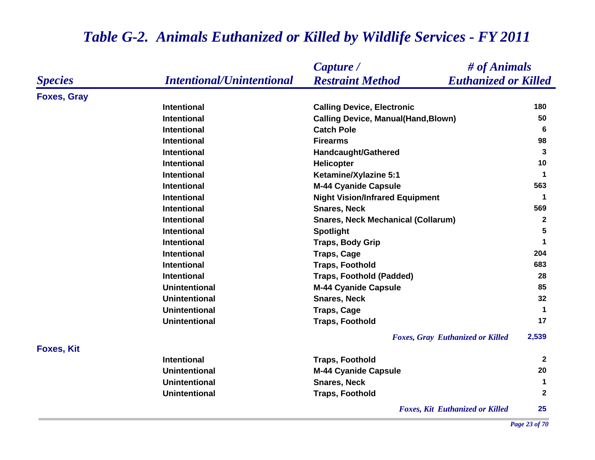|                    |                                  | Capture /                                  | # of Animals                |
|--------------------|----------------------------------|--------------------------------------------|-----------------------------|
| <b>Species</b>     | <b>Intentional/Unintentional</b> | <b>Restraint Method</b>                    | <b>Euthanized or Killed</b> |
| <b>Foxes, Gray</b> |                                  |                                            |                             |
|                    | <b>Intentional</b>               | <b>Calling Device, Electronic</b>          | 180                         |
|                    | <b>Intentional</b>               | <b>Calling Device, Manual(Hand, Blown)</b> | 50                          |
|                    | <b>Intentional</b>               | <b>Catch Pole</b>                          | 6                           |
|                    | <b>Intentional</b>               | <b>Firearms</b>                            | 98                          |
|                    | <b>Intentional</b>               | Handcaught/Gathered                        | 3                           |
|                    | <b>Intentional</b>               | <b>Helicopter</b>                          | 10                          |
|                    | <b>Intentional</b>               | Ketamine/Xylazine 5:1                      | $\mathbf 1$                 |
|                    | <b>Intentional</b>               | <b>M-44 Cyanide Capsule</b>                | 563                         |
|                    | <b>Intentional</b>               | <b>Night Vision/Infrared Equipment</b>     | $\mathbf 1$                 |
|                    | <b>Intentional</b>               | <b>Snares, Neck</b>                        | 569                         |
|                    | <b>Intentional</b>               | <b>Snares, Neck Mechanical (Collarum)</b>  | $\overline{2}$              |
|                    | <b>Intentional</b>               | <b>Spotlight</b>                           | 5                           |
|                    | <b>Intentional</b>               | <b>Traps, Body Grip</b>                    | $\mathbf 1$                 |
|                    | <b>Intentional</b>               | <b>Traps, Cage</b>                         | 204                         |
|                    | <b>Intentional</b>               | <b>Traps, Foothold</b>                     | 683                         |
|                    | <b>Intentional</b>               | <b>Traps, Foothold (Padded)</b>            | 28                          |
|                    | <b>Unintentional</b>             | <b>M-44 Cyanide Capsule</b>                | 85                          |
|                    | <b>Unintentional</b>             | <b>Snares, Neck</b>                        | 32                          |
|                    | <b>Unintentional</b>             | <b>Traps, Cage</b>                         | $\blacktriangleleft$        |
|                    | <b>Unintentional</b>             | <b>Traps, Foothold</b>                     | 17                          |
|                    |                                  | <b>Foxes, Gray Euthanized or Killed</b>    | 2,539                       |
| <b>Foxes, Kit</b>  |                                  |                                            |                             |
|                    | <b>Intentional</b>               | <b>Traps, Foothold</b>                     | $\mathbf{2}$                |
|                    | <b>Unintentional</b>             | <b>M-44 Cyanide Capsule</b>                | 20                          |
|                    | <b>Unintentional</b>             | <b>Snares, Neck</b>                        | $\mathbf 1$                 |
|                    | <b>Unintentional</b>             | <b>Traps, Foothold</b>                     | $\mathbf{2}$                |
|                    |                                  | <b>Foxes, Kit Euthanized or Killed</b>     | 25                          |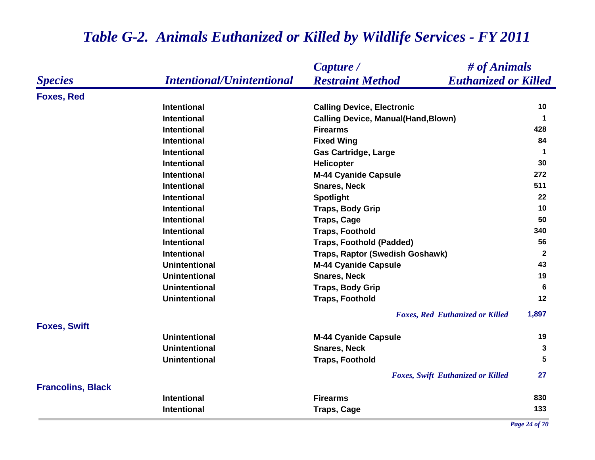### *Species Capture / Restraint Method # of Animals Intentional/Unintentional Euthanized or Killed* **Foxes, Red Intentional Calling Device, Electronic <sup>10</sup> Intentional Calling Device, Manual(Hand,Blown) <sup>1</sup> Intentional Firearms 428 Intentional Fixed Wing <sup>84</sup> Intentional Cas Cartridge, Large 1 Intentional Helicopter 30 Intentional M-44 Cyanide Capsule <sup>272</sup> Intentional Snares, Neck 511 Intentional Spotlight <sup>22</sup> Intentional Traps, Body Grip <sup>10</sup> Intentional Traps, Cage <sup>50</sup> Intentional Traps, Foothold 340 Intentional Traps, Foothold (Padded) 56 Intentional Traps, Raptor (Swedish Goshawk) <sup>2</sup> Unintentional M-44 Cyanide Capsule <sup>43</sup> Unintentional Snares, Neck 19 Unintentional Traps, Body Grip <sup>6</sup> Unintentional Traps, Foothold <sup>12</sup>** *Foxes, Red Euthanized or Killed* **1,897 Foxes, Swift Unintentional M-44 Cyanide Capsule <sup>19</sup> Unintentional Snares, Neck 3 Unintentional Traps, Foothold 5** *Foxes, Swift Euthanized or Killed* **27 Francolins, Black Intentional Firearms 830 Intentional Traps, Cage <sup>133</sup>**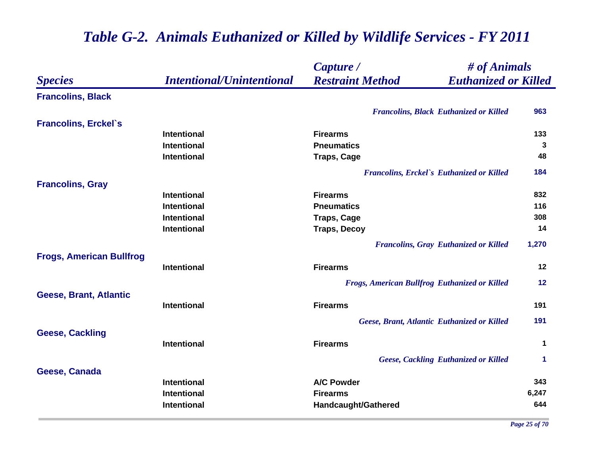|                                 |                                  | Capture /                                              | # of Animals         |  |
|---------------------------------|----------------------------------|--------------------------------------------------------|----------------------|--|
| <b>Species</b>                  | <b>Intentional/Unintentional</b> | <b>Restraint Method</b><br><b>Euthanized or Killed</b> |                      |  |
| <b>Francolins, Black</b>        |                                  |                                                        |                      |  |
|                                 |                                  | <b>Francolins, Black Euthanized or Killed</b>          | 963                  |  |
| <b>Francolins, Erckel's</b>     |                                  |                                                        |                      |  |
|                                 | Intentional                      | <b>Firearms</b>                                        | 133                  |  |
|                                 | Intentional                      | <b>Pneumatics</b>                                      | 3                    |  |
|                                 | Intentional                      | <b>Traps, Cage</b>                                     | 48                   |  |
|                                 |                                  | <b>Francolins, Erckel's Euthanized or Killed</b>       | 184                  |  |
| <b>Francolins, Gray</b>         |                                  |                                                        |                      |  |
|                                 | <b>Intentional</b>               | <b>Firearms</b>                                        | 832                  |  |
|                                 | <b>Intentional</b>               | <b>Pneumatics</b>                                      | 116                  |  |
|                                 | Intentional                      | <b>Traps, Cage</b>                                     | 308                  |  |
|                                 | Intentional                      | <b>Traps, Decoy</b>                                    | 14                   |  |
|                                 |                                  | <b>Francolins, Gray Euthanized or Killed</b>           | 1,270                |  |
| <b>Frogs, American Bullfrog</b> |                                  |                                                        |                      |  |
|                                 | <b>Intentional</b>               | <b>Firearms</b>                                        | 12                   |  |
|                                 |                                  | <b>Frogs, American Bullfrog Euthanized or Killed</b>   | 12                   |  |
| Geese, Brant, Atlantic          |                                  |                                                        |                      |  |
|                                 | Intentional                      | <b>Firearms</b>                                        | 191                  |  |
|                                 |                                  | Geese, Brant, Atlantic Euthanized or Killed            | 191                  |  |
| <b>Geese, Cackling</b>          |                                  |                                                        |                      |  |
|                                 | Intentional                      | <b>Firearms</b>                                        | $\mathbf 1$          |  |
|                                 |                                  | <b>Geese, Cackling Euthanized or Killed</b>            | $\blacktriangleleft$ |  |
| Geese, Canada                   |                                  |                                                        |                      |  |
|                                 | Intentional                      | <b>A/C Powder</b>                                      | 343                  |  |
|                                 | Intentional                      | <b>Firearms</b>                                        | 6,247                |  |
|                                 | Intentional                      | Handcaught/Gathered                                    | 644                  |  |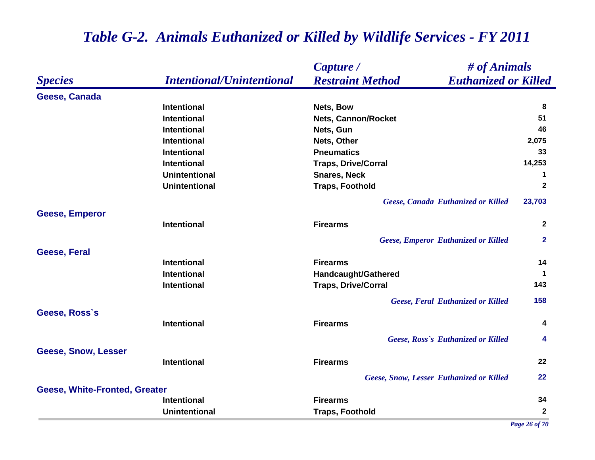|                                      |                                  | # of Animals<br>Capture /                              |              |
|--------------------------------------|----------------------------------|--------------------------------------------------------|--------------|
| <b>Species</b>                       | <b>Intentional/Unintentional</b> | <b>Restraint Method</b><br><b>Euthanized or Killed</b> |              |
| Geese, Canada                        |                                  |                                                        |              |
|                                      | <b>Intentional</b>               | Nets, Bow                                              | 8            |
|                                      | <b>Intentional</b>               | <b>Nets, Cannon/Rocket</b>                             | 51           |
|                                      | <b>Intentional</b>               | Nets, Gun                                              | 46           |
|                                      | <b>Intentional</b>               | Nets, Other                                            | 2,075        |
|                                      | <b>Intentional</b>               | <b>Pneumatics</b>                                      | 33           |
|                                      | <b>Intentional</b>               | <b>Traps, Drive/Corral</b>                             | 14,253       |
|                                      | <b>Unintentional</b>             | <b>Snares, Neck</b>                                    | 1            |
|                                      | <b>Unintentional</b>             | <b>Traps, Foothold</b>                                 | $\mathbf{2}$ |
|                                      |                                  | Geese, Canada Euthanized or Killed                     | 23,703       |
| <b>Geese, Emperor</b>                |                                  |                                                        |              |
|                                      | <b>Intentional</b>               | <b>Firearms</b>                                        | $\mathbf{2}$ |
|                                      |                                  | <b>Geese, Emperor Euthanized or Killed</b>             | $\mathbf{2}$ |
| <b>Geese, Feral</b>                  |                                  |                                                        |              |
|                                      | <b>Intentional</b>               | <b>Firearms</b>                                        | 14           |
|                                      | <b>Intentional</b>               | <b>Handcaught/Gathered</b>                             | $\mathbf 1$  |
|                                      | <b>Intentional</b>               | <b>Traps, Drive/Corral</b>                             | 143          |
|                                      |                                  | <b>Geese, Feral Euthanized or Killed</b>               | 158          |
| Geese, Ross's                        |                                  |                                                        |              |
|                                      | <b>Intentional</b>               | <b>Firearms</b>                                        | 4            |
|                                      |                                  | Geese, Ross's Euthanized or Killed                     | 4            |
| <b>Geese, Snow, Lesser</b>           |                                  |                                                        |              |
|                                      | <b>Intentional</b>               | <b>Firearms</b>                                        | 22           |
|                                      |                                  | <b>Geese, Snow, Lesser Euthanized or Killed</b>        | 22           |
| <b>Geese, White-Fronted, Greater</b> |                                  |                                                        |              |
|                                      | <b>Intentional</b>               | <b>Firearms</b>                                        | 34           |
|                                      | <b>Unintentional</b>             | <b>Traps, Foothold</b>                                 | $\mathbf{2}$ |

*Page 26 of 70*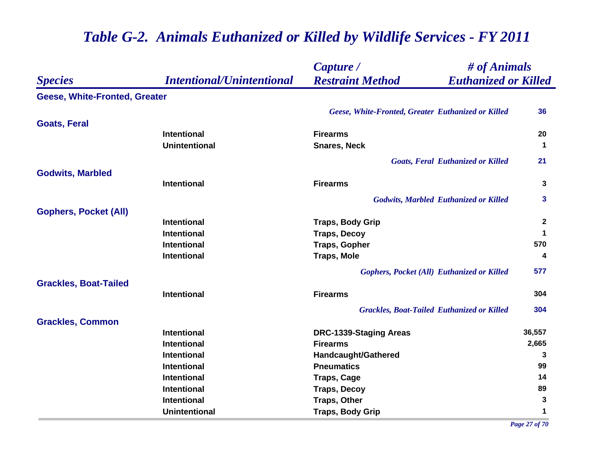|                                      |                                  | # of Animals<br>Capture /                              |              |
|--------------------------------------|----------------------------------|--------------------------------------------------------|--------------|
| <b>Species</b>                       | <i>Intentional/Unintentional</i> | <b>Restraint Method</b><br><b>Euthanized or Killed</b> |              |
| <b>Geese, White-Fronted, Greater</b> |                                  |                                                        |              |
|                                      |                                  | Geese, White-Fronted, Greater Euthanized or Killed     | 36           |
| <b>Goats, Feral</b>                  |                                  |                                                        |              |
|                                      | <b>Intentional</b>               | <b>Firearms</b>                                        | 20           |
|                                      | <b>Unintentional</b>             | <b>Snares, Neck</b>                                    | $\mathbf{1}$ |
|                                      |                                  | <b>Goats, Feral Euthanized or Killed</b>               | 21           |
| <b>Godwits, Marbled</b>              |                                  |                                                        |              |
|                                      | <b>Intentional</b>               | <b>Firearms</b>                                        | 3            |
|                                      |                                  | <b>Godwits, Marbled Euthanized or Killed</b>           | 3            |
| <b>Gophers, Pocket (All)</b>         |                                  |                                                        |              |
|                                      | <b>Intentional</b>               | <b>Traps, Body Grip</b>                                | $\mathbf{2}$ |
|                                      | Intentional                      | <b>Traps, Decoy</b>                                    | 1            |
|                                      | Intentional                      | <b>Traps, Gopher</b>                                   | 570          |
|                                      | <b>Intentional</b>               | <b>Traps, Mole</b>                                     | 4            |
|                                      |                                  | <b>Gophers, Pocket (All) Euthanized or Killed</b>      | 577          |
| <b>Grackles, Boat-Tailed</b>         |                                  |                                                        |              |
|                                      | <b>Intentional</b>               | <b>Firearms</b>                                        | 304          |
|                                      |                                  | <b>Grackles, Boat-Tailed Euthanized or Killed</b>      | 304          |
| <b>Grackles, Common</b>              |                                  |                                                        |              |
|                                      | <b>Intentional</b>               | DRC-1339-Staging Areas                                 | 36,557       |
|                                      | <b>Intentional</b>               | <b>Firearms</b>                                        | 2,665        |
|                                      | Intentional                      | Handcaught/Gathered                                    | 3            |
|                                      | Intentional                      | <b>Pneumatics</b>                                      | 99           |
|                                      | <b>Intentional</b>               | <b>Traps, Cage</b>                                     | 14           |
|                                      | Intentional                      | <b>Traps, Decoy</b>                                    | 89           |
|                                      | <b>Intentional</b>               | <b>Traps, Other</b>                                    | 3            |
|                                      | <b>Unintentional</b>             | <b>Traps, Body Grip</b>                                | 1            |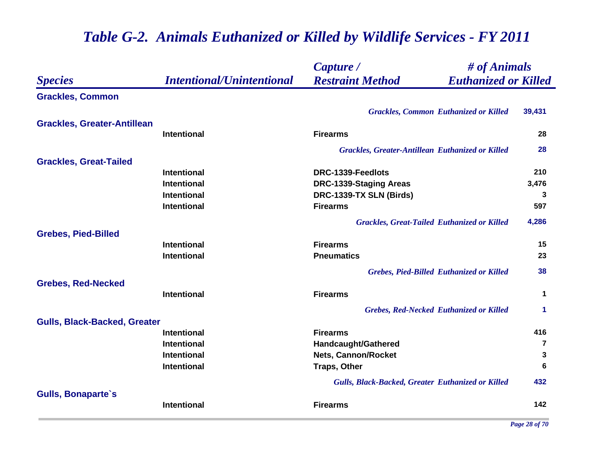|                                     |                                  | # of Animals<br>Capture /                               |                |
|-------------------------------------|----------------------------------|---------------------------------------------------------|----------------|
| <b>Species</b>                      | <b>Intentional/Unintentional</b> | <b>Restraint Method</b><br><b>Euthanized or Killed</b>  |                |
| <b>Grackles, Common</b>             |                                  |                                                         |                |
|                                     |                                  | <b>Grackles, Common Euthanized or Killed</b>            | 39,431         |
| <b>Grackles, Greater-Antillean</b>  |                                  |                                                         |                |
|                                     | Intentional                      | <b>Firearms</b>                                         | 28             |
|                                     |                                  | <b>Grackles, Greater-Antillean Euthanized or Killed</b> | 28             |
| <b>Grackles, Great-Tailed</b>       |                                  |                                                         |                |
|                                     | <b>Intentional</b>               | DRC-1339-Feedlots                                       | 210            |
|                                     | <b>Intentional</b>               | DRC-1339-Staging Areas                                  | 3,476          |
|                                     | <b>Intentional</b>               | DRC-1339-TX SLN (Birds)                                 | 3              |
|                                     | Intentional                      | <b>Firearms</b>                                         | 597            |
|                                     |                                  | <b>Grackles, Great-Tailed Euthanized or Killed</b>      | 4,286          |
| <b>Grebes, Pied-Billed</b>          |                                  |                                                         |                |
|                                     | <b>Intentional</b>               | <b>Firearms</b>                                         | 15             |
|                                     | <b>Intentional</b>               | <b>Pneumatics</b>                                       | 23             |
|                                     |                                  | <b>Grebes, Pied-Billed Euthanized or Killed</b>         | 38             |
| <b>Grebes, Red-Necked</b>           |                                  |                                                         |                |
|                                     | <b>Intentional</b>               | <b>Firearms</b>                                         | $\mathbf 1$    |
|                                     |                                  | <b>Grebes, Red-Necked Euthanized or Killed</b>          | 1              |
| <b>Gulls, Black-Backed, Greater</b> |                                  |                                                         |                |
|                                     | <b>Intentional</b>               | <b>Firearms</b>                                         | 416            |
|                                     | <b>Intentional</b>               | <b>Handcaught/Gathered</b>                              | $\overline{7}$ |
|                                     | Intentional                      | <b>Nets, Cannon/Rocket</b>                              | 3              |
|                                     | Intentional                      | <b>Traps, Other</b>                                     | 6              |
|                                     |                                  | Gulls, Black-Backed, Greater Euthanized or Killed       | 432            |
| <b>Gulls, Bonaparte's</b>           |                                  |                                                         |                |
|                                     | <b>Intentional</b>               | <b>Firearms</b>                                         | 142            |
|                                     |                                  |                                                         |                |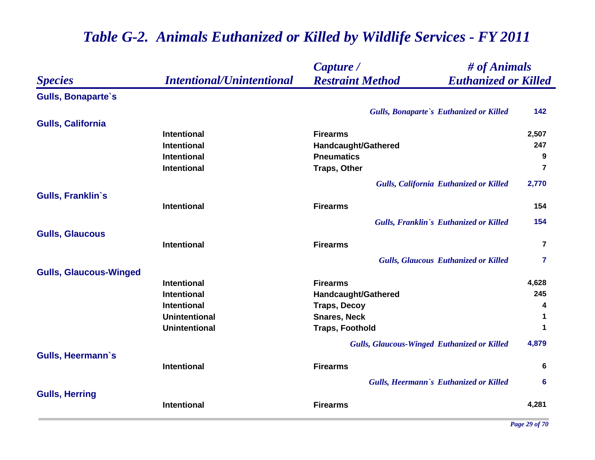|                               |                                  | # of Animals<br>Capture /                              |                |
|-------------------------------|----------------------------------|--------------------------------------------------------|----------------|
| <b>Species</b>                | <b>Intentional/Unintentional</b> | <b>Restraint Method</b><br><b>Euthanized or Killed</b> |                |
| <b>Gulls, Bonaparte's</b>     |                                  |                                                        |                |
|                               |                                  | Gulls, Bonaparte's Euthanized or Killed                | 142            |
| <b>Gulls, California</b>      |                                  |                                                        |                |
|                               | <b>Intentional</b>               | <b>Firearms</b>                                        | 2,507          |
|                               | <b>Intentional</b>               | Handcaught/Gathered                                    | 247            |
|                               | <b>Intentional</b>               | <b>Pneumatics</b>                                      | 9              |
|                               | <b>Intentional</b>               | <b>Traps, Other</b>                                    | 7              |
|                               |                                  | <b>Gulls, California Euthanized or Killed</b>          | 2,770          |
| Gulls, Franklin's             |                                  |                                                        |                |
|                               | <b>Intentional</b>               | <b>Firearms</b>                                        | 154            |
|                               |                                  | Gulls, Franklin's Euthanized or Killed                 | 154            |
| <b>Gulls, Glaucous</b>        |                                  |                                                        |                |
|                               | <b>Intentional</b>               | <b>Firearms</b>                                        | $\overline{7}$ |
|                               |                                  | <b>Gulls, Glaucous Euthanized or Killed</b>            | 7              |
| <b>Gulls, Glaucous-Winged</b> |                                  |                                                        |                |
|                               | <b>Intentional</b>               | <b>Firearms</b>                                        | 4,628          |
|                               | <b>Intentional</b>               | Handcaught/Gathered                                    | 245            |
|                               | <b>Intentional</b>               | <b>Traps, Decoy</b>                                    | 4              |
|                               | <b>Unintentional</b>             | <b>Snares, Neck</b>                                    | 1              |
|                               | <b>Unintentional</b>             | <b>Traps, Foothold</b>                                 | 1              |
|                               |                                  | <b>Gulls, Glaucous-Winged Euthanized or Killed</b>     | 4,879          |
| <b>Gulls, Heermann's</b>      |                                  |                                                        |                |
|                               | <b>Intentional</b>               | <b>Firearms</b>                                        | 6              |
|                               |                                  | Gulls, Heermann's Euthanized or Killed                 | 6              |
| <b>Gulls, Herring</b>         |                                  |                                                        |                |
|                               | <b>Intentional</b>               | <b>Firearms</b>                                        | 4,281          |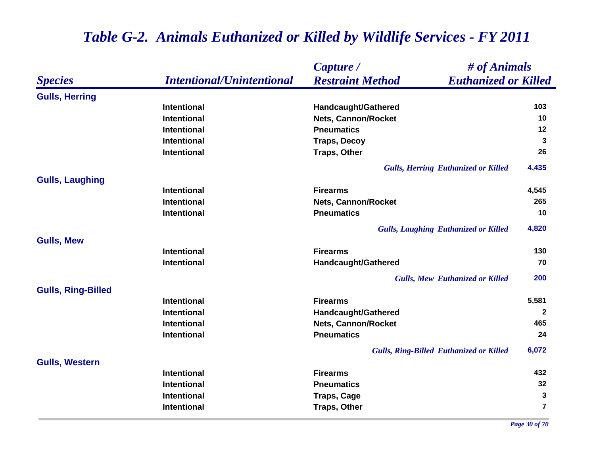|                           |                                  | Capture /                                              | # of Animals   |
|---------------------------|----------------------------------|--------------------------------------------------------|----------------|
| <b>Species</b>            | <b>Intentional/Unintentional</b> | <b>Restraint Method</b><br><b>Euthanized or Killed</b> |                |
| <b>Gulls, Herring</b>     |                                  |                                                        |                |
|                           | <b>Intentional</b>               | Handcaught/Gathered                                    | 103            |
|                           | <b>Intentional</b>               | <b>Nets, Cannon/Rocket</b>                             | 10             |
|                           | <b>Intentional</b>               | <b>Pneumatics</b>                                      | 12             |
|                           | <b>Intentional</b>               | <b>Traps, Decoy</b>                                    | $\mathbf{3}$   |
|                           | <b>Intentional</b>               | <b>Traps, Other</b>                                    | 26             |
|                           |                                  | <b>Gulls, Herring Euthanized or Killed</b>             | 4,435          |
| <b>Gulls, Laughing</b>    |                                  |                                                        |                |
|                           | <b>Intentional</b>               | <b>Firearms</b>                                        | 4,545          |
|                           | <b>Intentional</b>               | Nets, Cannon/Rocket                                    | 265            |
|                           | <b>Intentional</b>               | <b>Pneumatics</b>                                      | 10             |
|                           |                                  | <b>Gulls, Laughing Euthanized or Killed</b>            | 4,820          |
| <b>Gulls, Mew</b>         |                                  |                                                        |                |
|                           | <b>Intentional</b>               | <b>Firearms</b>                                        | 130            |
|                           | <b>Intentional</b>               | Handcaught/Gathered                                    | 70             |
|                           |                                  | <b>Gulls, Mew Euthanized or Killed</b>                 | 200            |
| <b>Gulls, Ring-Billed</b> |                                  |                                                        |                |
|                           | <b>Intentional</b>               | <b>Firearms</b>                                        | 5,581          |
|                           | <b>Intentional</b>               | Handcaught/Gathered                                    | $\mathbf{2}$   |
|                           | <b>Intentional</b>               | <b>Nets, Cannon/Rocket</b>                             | 465            |
|                           | <b>Intentional</b>               | <b>Pneumatics</b>                                      | 24             |
|                           |                                  | <b>Gulls, Ring-Billed Euthanized or Killed</b>         | 6,072          |
| <b>Gulls, Western</b>     |                                  |                                                        |                |
|                           | <b>Intentional</b>               | <b>Firearms</b>                                        | 432            |
|                           | <b>Intentional</b>               | <b>Pneumatics</b>                                      | 32             |
|                           | <b>Intentional</b>               | <b>Traps, Cage</b>                                     | 3              |
|                           | <b>Intentional</b>               | <b>Traps, Other</b>                                    | $\overline{7}$ |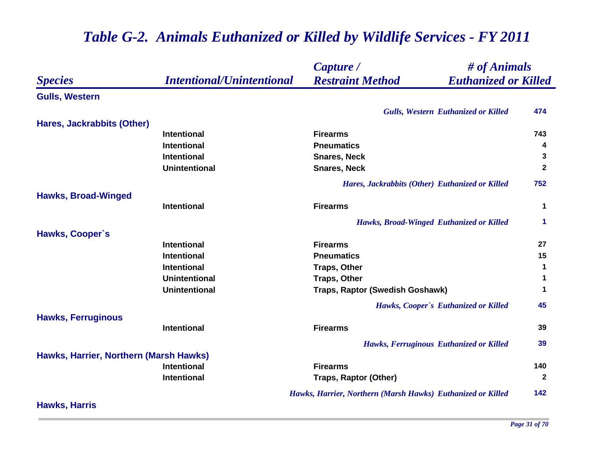|                                        |                                  | # of Animals<br>Capture /                                   |                      |
|----------------------------------------|----------------------------------|-------------------------------------------------------------|----------------------|
| <b>Species</b>                         | <b>Intentional/Unintentional</b> | <b>Restraint Method</b><br><b>Euthanized or Killed</b>      |                      |
| <b>Gulls, Western</b>                  |                                  |                                                             |                      |
|                                        |                                  | <b>Gulls, Western Euthanized or Killed</b>                  | 474                  |
| Hares, Jackrabbits (Other)             |                                  |                                                             |                      |
|                                        | Intentional                      | <b>Firearms</b>                                             | 743                  |
|                                        | <b>Intentional</b>               | <b>Pneumatics</b>                                           | 4                    |
|                                        | <b>Intentional</b>               | <b>Snares, Neck</b>                                         | 3                    |
|                                        | <b>Unintentional</b>             | <b>Snares, Neck</b>                                         | $\mathbf{2}$         |
|                                        |                                  | Hares, Jackrabbits (Other) Euthanized or Killed             | 752                  |
| <b>Hawks, Broad-Winged</b>             |                                  |                                                             |                      |
|                                        | Intentional                      | <b>Firearms</b>                                             | $\mathbf 1$          |
|                                        |                                  | Hawks, Broad-Winged Euthanized or Killed                    | $\blacktriangleleft$ |
| Hawks, Cooper's                        |                                  |                                                             |                      |
|                                        | <b>Intentional</b>               | <b>Firearms</b>                                             | 27                   |
|                                        | <b>Intentional</b>               | <b>Pneumatics</b>                                           | 15                   |
|                                        | Intentional                      | <b>Traps, Other</b>                                         | $\mathbf 1$          |
|                                        | <b>Unintentional</b>             | <b>Traps, Other</b>                                         | 1                    |
|                                        | <b>Unintentional</b>             | Traps, Raptor (Swedish Goshawk)                             | $\mathbf 1$          |
|                                        |                                  | Hawks, Cooper's Euthanized or Killed                        | 45                   |
| <b>Hawks, Ferruginous</b>              |                                  |                                                             |                      |
|                                        | Intentional                      | <b>Firearms</b>                                             | 39                   |
|                                        |                                  | Hawks, Ferruginous Euthanized or Killed                     | 39                   |
| Hawks, Harrier, Northern (Marsh Hawks) |                                  |                                                             |                      |
|                                        | <b>Intentional</b>               | <b>Firearms</b>                                             | 140                  |
|                                        | Intentional                      | <b>Traps, Raptor (Other)</b>                                | $\mathbf{2}$         |
|                                        |                                  | Hawks, Harrier, Northern (Marsh Hawks) Euthanized or Killed | 142                  |
| <b>Hawks, Harris</b>                   |                                  |                                                             |                      |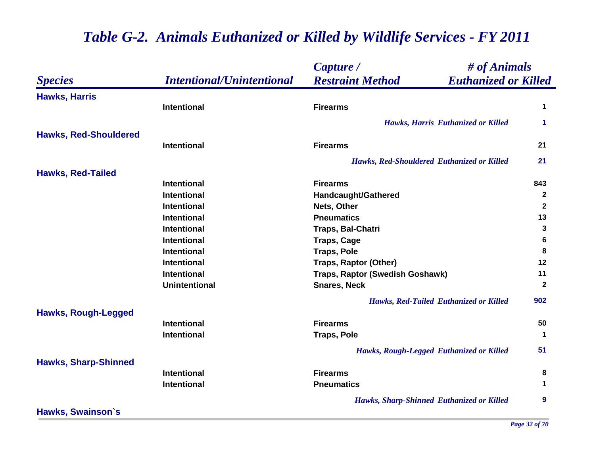|                              |                                  | # of Animals<br>Capture /                              |                      |
|------------------------------|----------------------------------|--------------------------------------------------------|----------------------|
| <b>Species</b>               | <b>Intentional/Unintentional</b> | <b>Restraint Method</b><br><b>Euthanized or Killed</b> |                      |
| <b>Hawks, Harris</b>         |                                  |                                                        |                      |
|                              | <b>Intentional</b>               | <b>Firearms</b>                                        | 1                    |
|                              |                                  | Hawks, Harris Euthanized or Killed                     | 1                    |
| <b>Hawks, Red-Shouldered</b> |                                  |                                                        |                      |
|                              | <b>Intentional</b>               | <b>Firearms</b>                                        | 21                   |
|                              |                                  | Hawks, Red-Shouldered Euthanized or Killed             | 21                   |
| <b>Hawks, Red-Tailed</b>     |                                  |                                                        |                      |
|                              | <b>Intentional</b>               | <b>Firearms</b>                                        | 843                  |
|                              | <b>Intentional</b>               | Handcaught/Gathered                                    | $\overline{2}$       |
|                              | <b>Intentional</b>               | Nets, Other                                            | $\mathbf{2}$         |
|                              | <b>Intentional</b>               | <b>Pneumatics</b>                                      | 13                   |
|                              | <b>Intentional</b>               | Traps, Bal-Chatri                                      | 3                    |
|                              | <b>Intentional</b>               | <b>Traps, Cage</b>                                     | $6\phantom{a}$       |
|                              | <b>Intentional</b>               | <b>Traps, Pole</b>                                     | 8                    |
|                              | <b>Intentional</b>               | <b>Traps, Raptor (Other)</b>                           | 12                   |
|                              | <b>Intentional</b>               | Traps, Raptor (Swedish Goshawk)                        | 11                   |
|                              | <b>Unintentional</b>             | <b>Snares, Neck</b>                                    | $\mathbf{2}$         |
|                              |                                  | Hawks, Red-Tailed Euthanized or Killed                 | 902                  |
| <b>Hawks, Rough-Legged</b>   |                                  |                                                        |                      |
|                              | <b>Intentional</b>               | <b>Firearms</b>                                        | 50                   |
|                              | Intentional                      | <b>Traps, Pole</b>                                     | $\blacktriangleleft$ |
|                              |                                  | Hawks, Rough-Legged Euthanized or Killed               | 51                   |
| <b>Hawks, Sharp-Shinned</b>  |                                  |                                                        |                      |
|                              | Intentional                      | <b>Firearms</b>                                        | 8                    |
|                              | <b>Intentional</b>               | <b>Pneumatics</b>                                      | 1                    |
|                              |                                  | <b>Hawks, Sharp-Shinned Euthanized or Killed</b>       | 9                    |
| <b>Hawks, Swainson's</b>     |                                  |                                                        |                      |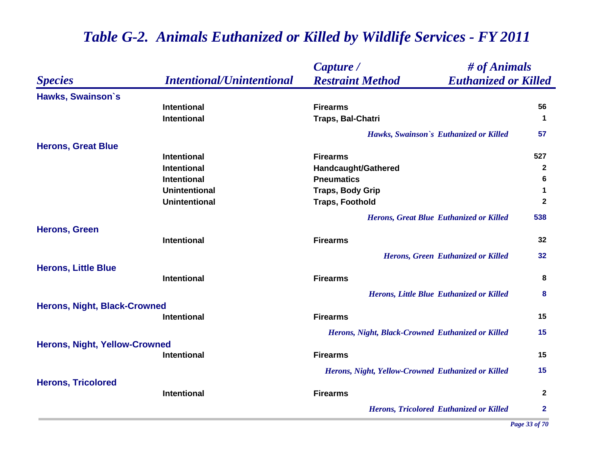|                                      |                                  | # of Animals<br>Capture /                              |              |
|--------------------------------------|----------------------------------|--------------------------------------------------------|--------------|
| <b>Species</b>                       | <b>Intentional/Unintentional</b> | <b>Restraint Method</b><br><b>Euthanized or Killed</b> |              |
| Hawks, Swainson's                    |                                  |                                                        |              |
|                                      | <b>Intentional</b>               | <b>Firearms</b>                                        | 56           |
|                                      | <b>Intentional</b>               | Traps, Bal-Chatri                                      | $\mathbf 1$  |
|                                      |                                  | Hawks, Swainson's Euthanized or Killed                 | 57           |
| <b>Herons, Great Blue</b>            |                                  |                                                        |              |
|                                      | <b>Intentional</b>               | <b>Firearms</b>                                        | 527          |
|                                      | <b>Intentional</b>               | <b>Handcaught/Gathered</b>                             | $\mathbf{2}$ |
|                                      | <b>Intentional</b>               | <b>Pneumatics</b>                                      | 6            |
|                                      | <b>Unintentional</b>             | <b>Traps, Body Grip</b>                                | 1            |
|                                      | <b>Unintentional</b>             | <b>Traps, Foothold</b>                                 | $\mathbf{2}$ |
|                                      |                                  | <b>Herons, Great Blue Euthanized or Killed</b>         | 538          |
| <b>Herons, Green</b>                 |                                  |                                                        |              |
|                                      | <b>Intentional</b>               | <b>Firearms</b>                                        | 32           |
|                                      |                                  | Herons, Green Euthanized or Killed                     | 32           |
| <b>Herons, Little Blue</b>           |                                  |                                                        |              |
|                                      | <b>Intentional</b>               | <b>Firearms</b>                                        | 8            |
|                                      |                                  | <b>Herons, Little Blue Euthanized or Killed</b>        | 8            |
| <b>Herons, Night, Black-Crowned</b>  |                                  |                                                        |              |
|                                      | <b>Intentional</b>               | <b>Firearms</b>                                        | 15           |
|                                      |                                  | Herons, Night, Black-Crowned Euthanized or Killed      | 15           |
| <b>Herons, Night, Yellow-Crowned</b> |                                  |                                                        |              |
|                                      | Intentional                      | <b>Firearms</b>                                        | 15           |
|                                      |                                  | Herons, Night, Yellow-Crowned Euthanized or Killed     | 15           |
| <b>Herons, Tricolored</b>            |                                  |                                                        |              |
|                                      | <b>Intentional</b>               | <b>Firearms</b>                                        | $\mathbf{2}$ |
|                                      |                                  | <b>Herons, Tricolored Euthanized or Killed</b>         | $\mathbf{2}$ |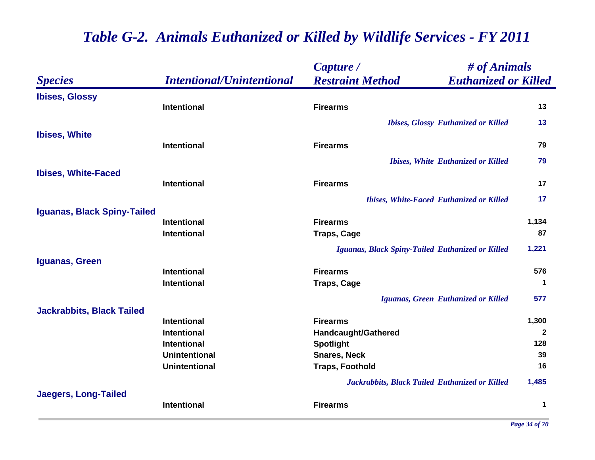|                                  |                                  | # of Animals<br>Capture /                              |              |
|----------------------------------|----------------------------------|--------------------------------------------------------|--------------|
| <b>Species</b>                   | <b>Intentional/Unintentional</b> | <b>Restraint Method</b><br><b>Euthanized or Killed</b> |              |
| <b>Ibises, Glossy</b>            |                                  |                                                        |              |
|                                  | <b>Intentional</b>               | <b>Firearms</b>                                        | 13           |
|                                  |                                  | <b>Ibises, Glossy Euthanized or Killed</b>             | 13           |
| <b>Ibises, White</b>             |                                  |                                                        |              |
|                                  | <b>Intentional</b>               | <b>Firearms</b>                                        | 79           |
|                                  |                                  | <b>Ibises, White Euthanized or Killed</b>              | 79           |
| <b>Ibises, White-Faced</b>       |                                  |                                                        |              |
|                                  | <b>Intentional</b>               | <b>Firearms</b>                                        | 17           |
|                                  |                                  | <b>Ibises, White-Faced Euthanized or Killed</b>        | 17           |
| Iguanas, Black Spiny-Tailed      |                                  |                                                        |              |
|                                  | <b>Intentional</b>               | <b>Firearms</b>                                        | 1,134        |
|                                  | <b>Intentional</b>               | <b>Traps, Cage</b>                                     | 87           |
|                                  |                                  | Iguanas, Black Spiny-Tailed Euthanized or Killed       | 1,221        |
| Iguanas, Green                   |                                  |                                                        |              |
|                                  | <b>Intentional</b>               | <b>Firearms</b>                                        | 576          |
|                                  | <b>Intentional</b>               | <b>Traps, Cage</b>                                     | $\mathbf 1$  |
|                                  |                                  | Iguanas, Green Euthanized or Killed                    | 577          |
| <b>Jackrabbits, Black Tailed</b> |                                  |                                                        |              |
|                                  | <b>Intentional</b>               | <b>Firearms</b>                                        | 1,300        |
|                                  | <b>Intentional</b>               | Handcaught/Gathered                                    | $\mathbf{2}$ |
|                                  | <b>Intentional</b>               | <b>Spotlight</b>                                       | 128          |
|                                  | <b>Unintentional</b>             | <b>Snares, Neck</b>                                    | 39           |
|                                  | <b>Unintentional</b>             | <b>Traps, Foothold</b>                                 | 16           |
|                                  |                                  | Jackrabbits, Black Tailed Euthanized or Killed         | 1,485        |
| <b>Jaegers, Long-Tailed</b>      |                                  |                                                        |              |
|                                  | <b>Intentional</b>               | <b>Firearms</b>                                        | 1            |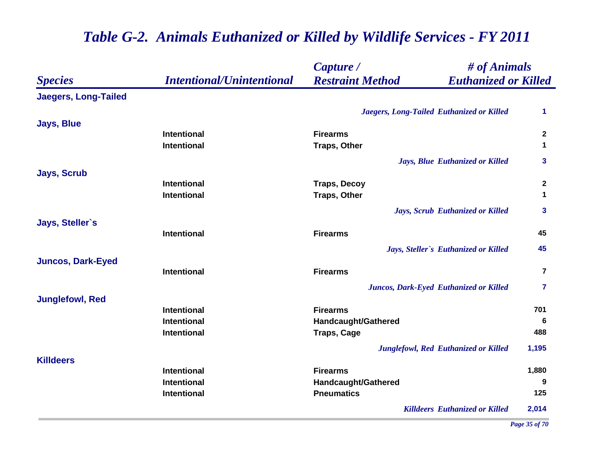|                             |                                  | # of Animals<br>Capture /                              |                         |
|-----------------------------|----------------------------------|--------------------------------------------------------|-------------------------|
| <b>Species</b>              | <b>Intentional/Unintentional</b> | <b>Restraint Method</b><br><b>Euthanized or Killed</b> |                         |
| <b>Jaegers, Long-Tailed</b> |                                  |                                                        |                         |
|                             |                                  | Jaegers, Long-Tailed Euthanized or Killed              | 1                       |
| <b>Jays, Blue</b>           |                                  |                                                        |                         |
|                             | <b>Intentional</b>               | <b>Firearms</b>                                        | $\overline{2}$          |
|                             | Intentional                      | <b>Traps, Other</b>                                    | $\mathbf 1$             |
|                             |                                  | Jays, Blue Euthanized or Killed                        | 3                       |
| <b>Jays, Scrub</b>          |                                  |                                                        |                         |
|                             | Intentional                      | <b>Traps, Decoy</b>                                    | $\boldsymbol{2}$        |
|                             | <b>Intentional</b>               | <b>Traps, Other</b>                                    | $\mathbf 1$             |
|                             |                                  | Jays, Scrub Euthanized or Killed                       | $\mathbf{3}$            |
| Jays, Steller's             |                                  |                                                        |                         |
|                             | Intentional                      | <b>Firearms</b>                                        | 45                      |
|                             |                                  | Jays, Steller's Euthanized or Killed                   | 45                      |
| <b>Juncos, Dark-Eyed</b>    |                                  |                                                        |                         |
|                             | Intentional                      | <b>Firearms</b>                                        | $\overline{\mathbf{r}}$ |
|                             |                                  | Juncos, Dark-Eyed Euthanized or Killed                 | $\overline{7}$          |
| <b>Junglefowl, Red</b>      |                                  |                                                        |                         |
|                             | <b>Intentional</b>               | <b>Firearms</b>                                        | 701                     |
|                             | <b>Intentional</b>               | Handcaught/Gathered                                    | 6                       |
|                             | <b>Intentional</b>               | <b>Traps, Cage</b>                                     | 488                     |
|                             |                                  | <b>Junglefowl, Red Euthanized or Killed</b>            | 1,195                   |
| <b>Killdeers</b>            |                                  |                                                        |                         |
|                             | <b>Intentional</b>               | <b>Firearms</b>                                        | 1,880                   |
|                             | Intentional                      | <b>Handcaught/Gathered</b>                             | 9                       |
|                             | Intentional                      | <b>Pneumatics</b>                                      | 125                     |
|                             |                                  | <b>Killdeers Euthanized or Killed</b>                  | 2,014                   |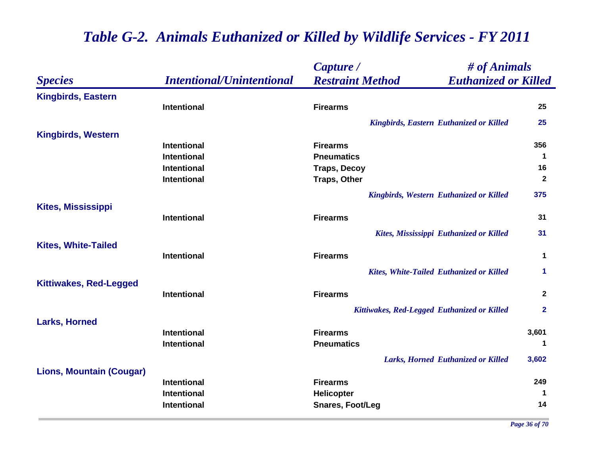|                                 |                                  | Capture /                                   | # of Animals                                    |                |
|---------------------------------|----------------------------------|---------------------------------------------|-------------------------------------------------|----------------|
| <b>Species</b>                  | <b>Intentional/Unintentional</b> | <b>Restraint Method</b>                     | <b>Euthanized or Killed</b>                     |                |
| <b>Kingbirds, Eastern</b>       |                                  |                                             |                                                 |                |
|                                 | <b>Intentional</b>               | <b>Firearms</b>                             |                                                 | 25             |
|                                 |                                  |                                             | <b>Kingbirds, Eastern Euthanized or Killed</b>  | 25             |
| <b>Kingbirds, Western</b>       |                                  |                                             |                                                 |                |
|                                 | <b>Intentional</b>               | <b>Firearms</b>                             |                                                 | 356            |
|                                 | <b>Intentional</b>               | <b>Pneumatics</b>                           |                                                 | $\mathbf 1$    |
|                                 | Intentional                      | <b>Traps, Decoy</b>                         |                                                 | 16             |
|                                 | Intentional                      | <b>Traps, Other</b>                         |                                                 | $\mathbf{2}$   |
|                                 |                                  |                                             | <b>Kingbirds, Western Euthanized or Killed</b>  | 375            |
| <b>Kites, Mississippi</b>       |                                  |                                             |                                                 |                |
|                                 | Intentional                      | <b>Firearms</b>                             |                                                 | 31             |
|                                 |                                  |                                             | Kites, Mississippi Euthanized or Killed         | 31             |
| <b>Kites, White-Tailed</b>      |                                  |                                             |                                                 |                |
|                                 | Intentional                      | <b>Firearms</b>                             |                                                 | $\mathbf 1$    |
|                                 |                                  |                                             | <b>Kites, White-Tailed Euthanized or Killed</b> | 1              |
| <b>Kittiwakes, Red-Legged</b>   |                                  |                                             |                                                 |                |
|                                 | <b>Intentional</b>               | <b>Firearms</b>                             |                                                 | $\mathbf{2}$   |
|                                 |                                  | Kittiwakes, Red-Legged Euthanized or Killed |                                                 | $\overline{2}$ |
| <b>Larks, Horned</b>            |                                  |                                             |                                                 |                |
|                                 | <b>Intentional</b>               | <b>Firearms</b>                             |                                                 | 3,601          |
|                                 | <b>Intentional</b>               | <b>Pneumatics</b>                           |                                                 | 1              |
|                                 |                                  |                                             | Larks, Horned Euthanized or Killed              | 3,602          |
| <b>Lions, Mountain (Cougar)</b> |                                  |                                             |                                                 |                |
|                                 | <b>Intentional</b>               | <b>Firearms</b>                             |                                                 | 249            |
|                                 | Intentional                      | <b>Helicopter</b>                           |                                                 | -1             |
|                                 | Intentional                      | <b>Snares, Foot/Leg</b>                     |                                                 | 14             |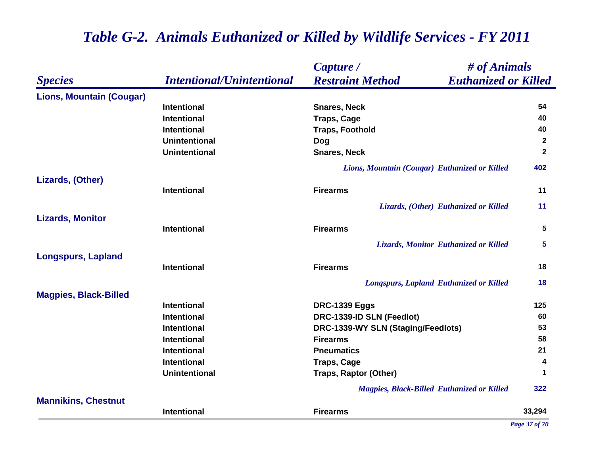### *Species Capture / Restraint Method # of Animals Intentional/Unintentional Euthanized or Killed* **Lions, Mountain (Cougar) Intentional Snares, Neck 54 Intentional Traps, Cage <sup>40</sup> Intentional Traps, Foothold 40 Unintentional Dog <sup>2</sup> Unintentional Snares, Neck 2** *Lions, Mountain (Cougar) Euthanized or Killed* **402 Lizards, (Other) Intentional Firearms 11** *Lizards, (Other) Euthanized or Killed* **11 Lizards, Monitor Intentional Firearms 5** *Lizards, Monitor Euthanized or Killed* **5 Longspurs, Lapland Intentional Firearms 18** *Longspurs, Lapland Euthanized or Killed* **18 Magpies, Black-Billed Intentional DRC-1339 Eggs <sup>125</sup> Intentional DRC-1339-ID SLN (Feedlot) 60 Intentional DRC-1339-WY SLN (Staging/Feedlots) <sup>53</sup> Intentional Firearms 58 Intentional Pneumatics 21 Intentional Traps, Cage <sup>4</sup> Unintentional Traps, Raptor (Other) <sup>1</sup>** *Magpies, Black-Billed Euthanized or Killed* **322 Mannikins, Chestnut Intentional Firearms33,294**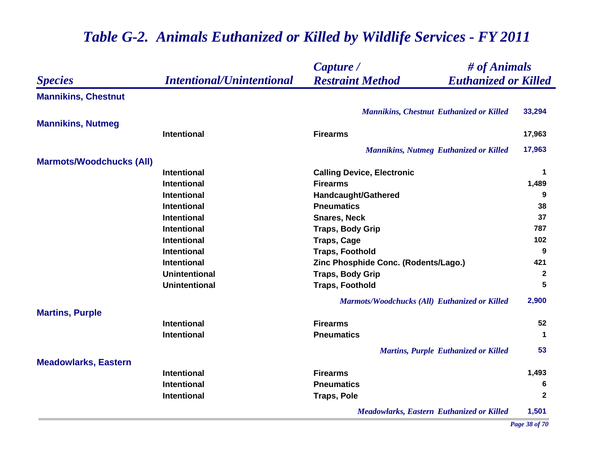|                                 |                                  | Capture /                                              | # of Animals |  |
|---------------------------------|----------------------------------|--------------------------------------------------------|--------------|--|
| <b>Species</b>                  | <b>Intentional/Unintentional</b> | <b>Restraint Method</b><br><b>Euthanized or Killed</b> |              |  |
| <b>Mannikins, Chestnut</b>      |                                  |                                                        |              |  |
|                                 |                                  | <b>Mannikins, Chestnut Euthanized or Killed</b>        | 33,294       |  |
| <b>Mannikins, Nutmeg</b>        |                                  |                                                        |              |  |
|                                 | <b>Intentional</b>               | <b>Firearms</b>                                        | 17,963       |  |
|                                 |                                  | <b>Mannikins, Nutmeg Euthanized or Killed</b>          | 17,963       |  |
| <b>Marmots/Woodchucks (All)</b> |                                  |                                                        |              |  |
|                                 | <b>Intentional</b>               | <b>Calling Device, Electronic</b>                      | 1            |  |
|                                 | <b>Intentional</b>               | <b>Firearms</b>                                        | 1,489        |  |
|                                 | <b>Intentional</b>               | <b>Handcaught/Gathered</b>                             | 9            |  |
|                                 | <b>Intentional</b>               | <b>Pneumatics</b>                                      | 38           |  |
|                                 | <b>Intentional</b>               | <b>Snares, Neck</b>                                    | 37           |  |
|                                 | <b>Intentional</b>               | <b>Traps, Body Grip</b>                                | 787          |  |
|                                 | <b>Intentional</b>               | <b>Traps, Cage</b>                                     | 102          |  |
|                                 | Intentional                      | <b>Traps, Foothold</b>                                 | 9            |  |
|                                 | Intentional                      | Zinc Phosphide Conc. (Rodents/Lago.)                   | 421          |  |
|                                 | <b>Unintentional</b>             | <b>Traps, Body Grip</b>                                | $\mathbf{2}$ |  |
|                                 | <b>Unintentional</b>             | <b>Traps, Foothold</b>                                 | 5            |  |
|                                 |                                  | Marmots/Woodchucks (All) Euthanized or Killed          | 2,900        |  |
| <b>Martins, Purple</b>          |                                  |                                                        |              |  |
|                                 | <b>Intentional</b>               | <b>Firearms</b>                                        | 52           |  |
|                                 | <b>Intentional</b>               | <b>Pneumatics</b>                                      | -1           |  |
|                                 |                                  | <b>Martins, Purple Euthanized or Killed</b>            | 53           |  |
| <b>Meadowlarks, Eastern</b>     |                                  |                                                        |              |  |
|                                 | <b>Intentional</b>               | <b>Firearms</b>                                        | 1,493        |  |
|                                 | <b>Intentional</b>               | <b>Pneumatics</b>                                      | 6            |  |
|                                 | <b>Intentional</b>               | <b>Traps, Pole</b>                                     | $\mathbf{2}$ |  |
|                                 |                                  | <b>Meadowlarks, Eastern Euthanized or Killed</b>       | 1,501        |  |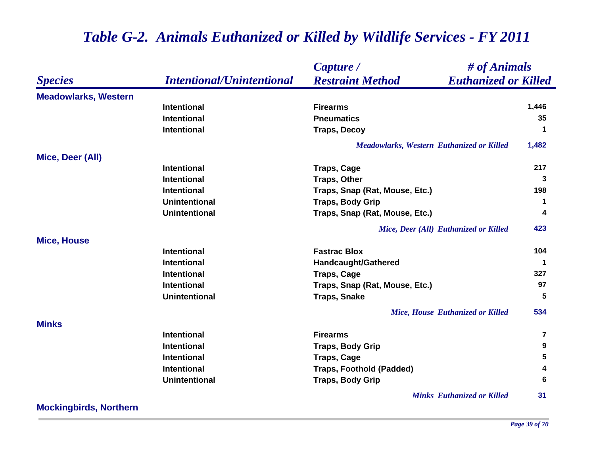|                             |                                  | # of Animals<br>Capture /                              |                      |
|-----------------------------|----------------------------------|--------------------------------------------------------|----------------------|
| <b>Species</b>              | <b>Intentional/Unintentional</b> | <b>Restraint Method</b><br><b>Euthanized or Killed</b> |                      |
| <b>Meadowlarks, Western</b> |                                  |                                                        |                      |
|                             | <b>Intentional</b>               | <b>Firearms</b>                                        | 1,446                |
|                             | <b>Intentional</b>               | <b>Pneumatics</b>                                      | 35                   |
|                             | <b>Intentional</b>               | <b>Traps, Decoy</b>                                    | 1                    |
|                             |                                  | <b>Meadowlarks, Western Euthanized or Killed</b>       | 1,482                |
| Mice, Deer (All)            |                                  |                                                        |                      |
|                             | <b>Intentional</b>               | <b>Traps, Cage</b>                                     | 217                  |
|                             | <b>Intentional</b>               | <b>Traps, Other</b>                                    | 3                    |
|                             | <b>Intentional</b>               | Traps, Snap (Rat, Mouse, Etc.)                         | 198                  |
|                             | <b>Unintentional</b>             | <b>Traps, Body Grip</b>                                | $\mathbf 1$          |
|                             | <b>Unintentional</b>             | Traps, Snap (Rat, Mouse, Etc.)                         | 4                    |
|                             |                                  | Mice, Deer (All) Euthanized or Killed                  | 423                  |
| <b>Mice, House</b>          |                                  |                                                        |                      |
|                             | <b>Intentional</b>               | <b>Fastrac Blox</b>                                    | 104                  |
|                             | <b>Intentional</b>               | Handcaught/Gathered                                    | $\blacktriangleleft$ |
|                             | <b>Intentional</b>               | <b>Traps, Cage</b>                                     | 327                  |
|                             | <b>Intentional</b>               | Traps, Snap (Rat, Mouse, Etc.)                         | 97                   |
|                             | <b>Unintentional</b>             | <b>Traps, Snake</b>                                    | 5                    |
|                             |                                  | Mice, House Euthanized or Killed                       | 534                  |
| <b>Minks</b>                |                                  |                                                        |                      |
|                             | <b>Intentional</b>               | <b>Firearms</b>                                        | 7                    |
|                             | <b>Intentional</b>               | <b>Traps, Body Grip</b>                                | 9                    |
|                             | <b>Intentional</b>               | <b>Traps, Cage</b>                                     | 5                    |
|                             | <b>Intentional</b>               | <b>Traps, Foothold (Padded)</b>                        | 4                    |
|                             | <b>Unintentional</b>             | <b>Traps, Body Grip</b>                                | 6                    |
|                             |                                  | <b>Minks Euthanized or Killed</b>                      | 31                   |

### **Mockingbirds, Northern**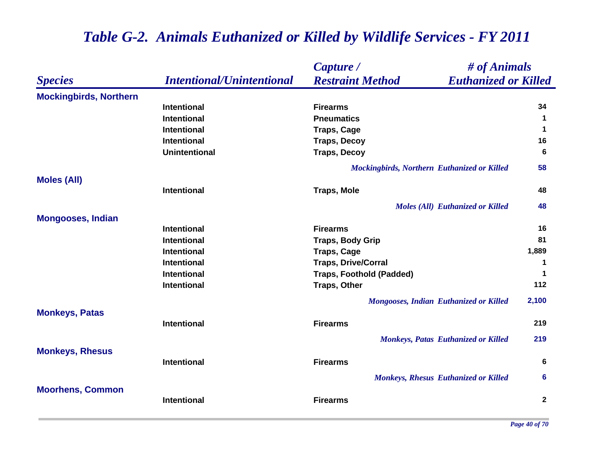### *Species Capture / Restraint Method # of Animals Intentional/Unintentional Euthanized or Killed* **Mockingbirds, Northern Intentional Firearms 34 Intentional Pneumatics 1 Intentional CONSCRIPTION Traps, Cage 1 1 Intentional Traps, Decoy <sup>16</sup> Unintentional Traps, Decoy <sup>6</sup>** *Mockingbirds, Northern Euthanized or Killed* **58 Moles (All) Intentional Traps, Mole 48** *Moles (All) Euthanized or Killed* **48 Mongooses, Indian Intentional Firearms 16 Intentional Traps, Body Grip <sup>81</sup> Intentional Traps, Cage 1,889 Intentional Traps, Drive/Corral <sup>1</sup> Intentional Traps, Foothold (Padded) <sup>1</sup> Intentional Traps, Other <sup>112</sup>** *Mongooses, Indian Euthanized or Killed* **2,100 Monkeys, Patas Intentional Firearms 219** *Monkeys, Patas Euthanized or Killed* **219 Monkeys, Rhesus Intentional Firearms 6** *Monkeys, Rhesus Euthanized or Killed* **6 Moorhens, Common Intentional Firearms2**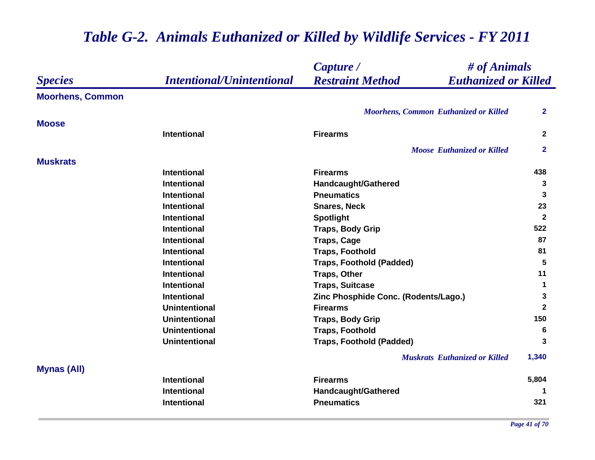|                         |                                  | $\#$ of Animals<br>Capture /                           |                |
|-------------------------|----------------------------------|--------------------------------------------------------|----------------|
| <b>Species</b>          | <b>Intentional/Unintentional</b> | <b>Restraint Method</b><br><b>Euthanized or Killed</b> |                |
| <b>Moorhens, Common</b> |                                  |                                                        |                |
|                         |                                  | <b>Moorhens, Common Euthanized or Killed</b>           | $\mathbf{2}$   |
| <b>Moose</b>            |                                  |                                                        |                |
|                         | <b>Intentional</b>               | <b>Firearms</b>                                        | $\overline{2}$ |
|                         |                                  | <b>Moose Euthanized or Killed</b>                      | $\mathbf{2}$   |
| <b>Muskrats</b>         |                                  |                                                        |                |
|                         | <b>Intentional</b>               | <b>Firearms</b>                                        | 438            |
|                         | <b>Intentional</b>               | Handcaught/Gathered                                    | 3              |
|                         | <b>Intentional</b>               | <b>Pneumatics</b>                                      | 3              |
|                         | <b>Intentional</b>               | <b>Snares, Neck</b>                                    | 23             |
|                         | <b>Intentional</b>               | <b>Spotlight</b>                                       | $\overline{2}$ |
|                         | <b>Intentional</b>               | <b>Traps, Body Grip</b>                                | 522            |
|                         | <b>Intentional</b>               | <b>Traps, Cage</b>                                     | 87             |
|                         | <b>Intentional</b>               | <b>Traps, Foothold</b>                                 | 81             |
|                         | <b>Intentional</b>               | <b>Traps, Foothold (Padded)</b>                        | $5\phantom{1}$ |
|                         | <b>Intentional</b>               | <b>Traps, Other</b>                                    | 11             |
|                         | <b>Intentional</b>               | <b>Traps, Suitcase</b>                                 | 1              |
|                         | <b>Intentional</b>               | Zinc Phosphide Conc. (Rodents/Lago.)                   | 3              |
|                         | <b>Unintentional</b>             | <b>Firearms</b>                                        | $\mathbf{2}$   |
|                         | <b>Unintentional</b>             | <b>Traps, Body Grip</b>                                | 150            |
|                         | <b>Unintentional</b>             | <b>Traps, Foothold</b>                                 | 6              |
|                         | <b>Unintentional</b>             | <b>Traps, Foothold (Padded)</b>                        | 3              |
|                         |                                  | <b>Muskrats</b> Euthanized or Killed                   | 1,340          |
| <b>Mynas (All)</b>      |                                  |                                                        |                |
|                         | <b>Intentional</b>               | <b>Firearms</b>                                        | 5,804          |
|                         | <b>Intentional</b>               | Handcaught/Gathered                                    | 1              |
|                         | <b>Intentional</b>               | <b>Pneumatics</b>                                      | 321            |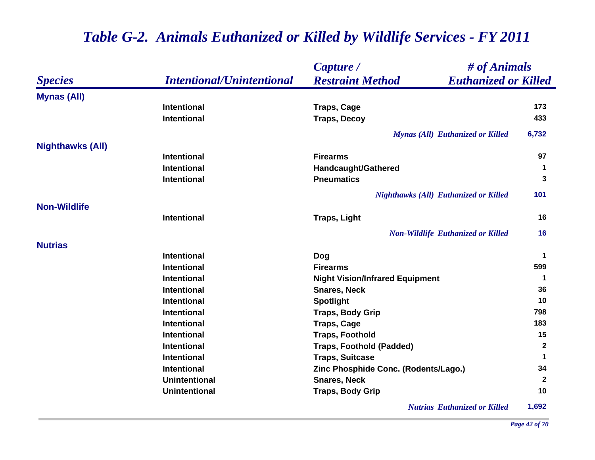|                         |                                  | Capture /                                              | # of Animals |  |
|-------------------------|----------------------------------|--------------------------------------------------------|--------------|--|
| <b>Species</b>          | <b>Intentional/Unintentional</b> | <b>Restraint Method</b><br><b>Euthanized or Killed</b> |              |  |
| <b>Mynas (All)</b>      |                                  |                                                        |              |  |
|                         | <b>Intentional</b>               | <b>Traps, Cage</b>                                     | 173          |  |
|                         | <b>Intentional</b>               | <b>Traps, Decoy</b>                                    | 433          |  |
|                         |                                  | <b>Mynas (All) Euthanized or Killed</b>                | 6,732        |  |
| <b>Nighthawks (All)</b> |                                  |                                                        |              |  |
|                         | <b>Intentional</b>               | <b>Firearms</b>                                        | 97           |  |
|                         | <b>Intentional</b>               | <b>Handcaught/Gathered</b>                             | 1            |  |
|                         | <b>Intentional</b>               | <b>Pneumatics</b>                                      | 3            |  |
|                         |                                  | <b>Nighthawks (All) Euthanized or Killed</b>           | 101          |  |
| <b>Non-Wildlife</b>     |                                  |                                                        |              |  |
|                         | Intentional                      | <b>Traps, Light</b>                                    | 16           |  |
|                         |                                  | <b>Non-Wildlife Euthanized or Killed</b>               | 16           |  |
| <b>Nutrias</b>          |                                  |                                                        |              |  |
|                         | <b>Intentional</b>               | Dog                                                    | $\mathbf 1$  |  |
|                         | <b>Intentional</b>               | <b>Firearms</b>                                        | 599          |  |
|                         | <b>Intentional</b>               | <b>Night Vision/Infrared Equipment</b>                 | -1           |  |
|                         | Intentional                      | <b>Snares, Neck</b>                                    | 36           |  |
|                         | <b>Intentional</b>               | <b>Spotlight</b>                                       | 10           |  |
|                         | <b>Intentional</b>               | <b>Traps, Body Grip</b>                                | 798          |  |
|                         | <b>Intentional</b>               | <b>Traps, Cage</b>                                     | 183          |  |
|                         | <b>Intentional</b>               | <b>Traps, Foothold</b>                                 | 15           |  |
|                         | <b>Intentional</b>               | <b>Traps, Foothold (Padded)</b>                        | $\mathbf{2}$ |  |
|                         | <b>Intentional</b>               | <b>Traps, Suitcase</b>                                 | $\mathbf 1$  |  |
|                         | <b>Intentional</b>               | Zinc Phosphide Conc. (Rodents/Lago.)                   | 34           |  |
|                         | <b>Unintentional</b>             | <b>Snares, Neck</b>                                    | $\mathbf{2}$ |  |
|                         | <b>Unintentional</b>             | <b>Traps, Body Grip</b>                                | 10           |  |
|                         |                                  | -------                                                |              |  |

*Nutrias Euthanized or Killed* **1,692**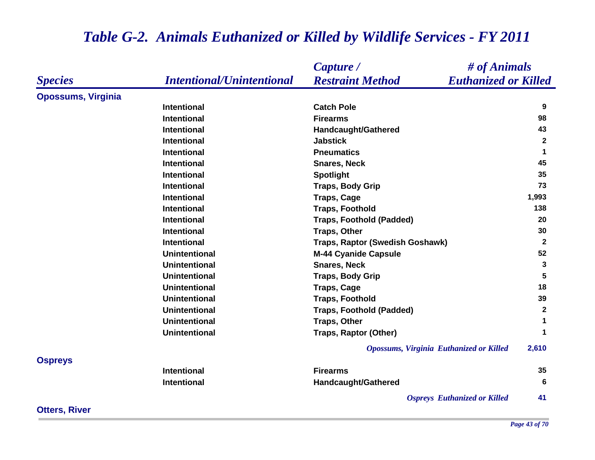|                           |                                  | # of Animals<br>Capture /                              |                      |
|---------------------------|----------------------------------|--------------------------------------------------------|----------------------|
| <b>Species</b>            | <b>Intentional/Unintentional</b> | <b>Restraint Method</b><br><b>Euthanized or Killed</b> |                      |
| <b>Opossums, Virginia</b> |                                  |                                                        |                      |
|                           | <b>Intentional</b>               | <b>Catch Pole</b>                                      | 9                    |
|                           | <b>Intentional</b>               | <b>Firearms</b>                                        | 98                   |
|                           | <b>Intentional</b>               | Handcaught/Gathered                                    | 43                   |
|                           | <b>Intentional</b>               | <b>Jabstick</b>                                        | $\mathbf{2}$         |
|                           | <b>Intentional</b>               | <b>Pneumatics</b>                                      | $\blacktriangleleft$ |
|                           | <b>Intentional</b>               | <b>Snares, Neck</b>                                    | 45                   |
|                           | <b>Intentional</b>               | <b>Spotlight</b>                                       | 35                   |
|                           | <b>Intentional</b>               | <b>Traps, Body Grip</b>                                | 73                   |
|                           | <b>Intentional</b>               | <b>Traps, Cage</b>                                     | 1,993                |
|                           | <b>Intentional</b>               | <b>Traps, Foothold</b>                                 | 138                  |
|                           | <b>Intentional</b>               | <b>Traps, Foothold (Padded)</b>                        | 20                   |
|                           | <b>Intentional</b>               | <b>Traps, Other</b>                                    | 30                   |
|                           | <b>Intentional</b>               | <b>Traps, Raptor (Swedish Goshawk)</b>                 | $\mathbf{2}$         |
|                           | <b>Unintentional</b>             | <b>M-44 Cyanide Capsule</b>                            | 52                   |
|                           | <b>Unintentional</b>             | <b>Snares, Neck</b>                                    | 3                    |
|                           | <b>Unintentional</b>             | <b>Traps, Body Grip</b>                                | 5                    |
|                           | <b>Unintentional</b>             | <b>Traps, Cage</b>                                     | 18                   |
|                           | <b>Unintentional</b>             | <b>Traps, Foothold</b>                                 | 39                   |
|                           | <b>Unintentional</b>             | <b>Traps, Foothold (Padded)</b>                        | $\mathbf{2}$         |
|                           | <b>Unintentional</b>             | <b>Traps, Other</b>                                    | $\blacktriangleleft$ |
|                           | <b>Unintentional</b>             | <b>Traps, Raptor (Other)</b>                           | $\mathbf 1$          |
|                           |                                  | <b>Opossums, Virginia Euthanized or Killed</b>         | 2,610                |
| <b>Ospreys</b>            |                                  |                                                        |                      |
|                           | <b>Intentional</b>               | <b>Firearms</b>                                        | 35                   |
|                           | <b>Intentional</b>               | Handcaught/Gathered                                    | 6                    |
|                           |                                  | <b>Ospreys</b> Euthanized or Killed                    | 41                   |

**Otters, River**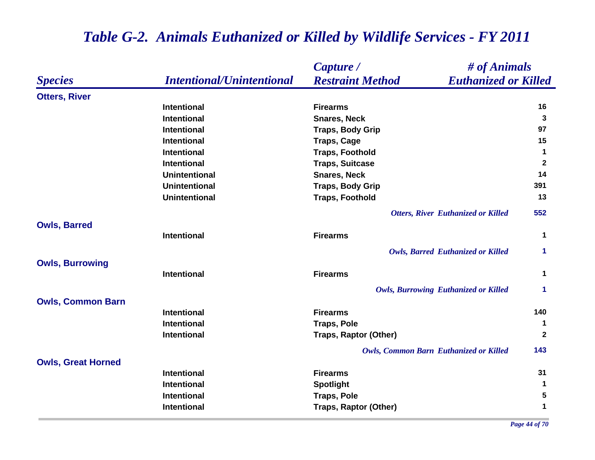|                           |                                  | # of Animals<br>Capture /                              |                      |
|---------------------------|----------------------------------|--------------------------------------------------------|----------------------|
| <b>Species</b>            | <b>Intentional/Unintentional</b> | <b>Euthanized or Killed</b><br><b>Restraint Method</b> |                      |
| <b>Otters, River</b>      |                                  |                                                        |                      |
|                           | <b>Intentional</b>               | <b>Firearms</b>                                        | 16                   |
|                           | <b>Intentional</b>               | <b>Snares, Neck</b>                                    | 3                    |
|                           | <b>Intentional</b>               | <b>Traps, Body Grip</b>                                | 97                   |
|                           | <b>Intentional</b>               | <b>Traps, Cage</b>                                     | 15                   |
|                           | <b>Intentional</b>               | <b>Traps, Foothold</b>                                 | $\mathbf 1$          |
|                           | <b>Intentional</b>               | <b>Traps, Suitcase</b>                                 | $\overline{2}$       |
|                           | <b>Unintentional</b>             | <b>Snares, Neck</b>                                    | 14                   |
|                           | <b>Unintentional</b>             | <b>Traps, Body Grip</b>                                | 391                  |
|                           | <b>Unintentional</b>             | <b>Traps, Foothold</b>                                 | 13                   |
|                           |                                  | <b>Otters, River Euthanized or Killed</b>              | 552                  |
| <b>Owls, Barred</b>       |                                  |                                                        |                      |
|                           | <b>Intentional</b>               | <b>Firearms</b>                                        | $\mathbf 1$          |
|                           |                                  | <b>Owls, Barred Euthanized or Killed</b>               | $\mathbf 1$          |
| <b>Owls, Burrowing</b>    |                                  |                                                        |                      |
|                           | <b>Intentional</b>               | <b>Firearms</b>                                        | $\mathbf 1$          |
|                           |                                  | <b>Owls, Burrowing Euthanized or Killed</b>            | $\blacktriangleleft$ |
| <b>Owls, Common Barn</b>  |                                  |                                                        |                      |
|                           | <b>Intentional</b>               | <b>Firearms</b>                                        | 140                  |
|                           | <b>Intentional</b>               | <b>Traps, Pole</b>                                     | 1                    |
|                           | <b>Intentional</b>               | <b>Traps, Raptor (Other)</b>                           | $\mathbf{2}$         |
|                           |                                  | <b>Owls, Common Barn Euthanized or Killed</b>          | 143                  |
| <b>Owls, Great Horned</b> |                                  |                                                        |                      |
|                           | <b>Intentional</b>               | <b>Firearms</b>                                        | 31                   |
|                           | <b>Intentional</b>               | <b>Spotlight</b>                                       | $\mathbf{1}$         |
|                           | <b>Intentional</b>               | <b>Traps, Pole</b>                                     | 5                    |
|                           | Intentional                      | <b>Traps, Raptor (Other)</b>                           | 1                    |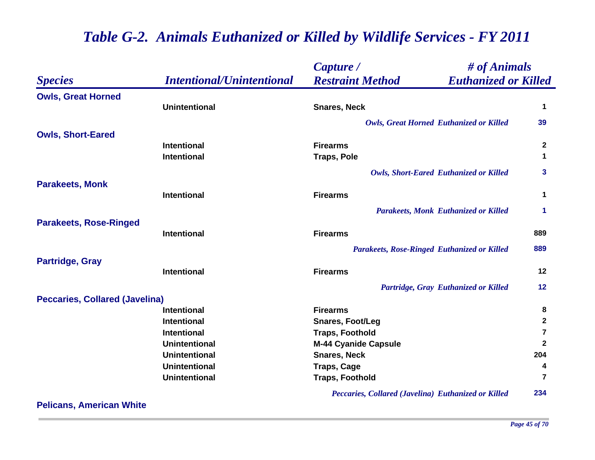|                                       |                                  | Capture /                                              | # of Animals     |  |
|---------------------------------------|----------------------------------|--------------------------------------------------------|------------------|--|
| <b>Species</b>                        | <b>Intentional/Unintentional</b> | <b>Restraint Method</b><br><b>Euthanized or Killed</b> |                  |  |
| <b>Owls, Great Horned</b>             |                                  |                                                        |                  |  |
|                                       | <b>Unintentional</b>             | <b>Snares, Neck</b>                                    | 1                |  |
|                                       |                                  | <b>Owls, Great Horned Euthanized or Killed</b>         | 39               |  |
| <b>Owls, Short-Eared</b>              |                                  |                                                        |                  |  |
|                                       | <b>Intentional</b>               | <b>Firearms</b>                                        | $\boldsymbol{2}$ |  |
|                                       | <b>Intentional</b>               | <b>Traps, Pole</b>                                     | 1                |  |
|                                       |                                  | <b>Owls, Short-Eared Euthanized or Killed</b>          | 3                |  |
| <b>Parakeets, Monk</b>                |                                  |                                                        |                  |  |
|                                       | <b>Intentional</b>               | <b>Firearms</b>                                        | 1                |  |
|                                       |                                  | <b>Parakeets, Monk Euthanized or Killed</b>            | 1                |  |
| <b>Parakeets, Rose-Ringed</b>         |                                  |                                                        |                  |  |
|                                       | <b>Intentional</b>               | <b>Firearms</b>                                        | 889              |  |
|                                       |                                  | <b>Parakeets, Rose-Ringed Euthanized or Killed</b>     | 889              |  |
| <b>Partridge, Gray</b>                |                                  |                                                        |                  |  |
|                                       | <b>Intentional</b>               | <b>Firearms</b>                                        | 12               |  |
|                                       |                                  | Partridge, Gray Euthanized or Killed                   | 12               |  |
| <b>Peccaries, Collared (Javelina)</b> |                                  |                                                        |                  |  |
|                                       | Intentional                      | <b>Firearms</b>                                        | 8                |  |
|                                       | <b>Intentional</b>               | <b>Snares, Foot/Leg</b>                                | $\mathbf 2$      |  |
|                                       | Intentional                      | <b>Traps, Foothold</b>                                 | 7                |  |
|                                       | <b>Unintentional</b>             | <b>M-44 Cyanide Capsule</b>                            | $\mathbf{2}$     |  |
|                                       | <b>Unintentional</b>             | <b>Snares, Neck</b>                                    | 204              |  |
|                                       | <b>Unintentional</b>             | <b>Traps, Cage</b>                                     | 4                |  |
|                                       | <b>Unintentional</b>             | <b>Traps, Foothold</b>                                 | 7                |  |
|                                       |                                  | Peccaries, Collared (Javelina) Euthanized or Killed    | 234              |  |

**Pelicans, American White**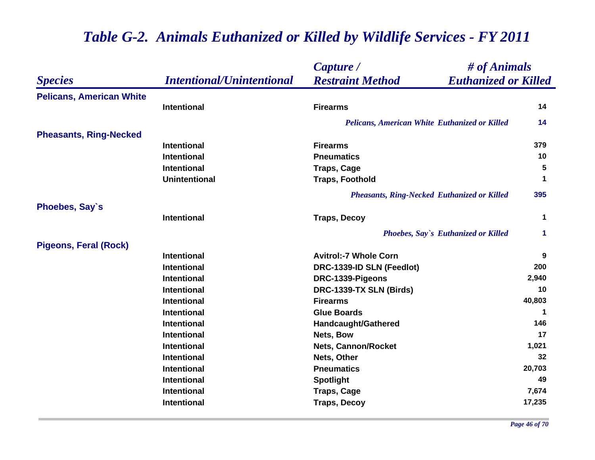|                                 |                                  | Capture /                                              | # of Animals |  |
|---------------------------------|----------------------------------|--------------------------------------------------------|--------------|--|
| <b>Species</b>                  | <b>Intentional/Unintentional</b> | <b>Restraint Method</b><br><b>Euthanized or Killed</b> |              |  |
| <b>Pelicans, American White</b> |                                  |                                                        |              |  |
|                                 | Intentional                      | <b>Firearms</b>                                        | 14           |  |
|                                 |                                  | Pelicans, American White Euthanized or Killed          | 14           |  |
| <b>Pheasants, Ring-Necked</b>   |                                  |                                                        |              |  |
|                                 | <b>Intentional</b>               | <b>Firearms</b>                                        | 379          |  |
|                                 | <b>Intentional</b>               | <b>Pneumatics</b>                                      | 10           |  |
|                                 | <b>Intentional</b>               | <b>Traps, Cage</b>                                     | 5            |  |
|                                 | <b>Unintentional</b>             | <b>Traps, Foothold</b>                                 | 1            |  |
|                                 |                                  | <b>Pheasants, Ring-Necked Euthanized or Killed</b>     | 395          |  |
| Phoebes, Say's                  |                                  |                                                        |              |  |
|                                 | <b>Intentional</b>               | <b>Traps, Decoy</b>                                    | 1            |  |
|                                 |                                  | <b>Phoebes, Say's Euthanized or Killed</b>             | 1            |  |
| <b>Pigeons, Feral (Rock)</b>    |                                  |                                                        |              |  |
|                                 | <b>Intentional</b>               | <b>Avitrol:-7 Whole Corn</b>                           | 9            |  |
|                                 | <b>Intentional</b>               | DRC-1339-ID SLN (Feedlot)                              | 200          |  |
|                                 | <b>Intentional</b>               | DRC-1339-Pigeons                                       | 2,940        |  |
|                                 | <b>Intentional</b>               | DRC-1339-TX SLN (Birds)                                | 10           |  |
|                                 | <b>Intentional</b>               | <b>Firearms</b>                                        | 40,803       |  |
|                                 | Intentional                      | <b>Glue Boards</b>                                     | $\mathbf 1$  |  |
|                                 | <b>Intentional</b>               | <b>Handcaught/Gathered</b>                             | 146          |  |
|                                 | Intentional                      | Nets, Bow                                              | 17           |  |
|                                 | <b>Intentional</b>               | <b>Nets, Cannon/Rocket</b>                             | 1,021        |  |
|                                 | Intentional                      | Nets, Other                                            | 32           |  |
|                                 | <b>Intentional</b>               | <b>Pneumatics</b>                                      | 20,703       |  |
|                                 | Intentional                      | <b>Spotlight</b>                                       | 49           |  |
|                                 | <b>Intentional</b>               | <b>Traps, Cage</b>                                     | 7,674        |  |
|                                 | Intentional                      | <b>Traps, Decoy</b>                                    | 17,235       |  |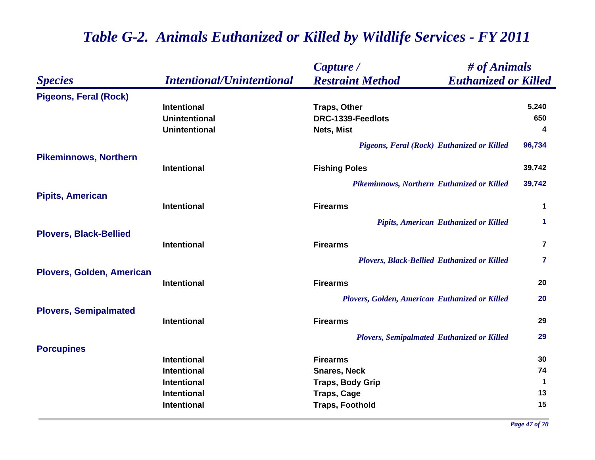|                                  |                                  | Capture /                                              | # of Animals   |  |
|----------------------------------|----------------------------------|--------------------------------------------------------|----------------|--|
| <b>Species</b>                   | <b>Intentional/Unintentional</b> | <b>Restraint Method</b><br><b>Euthanized or Killed</b> |                |  |
| <b>Pigeons, Feral (Rock)</b>     |                                  |                                                        |                |  |
|                                  | <b>Intentional</b>               | <b>Traps, Other</b>                                    | 5,240          |  |
|                                  | <b>Unintentional</b>             | DRC-1339-Feedlots                                      | 650            |  |
|                                  | <b>Unintentional</b>             | Nets, Mist                                             | 4              |  |
|                                  |                                  | Pigeons, Feral (Rock) Euthanized or Killed             | 96,734         |  |
| <b>Pikeminnows, Northern</b>     |                                  |                                                        |                |  |
|                                  | <b>Intentional</b>               | <b>Fishing Poles</b>                                   | 39,742         |  |
|                                  |                                  | Pikeminnows, Northern Euthanized or Killed             | 39,742         |  |
| <b>Pipits, American</b>          |                                  |                                                        |                |  |
|                                  | <b>Intentional</b>               | <b>Firearms</b>                                        | $\mathbf 1$    |  |
|                                  |                                  | Pipits, American Euthanized or Killed                  | 1              |  |
| <b>Plovers, Black-Bellied</b>    | <b>Intentional</b>               | <b>Firearms</b>                                        | $\overline{7}$ |  |
|                                  |                                  | <b>Plovers, Black-Bellied Euthanized or Killed</b>     | 7              |  |
| <b>Plovers, Golden, American</b> |                                  |                                                        |                |  |
|                                  | <b>Intentional</b>               | <b>Firearms</b>                                        | 20             |  |
|                                  |                                  | Plovers, Golden, American Euthanized or Killed         | 20             |  |
| <b>Plovers, Semipalmated</b>     |                                  |                                                        |                |  |
|                                  | <b>Intentional</b>               | <b>Firearms</b>                                        | 29             |  |
|                                  |                                  | <b>Plovers, Semipalmated Euthanized or Killed</b>      | 29             |  |
| <b>Porcupines</b>                |                                  |                                                        |                |  |
|                                  | <b>Intentional</b>               | <b>Firearms</b>                                        | 30             |  |
|                                  | <b>Intentional</b>               | <b>Snares, Neck</b>                                    | 74             |  |
|                                  | <b>Intentional</b>               | <b>Traps, Body Grip</b>                                | $\mathbf 1$    |  |
|                                  | <b>Intentional</b>               | <b>Traps, Cage</b>                                     | 13             |  |
|                                  | <b>Intentional</b>               | <b>Traps, Foothold</b>                                 | 15             |  |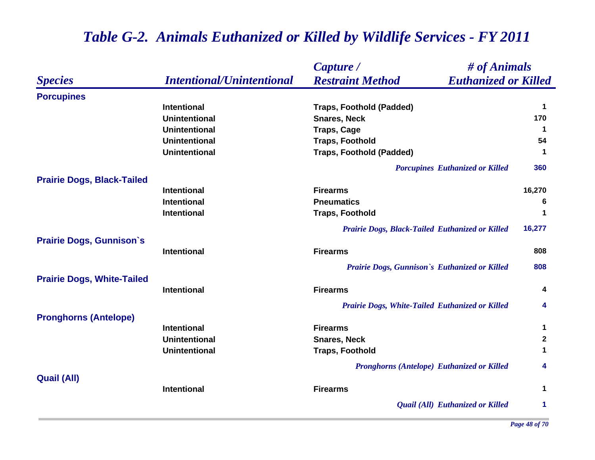|                                   |                                  | # of Animals<br>Capture /                              |                      |
|-----------------------------------|----------------------------------|--------------------------------------------------------|----------------------|
| <b>Species</b>                    | <b>Intentional/Unintentional</b> | <b>Restraint Method</b><br><b>Euthanized or Killed</b> |                      |
| <b>Porcupines</b>                 |                                  |                                                        |                      |
|                                   | <b>Intentional</b>               | <b>Traps, Foothold (Padded)</b>                        | $\blacktriangleleft$ |
|                                   | <b>Unintentional</b>             | <b>Snares, Neck</b>                                    | 170                  |
|                                   | <b>Unintentional</b>             | <b>Traps, Cage</b>                                     | $\blacktriangleleft$ |
|                                   | <b>Unintentional</b>             | <b>Traps, Foothold</b>                                 | 54                   |
|                                   | <b>Unintentional</b>             | <b>Traps, Foothold (Padded)</b>                        | $\blacktriangleleft$ |
|                                   |                                  | <b>Porcupines Euthanized or Killed</b>                 | 360                  |
| <b>Prairie Dogs, Black-Tailed</b> |                                  |                                                        |                      |
|                                   | <b>Intentional</b>               | <b>Firearms</b>                                        | 16,270               |
|                                   | Intentional                      | <b>Pneumatics</b>                                      | 6                    |
|                                   | <b>Intentional</b>               | <b>Traps, Foothold</b>                                 | $\mathbf 1$          |
|                                   |                                  | Prairie Dogs, Black-Tailed Euthanized or Killed        | 16,277               |
| <b>Prairie Dogs, Gunnison's</b>   | <b>Intentional</b>               | <b>Firearms</b>                                        | 808                  |
|                                   |                                  |                                                        |                      |
|                                   |                                  | Prairie Dogs, Gunnison's Euthanized or Killed          | 808                  |
| <b>Prairie Dogs, White-Tailed</b> |                                  |                                                        |                      |
|                                   | <b>Intentional</b>               | <b>Firearms</b>                                        | 4                    |
|                                   |                                  | Prairie Dogs, White-Tailed Euthanized or Killed        | 4                    |
| <b>Pronghorns (Antelope)</b>      |                                  |                                                        |                      |
|                                   | <b>Intentional</b>               | <b>Firearms</b>                                        | $\mathbf 1$          |
|                                   | <b>Unintentional</b>             | <b>Snares, Neck</b>                                    | $\mathbf{2}$         |
|                                   | <b>Unintentional</b>             | <b>Traps, Foothold</b>                                 | 1                    |
|                                   |                                  | <b>Pronghorns (Antelope) Euthanized or Killed</b>      | 4                    |
| <b>Quail (All)</b>                | Intentional                      | <b>Firearms</b>                                        | $\mathbf 1$          |
|                                   |                                  |                                                        |                      |
|                                   |                                  | Quail (All) Euthanized or Killed                       | 1                    |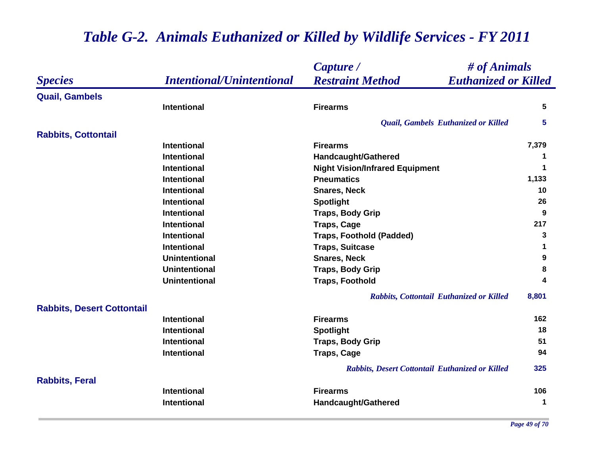|                                   |                                  | # of Animals<br>Capture /                              |                  |
|-----------------------------------|----------------------------------|--------------------------------------------------------|------------------|
| <b>Species</b>                    | <b>Intentional/Unintentional</b> | <b>Restraint Method</b><br><b>Euthanized or Killed</b> |                  |
| <b>Quail, Gambels</b>             |                                  |                                                        |                  |
|                                   | <b>Intentional</b>               | <b>Firearms</b>                                        | 5                |
|                                   |                                  | Quail, Gambels Euthanized or Killed                    | 5                |
| <b>Rabbits, Cottontail</b>        |                                  |                                                        |                  |
|                                   | <b>Intentional</b>               | <b>Firearms</b>                                        | 7,379            |
|                                   | <b>Intentional</b>               | <b>Handcaught/Gathered</b>                             | 1                |
|                                   | <b>Intentional</b>               | <b>Night Vision/Infrared Equipment</b>                 | $\mathbf 1$      |
|                                   | <b>Intentional</b>               | <b>Pneumatics</b>                                      | 1,133            |
|                                   | <b>Intentional</b>               | <b>Snares, Neck</b>                                    | 10               |
|                                   | <b>Intentional</b>               | <b>Spotlight</b>                                       | 26               |
|                                   | <b>Intentional</b>               | <b>Traps, Body Grip</b>                                | 9                |
|                                   | <b>Intentional</b>               | <b>Traps, Cage</b>                                     | 217              |
|                                   | <b>Intentional</b>               | <b>Traps, Foothold (Padded)</b>                        | 3                |
|                                   | <b>Intentional</b>               | <b>Traps, Suitcase</b>                                 | 1                |
|                                   | <b>Unintentional</b>             | <b>Snares, Neck</b>                                    | $\boldsymbol{9}$ |
|                                   | <b>Unintentional</b>             | <b>Traps, Body Grip</b>                                | 8                |
|                                   | <b>Unintentional</b>             | <b>Traps, Foothold</b>                                 | 4                |
|                                   |                                  | Rabbits, Cottontail Euthanized or Killed               | 8,801            |
| <b>Rabbits, Desert Cottontail</b> |                                  |                                                        |                  |
|                                   | <b>Intentional</b>               | <b>Firearms</b>                                        | 162              |
|                                   | <b>Intentional</b>               | <b>Spotlight</b>                                       | 18               |
|                                   | <b>Intentional</b>               | <b>Traps, Body Grip</b>                                | 51               |
|                                   | <b>Intentional</b>               | <b>Traps, Cage</b>                                     | 94               |
|                                   |                                  | Rabbits, Desert Cottontail Euthanized or Killed        | 325              |
| <b>Rabbits, Feral</b>             |                                  |                                                        |                  |
|                                   | <b>Intentional</b>               | <b>Firearms</b>                                        | 106              |
|                                   | Intentional                      | <b>Handcaught/Gathered</b>                             | $\mathbf 1$      |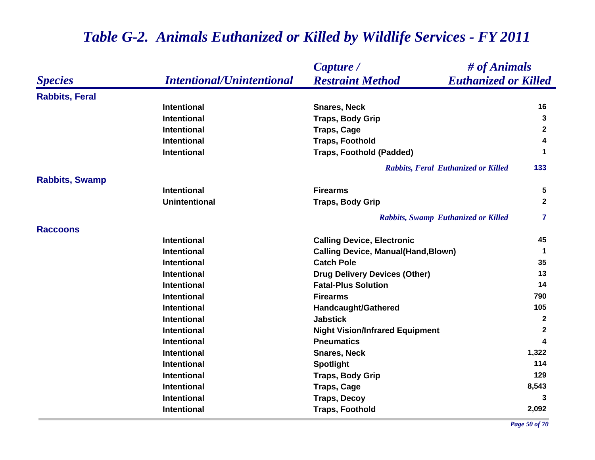|                       |                                  | # of Animals<br>Capture /                              |              |
|-----------------------|----------------------------------|--------------------------------------------------------|--------------|
| <b>Species</b>        | <b>Intentional/Unintentional</b> | <b>Restraint Method</b><br><b>Euthanized or Killed</b> |              |
| <b>Rabbits, Feral</b> |                                  |                                                        |              |
|                       | <b>Intentional</b>               | <b>Snares, Neck</b>                                    | 16           |
|                       | <b>Intentional</b>               | <b>Traps, Body Grip</b>                                | 3            |
|                       | <b>Intentional</b>               | <b>Traps, Cage</b>                                     | $\mathbf{2}$ |
|                       | <b>Intentional</b>               | <b>Traps, Foothold</b>                                 | 4            |
|                       | <b>Intentional</b>               | <b>Traps, Foothold (Padded)</b>                        | 1            |
|                       |                                  | Rabbits, Feral Euthanized or Killed                    | 133          |
| <b>Rabbits, Swamp</b> |                                  |                                                        |              |
|                       | <b>Intentional</b>               | <b>Firearms</b>                                        | 5            |
|                       | <b>Unintentional</b>             | <b>Traps, Body Grip</b>                                | $\mathbf{2}$ |
|                       |                                  | Rabbits, Swamp Euthanized or Killed                    | $\mathbf{7}$ |
| <b>Raccoons</b>       |                                  |                                                        |              |
|                       | <b>Intentional</b>               | <b>Calling Device, Electronic</b>                      | 45           |
|                       | <b>Intentional</b>               | <b>Calling Device, Manual(Hand, Blown)</b>             | $\mathbf 1$  |
|                       | <b>Intentional</b>               | <b>Catch Pole</b>                                      | 35           |
|                       | <b>Intentional</b>               | <b>Drug Delivery Devices (Other)</b>                   | 13           |
|                       | <b>Intentional</b>               | <b>Fatal-Plus Solution</b>                             | 14           |
|                       | <b>Intentional</b>               | <b>Firearms</b>                                        | 790          |
|                       | <b>Intentional</b>               | Handcaught/Gathered                                    | 105          |
|                       | <b>Intentional</b>               | <b>Jabstick</b>                                        | $\mathbf{2}$ |
|                       | <b>Intentional</b>               | <b>Night Vision/Infrared Equipment</b>                 | $\mathbf{2}$ |
|                       | <b>Intentional</b>               | <b>Pneumatics</b>                                      | 4            |
|                       | <b>Intentional</b>               | <b>Snares, Neck</b>                                    | 1,322        |
|                       | <b>Intentional</b>               | <b>Spotlight</b>                                       | 114          |
|                       | <b>Intentional</b>               | <b>Traps, Body Grip</b>                                | 129          |
|                       | <b>Intentional</b>               | <b>Traps, Cage</b>                                     | 8,543        |
|                       | <b>Intentional</b>               | <b>Traps, Decoy</b>                                    | 3            |
|                       | <b>Intentional</b>               | <b>Traps, Foothold</b>                                 | 2,092        |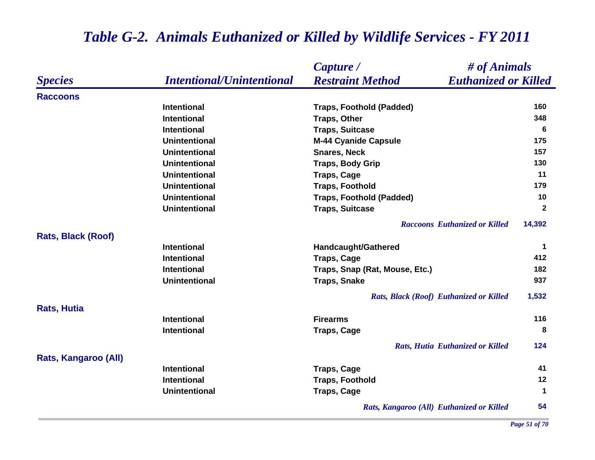### *Species Capture / Restraint Method # of Animals Intentional/Unintentional Euthanized or Killed* **RaccoonsIntentional Traps, Foothold (Padded) 160 Intentional Traps, Other 348 Intentional Traps, Suitcase 6 Unintentional M-44 Cyanide Capsule 175 Unintentional Snares, Neck 157 Unintentional Traps, Body Grip <sup>130</sup> Unintentional Traps, Cage <sup>11</sup> Unintentional Traps, Foothold 179 Unintentional Traps, Foothold (Padded) 10 Unintentional Traps, Suitcase <sup>2</sup>** *Raccoons Euthanized or Killed* **14,392 Rats, Black (Roof) Intentional Handcaught/Gathered <sup>1</sup> Intentional Traps, Cage <sup>412</sup> Intentional Traps, Snap (Rat, Mouse, Etc.) 182 Unintentional Traps, Snake 937** *Rats, Black (Roof) Euthanized or Killed* **1,532 Rats, Hutia Intentional Firearms 116 Intentional Traps, Cage <sup>8</sup>** *Rats, Hutia Euthanized or Killed* **124 Rats, Kangaroo (All) Intentional Traps, Cage <sup>41</sup> Intentional Traps, Foothold <sup>12</sup> Unintentional Traps, Cage <sup>1</sup>** *Rats, Kangaroo (All) Euthanized or Killed* **54**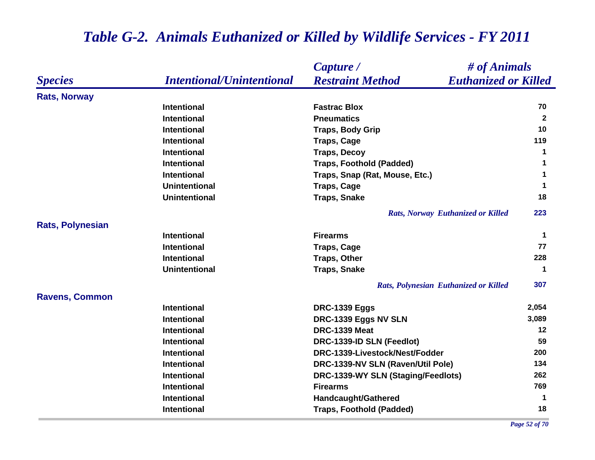|                         |                                  | # of Animals<br>Capture /                              |                      |
|-------------------------|----------------------------------|--------------------------------------------------------|----------------------|
| <b>Species</b>          | <b>Intentional/Unintentional</b> | <b>Restraint Method</b><br><b>Euthanized or Killed</b> |                      |
| <b>Rats, Norway</b>     |                                  |                                                        |                      |
|                         | <b>Intentional</b>               | <b>Fastrac Blox</b>                                    | 70                   |
|                         | <b>Intentional</b>               | <b>Pneumatics</b>                                      | $\overline{2}$       |
|                         | <b>Intentional</b>               | <b>Traps, Body Grip</b>                                | 10                   |
|                         | <b>Intentional</b>               | <b>Traps, Cage</b>                                     | 119                  |
|                         | <b>Intentional</b>               | <b>Traps, Decoy</b>                                    | 1                    |
|                         | Intentional                      | <b>Traps, Foothold (Padded)</b>                        | $\blacktriangleleft$ |
|                         | <b>Intentional</b>               | Traps, Snap (Rat, Mouse, Etc.)                         | $\mathbf 1$          |
|                         | <b>Unintentional</b>             | <b>Traps, Cage</b>                                     | 1                    |
|                         | <b>Unintentional</b>             | <b>Traps, Snake</b>                                    | 18                   |
|                         |                                  | <b>Rats, Norway Euthanized or Killed</b>               | 223                  |
| <b>Rats, Polynesian</b> |                                  |                                                        |                      |
|                         | <b>Intentional</b>               | <b>Firearms</b>                                        | $\blacktriangleleft$ |
|                         | <b>Intentional</b>               | <b>Traps, Cage</b>                                     | 77                   |
|                         | <b>Intentional</b>               | <b>Traps, Other</b>                                    | 228                  |
|                         | <b>Unintentional</b>             | <b>Traps, Snake</b>                                    | $\blacktriangleleft$ |
|                         |                                  | Rats, Polynesian Euthanized or Killed                  | 307                  |
| <b>Ravens, Common</b>   |                                  |                                                        |                      |
|                         | <b>Intentional</b>               | <b>DRC-1339 Eggs</b>                                   | 2,054                |
|                         | <b>Intentional</b>               | DRC-1339 Eggs NV SLN                                   | 3,089                |
|                         | <b>Intentional</b>               | <b>DRC-1339 Meat</b>                                   | 12                   |
|                         | <b>Intentional</b>               | DRC-1339-ID SLN (Feedlot)                              | 59                   |
|                         | <b>Intentional</b>               | DRC-1339-Livestock/Nest/Fodder                         | 200                  |
|                         | Intentional                      | DRC-1339-NV SLN (Raven/Util Pole)                      | 134                  |
|                         | Intentional                      | DRC-1339-WY SLN (Staging/Feedlots)                     | 262                  |
|                         | <b>Intentional</b>               | <b>Firearms</b>                                        | 769                  |
|                         | <b>Intentional</b>               | Handcaught/Gathered                                    | -1                   |
|                         | <b>Intentional</b>               | <b>Traps, Foothold (Padded)</b>                        | 18                   |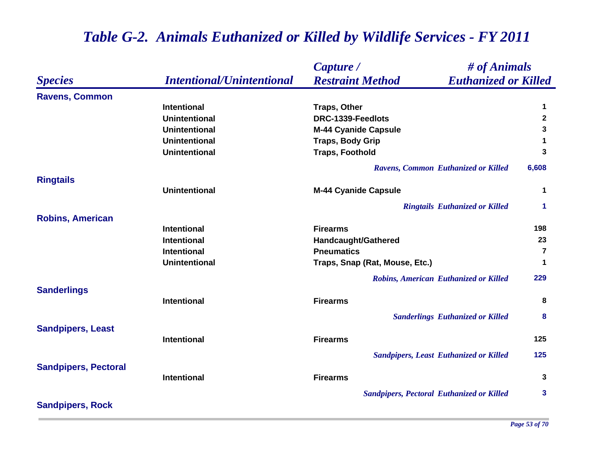|                             |                                  | # of Animals<br>Capture /                              |                |
|-----------------------------|----------------------------------|--------------------------------------------------------|----------------|
| <b>Species</b>              | <b>Intentional/Unintentional</b> | <b>Restraint Method</b><br><b>Euthanized or Killed</b> |                |
| <b>Ravens, Common</b>       |                                  |                                                        |                |
|                             | <b>Intentional</b>               | <b>Traps, Other</b>                                    | 1              |
|                             | <b>Unintentional</b>             | DRC-1339-Feedlots                                      | $\mathbf{2}$   |
|                             | <b>Unintentional</b>             | <b>M-44 Cyanide Capsule</b>                            | 3              |
|                             | <b>Unintentional</b>             | <b>Traps, Body Grip</b>                                | 1              |
|                             | <b>Unintentional</b>             | <b>Traps, Foothold</b>                                 | 3              |
|                             |                                  | Ravens, Common Euthanized or Killed                    | 6,608          |
| <b>Ringtails</b>            |                                  |                                                        |                |
|                             | <b>Unintentional</b>             | <b>M-44 Cyanide Capsule</b>                            | 1              |
|                             |                                  | <b>Ringtails Euthanized or Killed</b>                  | 1              |
| <b>Robins, American</b>     |                                  |                                                        |                |
|                             | <b>Intentional</b>               | <b>Firearms</b>                                        | 198            |
|                             | <b>Intentional</b>               | Handcaught/Gathered                                    | 23             |
|                             | <b>Intentional</b>               | <b>Pneumatics</b>                                      | $\overline{7}$ |
|                             | <b>Unintentional</b>             | Traps, Snap (Rat, Mouse, Etc.)                         | 1              |
|                             |                                  | Robins, American Euthanized or Killed                  | 229            |
| <b>Sanderlings</b>          |                                  |                                                        |                |
|                             | <b>Intentional</b>               | <b>Firearms</b>                                        | 8              |
|                             |                                  | <b>Sanderlings Euthanized or Killed</b>                | 8              |
| <b>Sandpipers, Least</b>    | <b>Intentional</b>               | <b>Firearms</b>                                        | 125            |
|                             |                                  |                                                        |                |
|                             |                                  | <b>Sandpipers, Least Euthanized or Killed</b>          | 125            |
| <b>Sandpipers, Pectoral</b> | <b>Intentional</b>               | <b>Firearms</b>                                        | 3              |
|                             |                                  |                                                        |                |
|                             |                                  | <b>Sandpipers, Pectoral Euthanized or Killed</b>       | 3              |
| <b>Sandpipers, Rock</b>     |                                  |                                                        |                |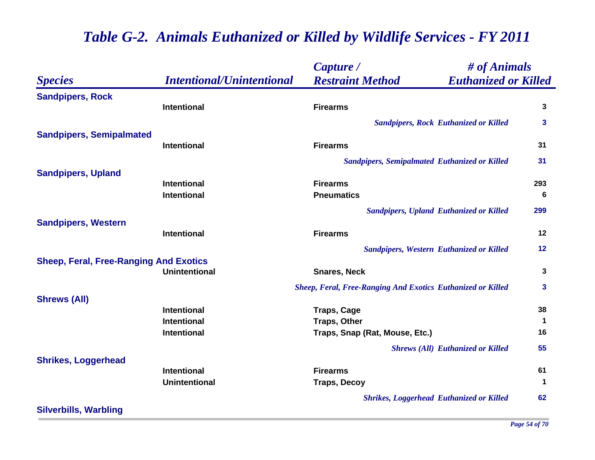|                                               |                                          | Capture /                                                          | # of Animals                                    |                   |
|-----------------------------------------------|------------------------------------------|--------------------------------------------------------------------|-------------------------------------------------|-------------------|
| <b>Species</b>                                | <b>Intentional/Unintentional</b>         | <b>Restraint Method</b>                                            | <b>Euthanized or Killed</b>                     |                   |
| <b>Sandpipers, Rock</b>                       |                                          |                                                                    |                                                 |                   |
|                                               | Intentional                              | <b>Firearms</b>                                                    |                                                 | 3                 |
|                                               |                                          |                                                                    | <b>Sandpipers, Rock Euthanized or Killed</b>    | 3                 |
| <b>Sandpipers, Semipalmated</b>               |                                          |                                                                    |                                                 |                   |
|                                               | Intentional                              | <b>Firearms</b>                                                    |                                                 | 31                |
|                                               |                                          | <b>Sandpipers, Semipalmated Euthanized or Killed</b>               |                                                 | 31                |
| <b>Sandpipers, Upland</b>                     |                                          |                                                                    |                                                 |                   |
|                                               | <b>Intentional</b>                       | <b>Firearms</b>                                                    |                                                 | 293               |
|                                               | <b>Intentional</b>                       | <b>Pneumatics</b>                                                  |                                                 | 6                 |
|                                               |                                          |                                                                    | <b>Sandpipers, Upland Euthanized or Killed</b>  | 299               |
| <b>Sandpipers, Western</b>                    |                                          |                                                                    |                                                 |                   |
|                                               | Intentional                              | <b>Firearms</b>                                                    |                                                 | 12                |
|                                               |                                          |                                                                    | <b>Sandpipers, Western Euthanized or Killed</b> | 12                |
| <b>Sheep, Feral, Free-Ranging And Exotics</b> |                                          |                                                                    |                                                 |                   |
|                                               | <b>Unintentional</b>                     | <b>Snares, Neck</b>                                                |                                                 | 3                 |
|                                               |                                          | <b>Sheep, Feral, Free-Ranging And Exotics Euthanized or Killed</b> |                                                 | 3                 |
| <b>Shrews (All)</b>                           |                                          |                                                                    |                                                 |                   |
|                                               | <b>Intentional</b><br><b>Intentional</b> | <b>Traps, Cage</b>                                                 |                                                 | 38<br>$\mathbf 1$ |
|                                               | Intentional                              | <b>Traps, Other</b><br>Traps, Snap (Rat, Mouse, Etc.)              |                                                 | 16                |
|                                               |                                          |                                                                    |                                                 |                   |
|                                               |                                          |                                                                    | <b>Shrews (All) Euthanized or Killed</b>        | 55                |
| <b>Shrikes, Loggerhead</b>                    | Intentional                              | <b>Firearms</b>                                                    |                                                 | 61                |
|                                               | <b>Unintentional</b>                     | <b>Traps, Decoy</b>                                                |                                                 | $\mathbf 1$       |
|                                               |                                          |                                                                    | <b>Shrikes, Loggerhead Euthanized or Killed</b> | 62                |
| <b>Silverbills, Warbling</b>                  |                                          |                                                                    |                                                 |                   |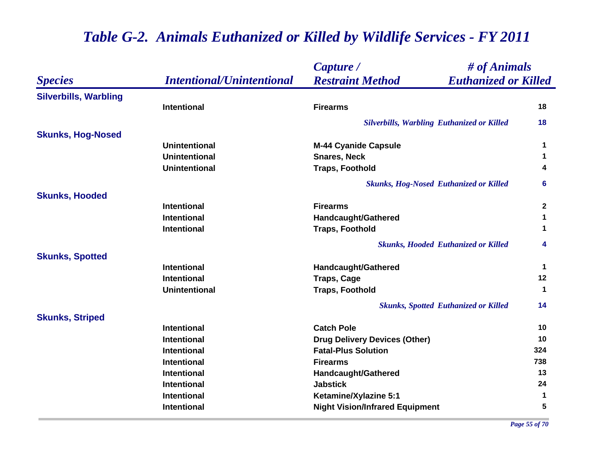|                              |                                  | Capture /                                              | # of Animals |  |
|------------------------------|----------------------------------|--------------------------------------------------------|--------------|--|
| <b>Species</b>               | <b>Intentional/Unintentional</b> | <b>Restraint Method</b><br><b>Euthanized or Killed</b> |              |  |
| <b>Silverbills, Warbling</b> |                                  |                                                        |              |  |
|                              | <b>Intentional</b>               | <b>Firearms</b>                                        | 18           |  |
|                              |                                  | <b>Silverbills, Warbling Euthanized or Killed</b>      | 18           |  |
| <b>Skunks, Hog-Nosed</b>     |                                  |                                                        |              |  |
|                              | <b>Unintentional</b>             | <b>M-44 Cyanide Capsule</b>                            | $\mathbf 1$  |  |
|                              | <b>Unintentional</b>             | <b>Snares, Neck</b>                                    | $\mathbf 1$  |  |
|                              | <b>Unintentional</b>             | <b>Traps, Foothold</b>                                 | 4            |  |
|                              |                                  | <b>Skunks, Hog-Nosed Euthanized or Killed</b>          | 6            |  |
| <b>Skunks, Hooded</b>        |                                  |                                                        |              |  |
|                              | <b>Intentional</b>               | <b>Firearms</b>                                        | $\mathbf{2}$ |  |
|                              | <b>Intentional</b>               | Handcaught/Gathered                                    | $\mathbf 1$  |  |
|                              | <b>Intentional</b>               | <b>Traps, Foothold</b>                                 | 1            |  |
|                              |                                  | <b>Skunks, Hooded Euthanized or Killed</b>             | 4            |  |
| <b>Skunks, Spotted</b>       |                                  |                                                        |              |  |
|                              | <b>Intentional</b>               | <b>Handcaught/Gathered</b>                             | -1           |  |
|                              | <b>Intentional</b>               | <b>Traps, Cage</b>                                     | 12           |  |
|                              | <b>Unintentional</b>             | <b>Traps, Foothold</b>                                 | $\mathbf 1$  |  |
|                              |                                  | <b>Skunks, Spotted Euthanized or Killed</b>            | 14           |  |
| <b>Skunks, Striped</b>       |                                  |                                                        |              |  |
|                              | <b>Intentional</b>               | <b>Catch Pole</b>                                      | 10           |  |
|                              | <b>Intentional</b>               | <b>Drug Delivery Devices (Other)</b>                   | 10           |  |
|                              | <b>Intentional</b>               | <b>Fatal-Plus Solution</b>                             | 324          |  |
|                              | <b>Intentional</b>               | <b>Firearms</b>                                        | 738          |  |
|                              | <b>Intentional</b>               | Handcaught/Gathered                                    | 13           |  |
|                              | <b>Intentional</b>               | <b>Jabstick</b>                                        | 24           |  |
|                              | <b>Intentional</b>               | Ketamine/Xylazine 5:1                                  | -1           |  |
|                              | Intentional                      | <b>Night Vision/Infrared Equipment</b>                 | 5            |  |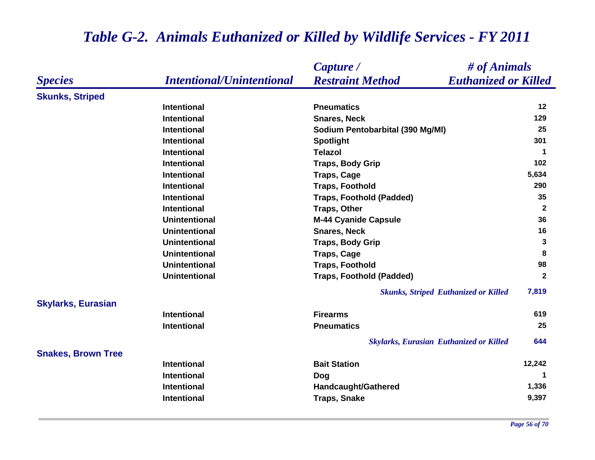### *Species Capture / Restraint Method # of Animals Intentional/Unintentional Euthanized or Killed* **Skunks, Striped Intentional Pneumatics 12 Intentional Snares, Neck 129 Intentional Sodium Pentobarbital (390 Mg/Ml) <sup>25</sup> Intentional Spotlight <sup>301</sup> Intentional Telazol 1 Intentional Traps, Body Grip <sup>102</sup> Intentional Traps, Cage 5,634 Intentional Traps, Foothold 290 Intentional Traps, Foothold (Padded) 35 Intentional Traps, Other <sup>2</sup> Unintentional M-44 Cyanide Capsule <sup>36</sup> Unintentional Snares, Neck 16 Unintentional Traps, Body Grip <sup>3</sup> Unintentional Traps, Cage <sup>8</sup> Unintentional Traps, Foothold 98 Unintentional Traps, Foothold (Padded) <sup>2</sup>** *Skunks, Striped Euthanized or Killed* **7,819 Skylarks, Eurasian Intentional Firearms 619 Intentional Pneumatics 25** *Skylarks, Eurasian Euthanized or Killed* **644 Snakes, Brown Tree Intentional Bait Station 12,242 Intentional Dog <sup>1</sup> Intentional Handcaught/Gathered 1,336 Intentional Traps, Snake 9,397**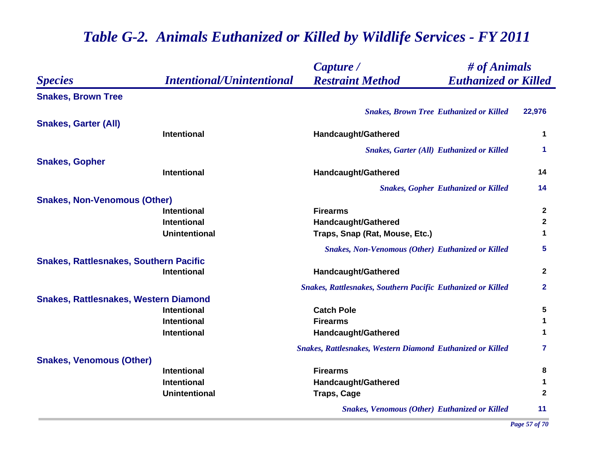|                                               |                                  | Capture /                                                          | # of Animals            |  |
|-----------------------------------------------|----------------------------------|--------------------------------------------------------------------|-------------------------|--|
| <b>Species</b>                                | <b>Intentional/Unintentional</b> | <b>Restraint Method</b><br><b>Euthanized or Killed</b>             |                         |  |
| <b>Snakes, Brown Tree</b>                     |                                  |                                                                    |                         |  |
|                                               |                                  | <b>Snakes, Brown Tree Euthanized or Killed</b>                     | 22,976                  |  |
| <b>Snakes, Garter (All)</b>                   |                                  |                                                                    |                         |  |
|                                               | <b>Intentional</b>               | Handcaught/Gathered                                                | $\mathbf 1$             |  |
|                                               |                                  | <b>Snakes, Garter (All) Euthanized or Killed</b>                   | 1                       |  |
| <b>Snakes, Gopher</b>                         |                                  |                                                                    |                         |  |
|                                               | <b>Intentional</b>               | Handcaught/Gathered                                                | 14                      |  |
|                                               |                                  | <b>Snakes, Gopher Euthanized or Killed</b>                         | 14                      |  |
| <b>Snakes, Non-Venomous (Other)</b>           |                                  |                                                                    |                         |  |
|                                               | <b>Intentional</b>               | <b>Firearms</b>                                                    | $\mathbf{2}$            |  |
|                                               | <b>Intentional</b>               | <b>Handcaught/Gathered</b>                                         | $\mathbf{2}$            |  |
|                                               | <b>Unintentional</b>             | Traps, Snap (Rat, Mouse, Etc.)                                     | 1                       |  |
|                                               |                                  | <b>Snakes, Non-Venomous (Other) Euthanized or Killed</b>           | $\overline{\mathbf{5}}$ |  |
| <b>Snakes, Rattlesnakes, Southern Pacific</b> |                                  |                                                                    |                         |  |
|                                               | <b>Intentional</b>               | <b>Handcaught/Gathered</b>                                         | $\boldsymbol{2}$        |  |
|                                               |                                  | <b>Snakes, Rattlesnakes, Southern Pacific Euthanized or Killed</b> | $\mathbf{2}$            |  |
| <b>Snakes, Rattlesnakes, Western Diamond</b>  |                                  |                                                                    |                         |  |
|                                               | <b>Intentional</b>               | <b>Catch Pole</b>                                                  | 5                       |  |
|                                               | <b>Intentional</b>               | <b>Firearms</b>                                                    | $\mathbf 1$             |  |
|                                               | <b>Intentional</b>               | <b>Handcaught/Gathered</b>                                         | $\mathbf 1$             |  |
|                                               |                                  | <b>Snakes, Rattlesnakes, Western Diamond Euthanized or Killed</b>  | 7                       |  |
| <b>Snakes, Venomous (Other)</b>               |                                  |                                                                    |                         |  |
|                                               | <b>Intentional</b>               | <b>Firearms</b>                                                    | 8                       |  |
|                                               | <b>Intentional</b>               | <b>Handcaught/Gathered</b>                                         | $\mathbf 1$             |  |
|                                               | <b>Unintentional</b>             | <b>Traps, Cage</b>                                                 | $\mathbf{2}$            |  |
|                                               |                                  | <b>Snakes, Venomous (Other) Euthanized or Killed</b>               | 11                      |  |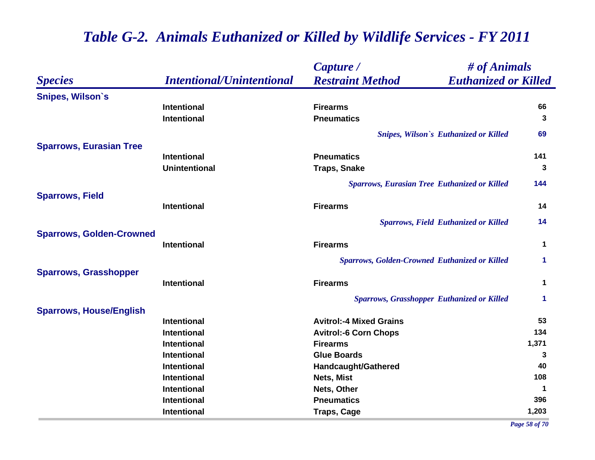|                                 |                                  | Capture /                                              | # of Animals         |  |
|---------------------------------|----------------------------------|--------------------------------------------------------|----------------------|--|
| <b>Species</b>                  | <b>Intentional/Unintentional</b> | <b>Restraint Method</b><br><b>Euthanized or Killed</b> |                      |  |
| <b>Snipes, Wilson's</b>         |                                  |                                                        |                      |  |
|                                 | <b>Intentional</b>               | <b>Firearms</b>                                        | 66                   |  |
|                                 | <b>Intentional</b>               | <b>Pneumatics</b>                                      | 3                    |  |
|                                 |                                  | <b>Snipes, Wilson's Euthanized or Killed</b>           | 69                   |  |
| <b>Sparrows, Eurasian Tree</b>  |                                  |                                                        |                      |  |
|                                 | <b>Intentional</b>               | <b>Pneumatics</b>                                      | 141                  |  |
|                                 | <b>Unintentional</b>             | <b>Traps, Snake</b>                                    | 3                    |  |
|                                 |                                  | <b>Sparrows, Eurasian Tree Euthanized or Killed</b>    | 144                  |  |
| <b>Sparrows, Field</b>          |                                  |                                                        |                      |  |
|                                 | <b>Intentional</b>               | <b>Firearms</b>                                        | 14                   |  |
|                                 |                                  | <b>Sparrows, Field Euthanized or Killed</b>            | 14                   |  |
| <b>Sparrows, Golden-Crowned</b> |                                  |                                                        |                      |  |
|                                 | <b>Intentional</b>               | <b>Firearms</b>                                        | $\mathbf 1$          |  |
|                                 |                                  | <b>Sparrows, Golden-Crowned Euthanized or Killed</b>   | $\blacktriangleleft$ |  |
| <b>Sparrows, Grasshopper</b>    |                                  |                                                        |                      |  |
|                                 | <b>Intentional</b>               | <b>Firearms</b>                                        | $\mathbf 1$          |  |
|                                 |                                  | <b>Sparrows, Grasshopper Euthanized or Killed</b>      | $\blacktriangleleft$ |  |
| <b>Sparrows, House/English</b>  |                                  |                                                        |                      |  |
|                                 | <b>Intentional</b>               | <b>Avitrol:-4 Mixed Grains</b>                         | 53                   |  |
|                                 | <b>Intentional</b>               | <b>Avitrol:-6 Corn Chops</b>                           | 134                  |  |
|                                 | <b>Intentional</b>               | <b>Firearms</b>                                        | 1,371                |  |
|                                 | <b>Intentional</b>               | <b>Glue Boards</b>                                     | 3                    |  |
|                                 | <b>Intentional</b>               | <b>Handcaught/Gathered</b>                             | 40                   |  |
|                                 | <b>Intentional</b>               | Nets, Mist                                             | 108                  |  |
|                                 | <b>Intentional</b>               | Nets, Other                                            | $\mathbf 1$          |  |
|                                 | <b>Intentional</b>               | <b>Pneumatics</b>                                      | 396                  |  |
|                                 | <b>Intentional</b>               | <b>Traps, Cage</b>                                     | 1,203                |  |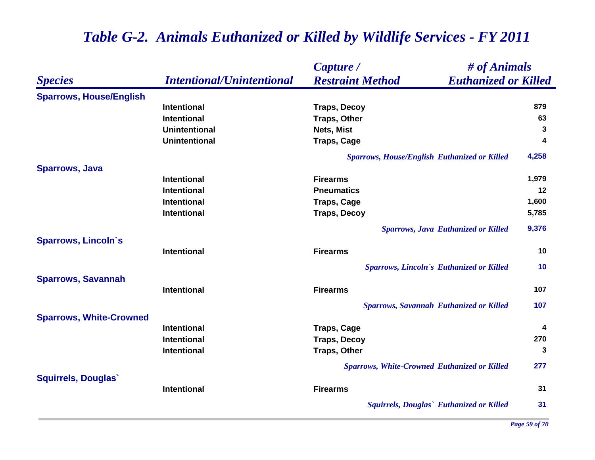|                                |                                  | # of Animals<br>Capture /                              |       |
|--------------------------------|----------------------------------|--------------------------------------------------------|-------|
| <b>Species</b>                 | <b>Intentional/Unintentional</b> | <b>Restraint Method</b><br><b>Euthanized or Killed</b> |       |
| <b>Sparrows, House/English</b> |                                  |                                                        |       |
|                                | <b>Intentional</b>               | <b>Traps, Decoy</b>                                    | 879   |
|                                | <b>Intentional</b>               | <b>Traps, Other</b>                                    | 63    |
|                                | <b>Unintentional</b>             | Nets, Mist                                             | 3     |
|                                | <b>Unintentional</b>             | <b>Traps, Cage</b>                                     | 4     |
|                                |                                  | Sparrows, House/English Euthanized or Killed           | 4,258 |
| <b>Sparrows, Java</b>          |                                  |                                                        |       |
|                                | <b>Intentional</b>               | <b>Firearms</b>                                        | 1,979 |
|                                | <b>Intentional</b>               | <b>Pneumatics</b>                                      | 12    |
|                                | <b>Intentional</b>               | <b>Traps, Cage</b>                                     | 1,600 |
|                                | <b>Intentional</b>               | <b>Traps, Decoy</b>                                    | 5,785 |
|                                |                                  | <b>Sparrows, Java Euthanized or Killed</b>             | 9,376 |
| <b>Sparrows, Lincoln's</b>     | Intentional                      | <b>Firearms</b>                                        | 10    |
|                                |                                  |                                                        |       |
|                                |                                  | Sparrows, Lincoln's Euthanized or Killed               | 10    |
| <b>Sparrows, Savannah</b>      | <b>Intentional</b>               | <b>Firearms</b>                                        | 107   |
|                                |                                  |                                                        |       |
|                                |                                  | <b>Sparrows, Savannah Euthanized or Killed</b>         | 107   |
| <b>Sparrows, White-Crowned</b> |                                  |                                                        |       |
|                                | <b>Intentional</b>               | <b>Traps, Cage</b>                                     | 4     |
|                                | <b>Intentional</b>               | <b>Traps, Decoy</b>                                    | 270   |
|                                | Intentional                      | <b>Traps, Other</b>                                    | 3     |
|                                |                                  | <b>Sparrows, White-Crowned Euthanized or Killed</b>    | 277   |
| <b>Squirrels, Douglas</b>      |                                  |                                                        |       |
|                                | Intentional                      | <b>Firearms</b>                                        | 31    |
|                                |                                  | Squirrels, Douglas' Euthanized or Killed               | 31    |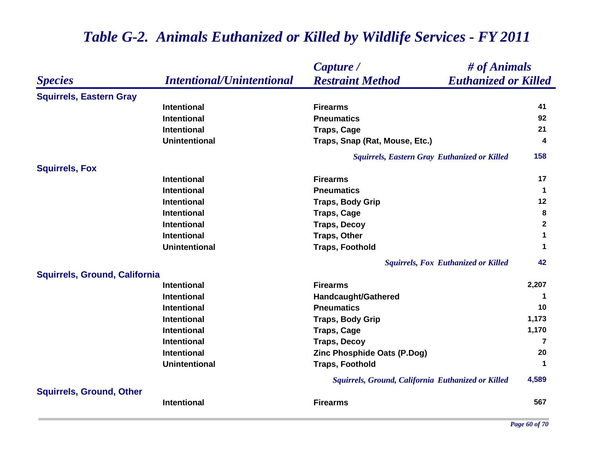|                                      |                                  | # of Animals<br>Capture /                              |                                               |
|--------------------------------------|----------------------------------|--------------------------------------------------------|-----------------------------------------------|
| <b>Species</b>                       | <b>Intentional/Unintentional</b> | <b>Restraint Method</b><br><b>Euthanized or Killed</b> |                                               |
| <b>Squirrels, Eastern Gray</b>       |                                  |                                                        |                                               |
|                                      | <b>Intentional</b>               | <b>Firearms</b>                                        | 41                                            |
|                                      | <b>Intentional</b>               | <b>Pneumatics</b>                                      | 92                                            |
|                                      | <b>Intentional</b>               | <b>Traps, Cage</b>                                     | 21                                            |
|                                      | <b>Unintentional</b>             | Traps, Snap (Rat, Mouse, Etc.)                         | 4                                             |
|                                      |                                  | <b>Squirrels, Eastern Gray Euthanized or Killed</b>    | 158                                           |
| <b>Squirrels, Fox</b>                |                                  |                                                        |                                               |
|                                      | <b>Intentional</b>               | <b>Firearms</b>                                        | 17                                            |
|                                      | <b>Intentional</b>               | <b>Pneumatics</b>                                      | $\mathbf 1$                                   |
|                                      | <b>Intentional</b>               | <b>Traps, Body Grip</b>                                | 12                                            |
|                                      | <b>Intentional</b>               | <b>Traps, Cage</b>                                     | 8                                             |
|                                      | <b>Intentional</b>               | <b>Traps, Decoy</b>                                    | $\mathbf 2$                                   |
|                                      | <b>Intentional</b>               | <b>Traps, Other</b>                                    | $\mathbf 1$                                   |
|                                      | <b>Unintentional</b>             | <b>Traps, Foothold</b>                                 | $\blacktriangleleft$                          |
|                                      |                                  | <b>Squirrels, Fox Euthanized or Killed</b>             | 42                                            |
| <b>Squirrels, Ground, California</b> |                                  |                                                        |                                               |
|                                      | <b>Intentional</b>               | <b>Firearms</b>                                        | 2,207                                         |
|                                      | <b>Intentional</b>               | <b>Handcaught/Gathered</b>                             | -1                                            |
|                                      | <b>Intentional</b>               | <b>Pneumatics</b>                                      | 10                                            |
|                                      | <b>Intentional</b>               | <b>Traps, Body Grip</b>                                | 1,173                                         |
|                                      | <b>Intentional</b>               | <b>Traps, Cage</b>                                     | 1,170                                         |
|                                      | <b>Intentional</b>               | <b>Traps, Decoy</b>                                    | $\overline{7}$                                |
|                                      | <b>Intentional</b>               | Zinc Phosphide Oats (P.Dog)                            | 20                                            |
|                                      | <b>Unintentional</b>             | <b>Traps, Foothold</b>                                 | 1                                             |
|                                      |                                  | Squirrels, Ground, California Euthanized or Killed     | 4,589                                         |
| <b>Squirrels, Ground, Other</b>      |                                  |                                                        |                                               |
|                                      | <b>Intentional</b>               | <b>Firearms</b>                                        | 567                                           |
|                                      |                                  |                                                        | $\epsilon$ $\alpha$ $\epsilon$ $\pi$ $\alpha$ |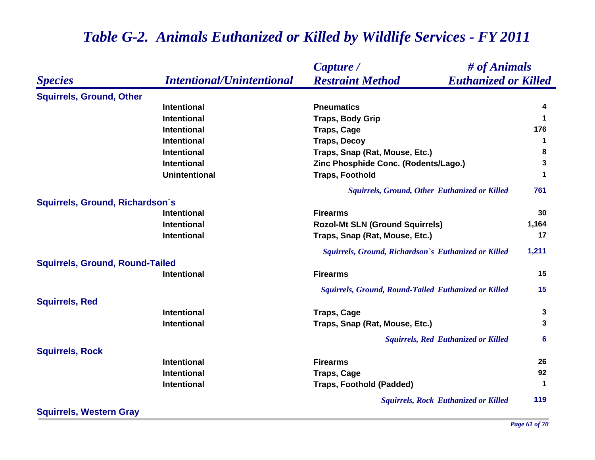### *Species Capture / Restraint Method # of Animals Intentional/Unintentional Euthanized or Killed* **Squirrels, Ground, Other Intentional Pneumatics 4 Intentional Traps, Body Grip <sup>1</sup> Intentional Traps, Cage <sup>176</sup> Intentional Traps, Decoy <sup>1</sup> Intentional Traps, Snap (Rat, Mouse, Etc.) 8 Intentional Zinc Phosphide Conc. (Rodents/Lago.) <sup>3</sup> Unintentional Traps, Foothold <sup>1</sup>** *Squirrels, Ground, Other Euthanized or Killed* **761 Squirrels, Ground, Richardson`s Intentional Firearms 30 Intentional 1,164 Rozol-Mt SLN (Ground Squirrels) 1,164 Intentional Traps, Snap (Rat, Mouse, Etc.) <sup>17</sup>** *Squirrels, Ground, Richardson`s Euthanized or Killed* **1,211 Squirrels, Ground, Round-Tailed Intentional Firearms 15** *Squirrels, Ground, Round-Tailed Euthanized or Killed* **15 Squirrels, Red Intentional Traps, Cage <sup>3</sup> Intentional Traps, Snap (Rat, Mouse, Etc.) 3** *Squirrels, Red Euthanized or Killed* **6 Squirrels, Rock Intentional Firearms 26 Intentional Traps, Cage <sup>92</sup> Intentional Traps, Foothold (Padded) <sup>1</sup>** *Squirrels, Rock Euthanized or Killed* **119**

**Squirrels, Western Gray**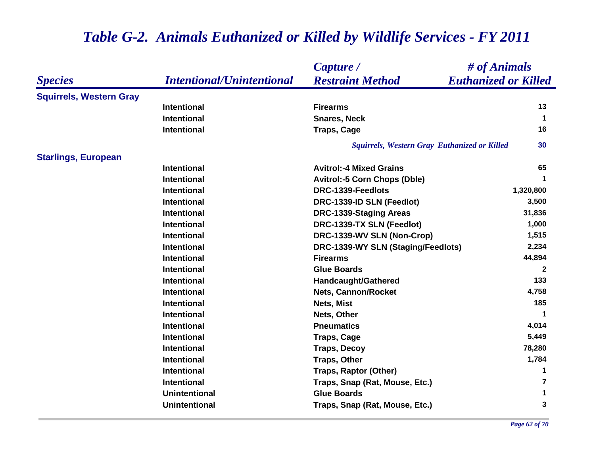|                                |                                  | Capture /                                              | # of Animals |  |
|--------------------------------|----------------------------------|--------------------------------------------------------|--------------|--|
| <b>Species</b>                 | <b>Intentional/Unintentional</b> | <b>Restraint Method</b><br><b>Euthanized or Killed</b> |              |  |
| <b>Squirrels, Western Gray</b> |                                  |                                                        |              |  |
|                                | <b>Intentional</b>               | <b>Firearms</b>                                        | 13           |  |
|                                | <b>Intentional</b>               | <b>Snares, Neck</b>                                    | $\mathbf 1$  |  |
|                                | <b>Intentional</b>               | <b>Traps, Cage</b>                                     | 16           |  |
|                                |                                  | <b>Squirrels, Western Gray Euthanized or Killed</b>    | 30           |  |
| <b>Starlings, European</b>     |                                  |                                                        |              |  |
|                                | <b>Intentional</b>               | <b>Avitrol:-4 Mixed Grains</b>                         | 65           |  |
|                                | <b>Intentional</b>               | <b>Avitrol:-5 Corn Chops (Dble)</b>                    | 1            |  |
|                                | <b>Intentional</b>               | DRC-1339-Feedlots                                      | 1,320,800    |  |
|                                | <b>Intentional</b>               | DRC-1339-ID SLN (Feedlot)                              | 3,500        |  |
|                                | Intentional                      | <b>DRC-1339-Staging Areas</b>                          | 31,836       |  |
|                                | <b>Intentional</b>               | DRC-1339-TX SLN (Feedlot)                              | 1,000        |  |
|                                | <b>Intentional</b>               | DRC-1339-WV SLN (Non-Crop)                             | 1,515        |  |
|                                | <b>Intentional</b>               | DRC-1339-WY SLN (Staging/Feedlots)                     | 2,234        |  |
|                                | <b>Intentional</b>               | <b>Firearms</b>                                        | 44,894       |  |
|                                | <b>Intentional</b>               | <b>Glue Boards</b>                                     | $\mathbf{2}$ |  |
|                                | <b>Intentional</b>               | <b>Handcaught/Gathered</b>                             | 133          |  |
|                                | <b>Intentional</b>               | <b>Nets, Cannon/Rocket</b>                             | 4,758        |  |
|                                | <b>Intentional</b>               | Nets, Mist                                             | 185          |  |
|                                | <b>Intentional</b>               | Nets, Other                                            | $\mathbf 1$  |  |
|                                | <b>Intentional</b>               | <b>Pneumatics</b>                                      | 4,014        |  |
|                                | <b>Intentional</b>               | <b>Traps, Cage</b>                                     | 5,449        |  |
|                                | <b>Intentional</b>               | <b>Traps, Decoy</b>                                    | 78,280       |  |
|                                | <b>Intentional</b>               | <b>Traps, Other</b>                                    | 1,784        |  |
|                                | <b>Intentional</b>               | <b>Traps, Raptor (Other)</b>                           | 1            |  |
|                                | <b>Intentional</b>               | Traps, Snap (Rat, Mouse, Etc.)                         | 7            |  |
|                                | <b>Unintentional</b>             | <b>Glue Boards</b>                                     | 1            |  |
|                                | <b>Unintentional</b>             | Traps, Snap (Rat, Mouse, Etc.)                         | 3            |  |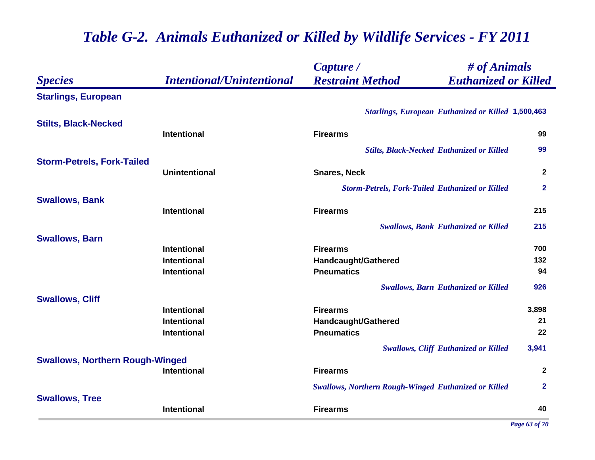|                                        |                                  | Capture /                                                   | # of Animals   |  |
|----------------------------------------|----------------------------------|-------------------------------------------------------------|----------------|--|
| <b>Species</b>                         | <b>Intentional/Unintentional</b> | <b>Restraint Method</b><br><b>Euthanized or Killed</b>      |                |  |
| <b>Starlings, European</b>             |                                  |                                                             |                |  |
|                                        |                                  | <b>Starlings, European Euthanized or Killed 1,500,463</b>   |                |  |
| <b>Stilts, Black-Necked</b>            |                                  |                                                             |                |  |
|                                        | Intentional                      | <b>Firearms</b>                                             | 99             |  |
|                                        |                                  | <b>Stilts, Black-Necked Euthanized or Killed</b>            | 99             |  |
| <b>Storm-Petrels, Fork-Tailed</b>      |                                  |                                                             |                |  |
|                                        | <b>Unintentional</b>             | <b>Snares, Neck</b>                                         | $\overline{2}$ |  |
|                                        |                                  | <b>Storm-Petrels, Fork-Tailed Euthanized or Killed</b>      | $\mathbf{2}$   |  |
| <b>Swallows, Bank</b>                  |                                  |                                                             |                |  |
|                                        | <b>Intentional</b>               | <b>Firearms</b>                                             | 215            |  |
|                                        |                                  | <b>Swallows, Bank Euthanized or Killed</b>                  | 215            |  |
| <b>Swallows, Barn</b>                  |                                  |                                                             |                |  |
|                                        | <b>Intentional</b>               | <b>Firearms</b>                                             | 700            |  |
|                                        | <b>Intentional</b>               | <b>Handcaught/Gathered</b>                                  | 132            |  |
|                                        | <b>Intentional</b>               | <b>Pneumatics</b>                                           | 94             |  |
|                                        |                                  | <b>Swallows, Barn Euthanized or Killed</b>                  | 926            |  |
| <b>Swallows, Cliff</b>                 |                                  |                                                             |                |  |
|                                        | <b>Intentional</b>               | <b>Firearms</b>                                             | 3,898          |  |
|                                        | <b>Intentional</b>               | <b>Handcaught/Gathered</b>                                  | 21             |  |
|                                        | <b>Intentional</b>               | <b>Pneumatics</b>                                           | 22             |  |
|                                        |                                  | <b>Swallows, Cliff Euthanized or Killed</b>                 | 3,941          |  |
| <b>Swallows, Northern Rough-Winged</b> |                                  |                                                             |                |  |
|                                        | <b>Intentional</b>               | <b>Firearms</b>                                             | $\mathbf{2}$   |  |
|                                        |                                  | <b>Swallows, Northern Rough-Winged Euthanized or Killed</b> | $\mathbf{2}$   |  |
| <b>Swallows, Tree</b>                  |                                  |                                                             |                |  |
|                                        | <b>Intentional</b>               | <b>Firearms</b>                                             | 40             |  |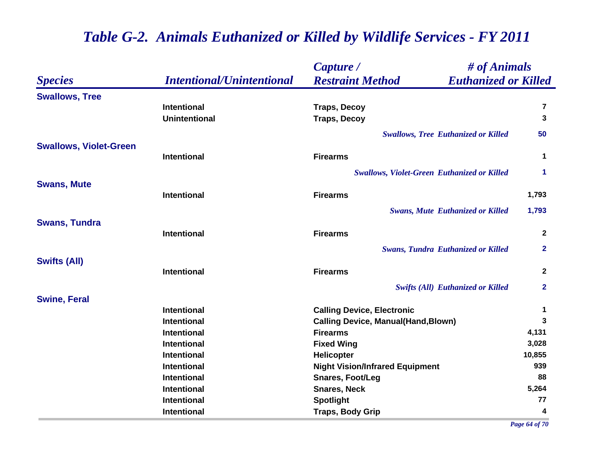|                               |                                  | Capture /                                              | # of Animals |  |
|-------------------------------|----------------------------------|--------------------------------------------------------|--------------|--|
| <b>Species</b>                | <b>Intentional/Unintentional</b> | <b>Euthanized or Killed</b><br><b>Restraint Method</b> |              |  |
| <b>Swallows, Tree</b>         |                                  |                                                        |              |  |
|                               | <b>Intentional</b>               | <b>Traps, Decoy</b>                                    | 7            |  |
|                               | <b>Unintentional</b>             | <b>Traps, Decoy</b>                                    | $\mathbf{3}$ |  |
|                               |                                  | <b>Swallows, Tree Euthanized or Killed</b>             | 50           |  |
| <b>Swallows, Violet-Green</b> |                                  |                                                        |              |  |
|                               | <b>Intentional</b>               | <b>Firearms</b>                                        | $\mathbf 1$  |  |
|                               |                                  | <b>Swallows, Violet-Green Euthanized or Killed</b>     | 1            |  |
| <b>Swans, Mute</b>            |                                  |                                                        |              |  |
|                               | <b>Intentional</b>               | <b>Firearms</b>                                        | 1,793        |  |
|                               |                                  | <b>Swans, Mute Euthanized or Killed</b>                | 1,793        |  |
| <b>Swans, Tundra</b>          |                                  |                                                        |              |  |
|                               | <b>Intentional</b>               | <b>Firearms</b>                                        | $\mathbf{2}$ |  |
|                               |                                  | <b>Swans, Tundra Euthanized or Killed</b>              | $\mathbf{2}$ |  |
| <b>Swifts (All)</b>           |                                  |                                                        |              |  |
|                               | <b>Intentional</b>               | <b>Firearms</b>                                        | $\mathbf{2}$ |  |
|                               |                                  | <b>Swifts (All) Euthanized or Killed</b>               | $\mathbf{2}$ |  |
| <b>Swine, Feral</b>           |                                  |                                                        |              |  |
|                               | <b>Intentional</b>               | <b>Calling Device, Electronic</b>                      | 1            |  |
|                               | <b>Intentional</b>               | <b>Calling Device, Manual(Hand, Blown)</b>             | 3            |  |
|                               | <b>Intentional</b>               | <b>Firearms</b>                                        | 4,131        |  |
|                               | Intentional                      | <b>Fixed Wing</b>                                      | 3,028        |  |
|                               | Intentional                      | <b>Helicopter</b>                                      | 10,855       |  |
|                               | Intentional                      | <b>Night Vision/Infrared Equipment</b>                 | 939          |  |
|                               | Intentional                      | <b>Snares, Foot/Leg</b>                                | 88           |  |
|                               | Intentional                      | <b>Snares, Neck</b>                                    | 5,264        |  |
|                               | Intentional                      | <b>Spotlight</b>                                       | 77           |  |
|                               | Intentional                      | <b>Traps, Body Grip</b>                                | 4            |  |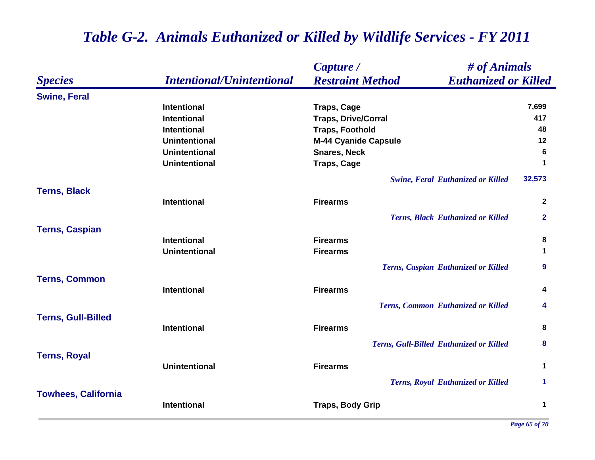|                            |                                  | Capture /                                              | # of Animals         |  |
|----------------------------|----------------------------------|--------------------------------------------------------|----------------------|--|
| <b>Species</b>             | <b>Intentional/Unintentional</b> | <b>Restraint Method</b><br><b>Euthanized or Killed</b> |                      |  |
| <b>Swine, Feral</b>        |                                  |                                                        |                      |  |
|                            | <b>Intentional</b>               | <b>Traps, Cage</b>                                     | 7,699                |  |
|                            | <b>Intentional</b>               | <b>Traps, Drive/Corral</b>                             | 417                  |  |
|                            | <b>Intentional</b>               | <b>Traps, Foothold</b>                                 | 48                   |  |
|                            | <b>Unintentional</b>             | <b>M-44 Cyanide Capsule</b>                            | 12                   |  |
|                            | <b>Unintentional</b>             | <b>Snares, Neck</b>                                    | 6                    |  |
|                            | <b>Unintentional</b>             | <b>Traps, Cage</b>                                     | $\blacktriangleleft$ |  |
|                            |                                  | <b>Swine, Feral Euthanized or Killed</b>               | 32,573               |  |
| <b>Terns, Black</b>        |                                  |                                                        |                      |  |
|                            | <b>Intentional</b>               | <b>Firearms</b>                                        | $\mathbf{2}$         |  |
|                            |                                  | <b>Terns, Black Euthanized or Killed</b>               | $\mathbf{2}$         |  |
| <b>Terns, Caspian</b>      |                                  |                                                        |                      |  |
|                            | <b>Intentional</b>               | <b>Firearms</b>                                        | 8                    |  |
|                            | <b>Unintentional</b>             | <b>Firearms</b>                                        | $\mathbf{1}$         |  |
|                            |                                  | Terns, Caspian Euthanized or Killed                    | 9                    |  |
| <b>Terns, Common</b>       |                                  |                                                        |                      |  |
|                            | <b>Intentional</b>               | <b>Firearms</b>                                        | 4                    |  |
|                            |                                  | Terns, Common Euthanized or Killed                     | 4                    |  |
| <b>Terns, Gull-Billed</b>  |                                  |                                                        |                      |  |
|                            | <b>Intentional</b>               | <b>Firearms</b>                                        | 8                    |  |
|                            |                                  | <b>Terns, Gull-Billed Euthanized or Killed</b>         | 8                    |  |
| <b>Terns, Royal</b>        |                                  |                                                        |                      |  |
|                            | <b>Unintentional</b>             | <b>Firearms</b>                                        | 1                    |  |
|                            |                                  | <b>Terns, Royal Euthanized or Killed</b>               | $\mathbf 1$          |  |
| <b>Towhees, California</b> | <b>Intentional</b>               |                                                        | 1                    |  |
|                            |                                  | <b>Traps, Body Grip</b>                                |                      |  |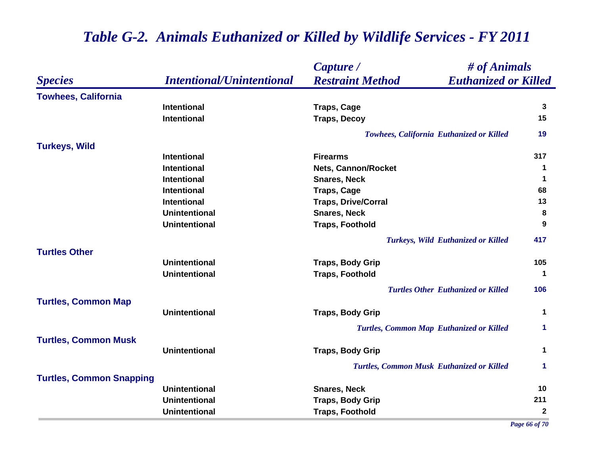|                                 |                                  | Capture /                                              | # of Animals         |  |
|---------------------------------|----------------------------------|--------------------------------------------------------|----------------------|--|
| <b>Species</b>                  | <b>Intentional/Unintentional</b> | <b>Restraint Method</b><br><b>Euthanized or Killed</b> |                      |  |
| <b>Towhees, California</b>      |                                  |                                                        |                      |  |
|                                 | <b>Intentional</b>               | <b>Traps, Cage</b>                                     | 3                    |  |
|                                 | <b>Intentional</b>               | <b>Traps, Decoy</b>                                    | 15                   |  |
|                                 |                                  | <b>Towhees, California Euthanized or Killed</b>        | 19                   |  |
| <b>Turkeys, Wild</b>            |                                  |                                                        |                      |  |
|                                 | <b>Intentional</b>               | <b>Firearms</b>                                        | 317                  |  |
|                                 | <b>Intentional</b>               | <b>Nets, Cannon/Rocket</b>                             | 1                    |  |
|                                 | <b>Intentional</b>               | <b>Snares, Neck</b>                                    | $\mathbf 1$          |  |
|                                 | <b>Intentional</b>               | <b>Traps, Cage</b>                                     | 68                   |  |
|                                 | <b>Intentional</b>               | <b>Traps, Drive/Corral</b>                             | 13                   |  |
|                                 | <b>Unintentional</b>             | <b>Snares, Neck</b>                                    | 8                    |  |
|                                 | <b>Unintentional</b>             | <b>Traps, Foothold</b>                                 | 9                    |  |
|                                 |                                  | <b>Turkeys, Wild Euthanized or Killed</b>              | 417                  |  |
| <b>Turtles Other</b>            | <b>Unintentional</b>             |                                                        | 105                  |  |
|                                 | <b>Unintentional</b>             | <b>Traps, Body Grip</b>                                | $\mathbf 1$          |  |
|                                 |                                  | <b>Traps, Foothold</b>                                 |                      |  |
|                                 |                                  | <b>Turtles Other Euthanized or Killed</b>              | 106                  |  |
| <b>Turtles, Common Map</b>      |                                  |                                                        |                      |  |
|                                 | <b>Unintentional</b>             | <b>Traps, Body Grip</b>                                | $\mathbf 1$          |  |
|                                 |                                  | <b>Turtles, Common Map Euthanized or Killed</b>        | $\blacktriangleleft$ |  |
| <b>Turtles, Common Musk</b>     |                                  |                                                        |                      |  |
|                                 | <b>Unintentional</b>             | <b>Traps, Body Grip</b>                                | $\mathbf 1$          |  |
|                                 |                                  | <b>Turtles, Common Musk Euthanized or Killed</b>       | $\blacktriangleleft$ |  |
| <b>Turtles, Common Snapping</b> |                                  |                                                        |                      |  |
|                                 | <b>Unintentional</b>             | <b>Snares, Neck</b>                                    | 10                   |  |
|                                 | <b>Unintentional</b>             | <b>Traps, Body Grip</b>                                | 211                  |  |
|                                 | <b>Unintentional</b>             | <b>Traps, Foothold</b>                                 | $\boldsymbol{2}$     |  |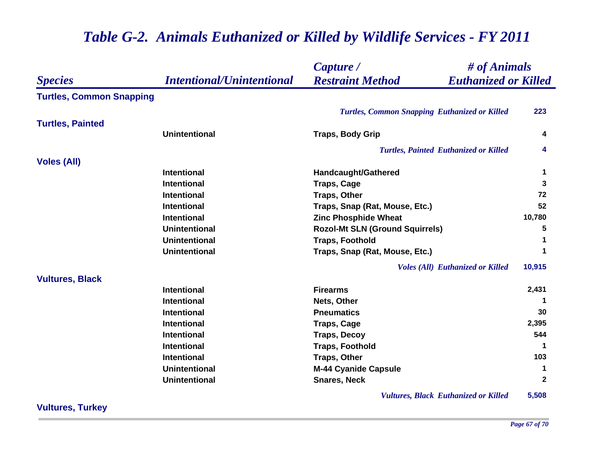|                                 |                                  | Capture /                                              | # of Animals |  |
|---------------------------------|----------------------------------|--------------------------------------------------------|--------------|--|
| <b>Species</b>                  | <b>Intentional/Unintentional</b> | <b>Restraint Method</b><br><b>Euthanized or Killed</b> |              |  |
| <b>Turtles, Common Snapping</b> |                                  |                                                        |              |  |
|                                 |                                  | <b>Turtles, Common Snapping Euthanized or Killed</b>   | 223          |  |
| <b>Turtles, Painted</b>         |                                  |                                                        |              |  |
|                                 | <b>Unintentional</b>             | <b>Traps, Body Grip</b>                                | 4            |  |
|                                 |                                  | <b>Turtles, Painted Euthanized or Killed</b>           | 4            |  |
| <b>Voles (All)</b>              |                                  |                                                        |              |  |
|                                 | <b>Intentional</b>               | <b>Handcaught/Gathered</b>                             | 1            |  |
|                                 | <b>Intentional</b>               | <b>Traps, Cage</b>                                     | 3            |  |
|                                 | Intentional                      | <b>Traps, Other</b>                                    | 72           |  |
|                                 | <b>Intentional</b>               | Traps, Snap (Rat, Mouse, Etc.)                         | 52           |  |
|                                 | <b>Intentional</b>               | <b>Zinc Phosphide Wheat</b>                            | 10,780       |  |
|                                 | <b>Unintentional</b>             | <b>Rozol-Mt SLN (Ground Squirrels)</b>                 | 5            |  |
|                                 | <b>Unintentional</b>             | <b>Traps, Foothold</b>                                 | $\mathbf 1$  |  |
|                                 | <b>Unintentional</b>             | Traps, Snap (Rat, Mouse, Etc.)                         | $\mathbf 1$  |  |
|                                 |                                  | <b>Voles (All) Euthanized or Killed</b>                | 10,915       |  |
| <b>Vultures, Black</b>          |                                  |                                                        |              |  |
|                                 | <b>Intentional</b>               | <b>Firearms</b>                                        | 2,431        |  |
|                                 | <b>Intentional</b>               | Nets, Other                                            |              |  |
|                                 | <b>Intentional</b>               | <b>Pneumatics</b>                                      | 30           |  |
|                                 | <b>Intentional</b>               | <b>Traps, Cage</b>                                     | 2,395        |  |
|                                 | <b>Intentional</b>               | <b>Traps, Decoy</b>                                    | 544          |  |
|                                 | <b>Intentional</b>               | <b>Traps, Foothold</b>                                 | -1           |  |
|                                 | Intentional                      | <b>Traps, Other</b>                                    | 103          |  |
|                                 | <b>Unintentional</b>             | <b>M-44 Cyanide Capsule</b>                            | $\mathbf 1$  |  |
|                                 | <b>Unintentional</b>             | <b>Snares, Neck</b>                                    | $\mathbf{2}$ |  |
|                                 |                                  | <b>Vultures, Black Euthanized or Killed</b>            | 5,508        |  |

**Vultures, Turkey**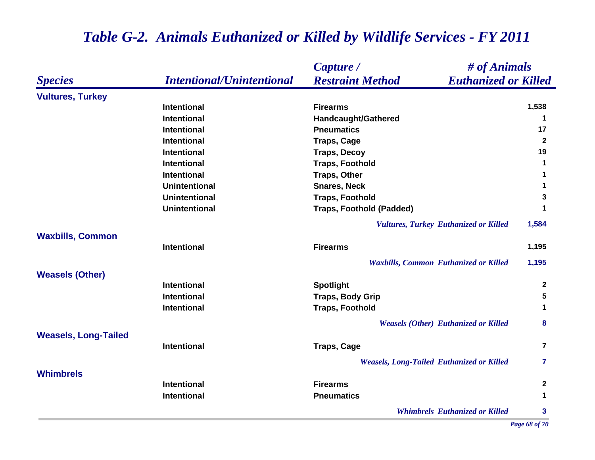### *Species Capture / Restraint Method # of Animals Intentional/Unintentional Euthanized or Killed* **Vultures, Turkey Intentional Firearms 1,538 Intentional Handcaught/Gathered <sup>1</sup> Intentional Pneumatics 17 Intentional Traps, Cage <sup>2</sup> Intentional Traps, Decoy <sup>19</sup> Intentional Traps, Foothold <sup>1</sup> Intentional Traps, Other <sup>1</sup> Unintentional Snares, Neck 1 Unintentional Traps, Foothold 3 Unintentional Traps, Foothold (Padded) <sup>1</sup>** *Vultures, Turkey Euthanized or Killed* **1,584 Waxbills, Common Intentional Firearms 1,195** *Waxbills, Common Euthanized or Killed* **1,195 Weasels (Other) Intentional Spotlight <sup>2</sup> Intentional Traps, Body Grip 5 Intentional CONSERVITY TRAPS, Foothold 1 1** *Weasels (Other) Euthanized or Killed* **8 Weasels, Long-Tailed Intentional CONSCRIPTION TRAPS, Cage <b>7 7** *Weasels, Long-Tailed Euthanized or Killed* **7 WhimbrelsIntentional Firearms 2 Intentional Pneumatics 1** *Whimbrels Euthanized or Killed* **3**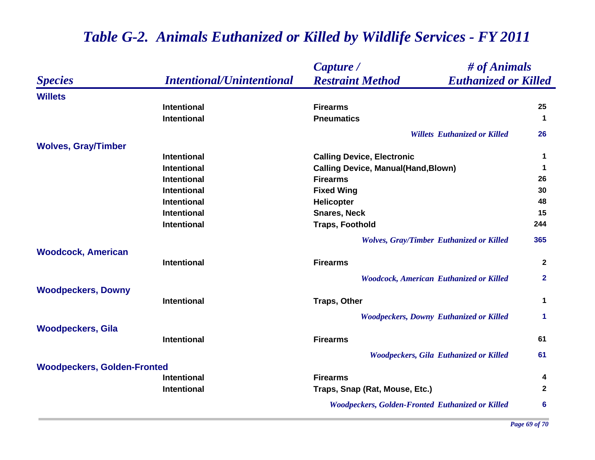|                                    |                                  | Capture /                                               | # of Animals                                    |                |
|------------------------------------|----------------------------------|---------------------------------------------------------|-------------------------------------------------|----------------|
| <b>Species</b>                     | <b>Intentional/Unintentional</b> | <b>Restraint Method</b>                                 | <b>Euthanized or Killed</b>                     |                |
| <b>Willets</b>                     |                                  |                                                         |                                                 |                |
|                                    | <b>Intentional</b>               | <b>Firearms</b>                                         |                                                 | 25             |
|                                    | <b>Intentional</b>               | <b>Pneumatics</b>                                       |                                                 | $\mathbf 1$    |
|                                    |                                  |                                                         | <b>Willets Euthanized or Killed</b>             | 26             |
| <b>Wolves, Gray/Timber</b>         |                                  |                                                         |                                                 |                |
|                                    | <b>Intentional</b>               | <b>Calling Device, Electronic</b>                       |                                                 | 1              |
|                                    | <b>Intentional</b>               | <b>Calling Device, Manual(Hand, Blown)</b>              |                                                 | $\mathbf 1$    |
|                                    | <b>Intentional</b>               | <b>Firearms</b>                                         |                                                 | 26             |
|                                    | <b>Intentional</b>               | <b>Fixed Wing</b>                                       |                                                 | 30             |
|                                    | <b>Intentional</b>               | Helicopter                                              |                                                 | 48             |
|                                    | <b>Intentional</b>               | <b>Snares, Neck</b>                                     |                                                 | 15             |
|                                    | <b>Intentional</b>               | <b>Traps, Foothold</b>                                  |                                                 | 244            |
|                                    |                                  |                                                         | <b>Wolves, Gray/Timber Euthanized or Killed</b> | 365            |
| <b>Woodcock, American</b>          |                                  |                                                         |                                                 |                |
|                                    | <b>Intentional</b>               | <b>Firearms</b>                                         |                                                 | $\mathbf{2}$   |
|                                    |                                  |                                                         | <b>Woodcock, American Euthanized or Killed</b>  | $\overline{2}$ |
| <b>Woodpeckers, Downy</b>          |                                  |                                                         |                                                 |                |
|                                    | <b>Intentional</b>               | <b>Traps, Other</b>                                     |                                                 | $\mathbf 1$    |
|                                    |                                  |                                                         | <b>Woodpeckers, Downy Euthanized or Killed</b>  | 1              |
| <b>Woodpeckers, Gila</b>           |                                  |                                                         |                                                 |                |
|                                    | <b>Intentional</b>               | <b>Firearms</b>                                         |                                                 | 61             |
|                                    |                                  |                                                         | <b>Woodpeckers, Gila Euthanized or Killed</b>   | 61             |
| <b>Woodpeckers, Golden-Fronted</b> |                                  |                                                         |                                                 |                |
|                                    | <b>Intentional</b>               | <b>Firearms</b>                                         |                                                 | 4              |
|                                    | <b>Intentional</b>               | Traps, Snap (Rat, Mouse, Etc.)                          |                                                 | $\mathbf{2}$   |
|                                    |                                  | <b>Woodpeckers, Golden-Fronted Euthanized or Killed</b> |                                                 | 6              |